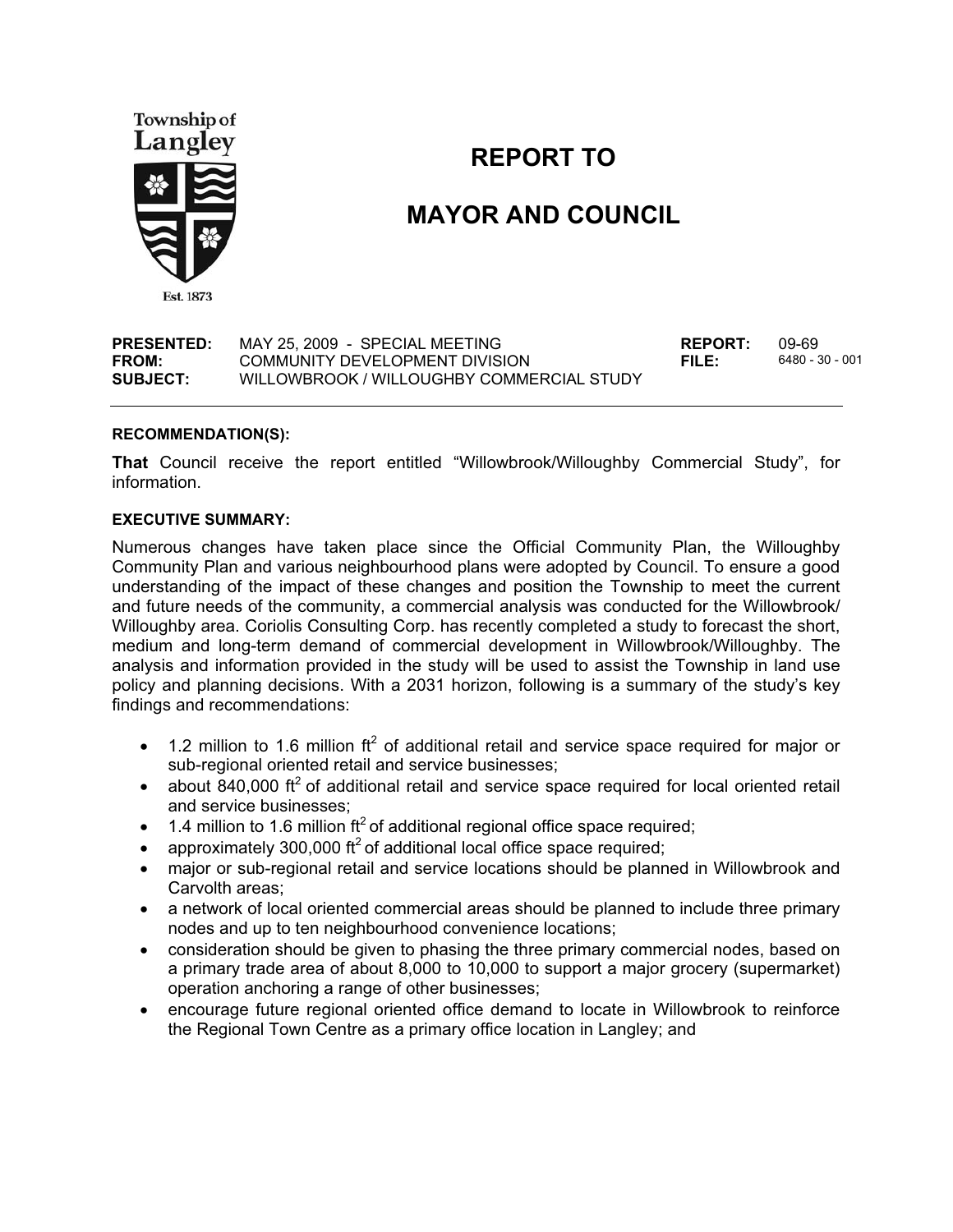

### **REPORT TO**

## **MAYOR AND COUNCIL**

**PRESENTED:** MAY 25, 2009 - SPECIAL MEETING<br> **FROM:** COMMUNITY DEVELOPMENT DIVISION **REPORT:** 6480 - 30 - 001 **FROM:** COMMUNITY DEVELOPMENT DIVISION **FILE: SUBJECT:** WILLOWBROOK / WILLOUGHBY COMMERCIAL STUDY

#### **RECOMMENDATION(S):**

**That** Council receive the report entitled "Willowbrook/Willoughby Commercial Study", for information.

#### **EXECUTIVE SUMMARY:**

Numerous changes have taken place since the Official Community Plan, the Willoughby Community Plan and various neighbourhood plans were adopted by Council. To ensure a good understanding of the impact of these changes and position the Township to meet the current and future needs of the community, a commercial analysis was conducted for the Willowbrook/ Willoughby area. Coriolis Consulting Corp. has recently completed a study to forecast the short, medium and long-term demand of commercial development in Willowbrook/Willoughby. The analysis and information provided in the study will be used to assist the Township in land use policy and planning decisions. With a 2031 horizon, following is a summary of the study's key findings and recommendations:

- $\bullet$  1.2 million to 1.6 million ft<sup>2</sup> of additional retail and service space required for major or sub-regional oriented retail and service businesses;
- about 840,000 ft<sup>2</sup> of additional retail and service space required for local oriented retail and service businesses;
- 1.4 million to 1.6 million ft<sup>2</sup> of additional regional office space required;
- $\bullet$ approximately 300,000  $\text{ft}^2$  of additional local office space required;
- major or sub-regional retail and service locations should be planned in Willowbrook and Carvolth areas;
- a network of local oriented commercial areas should be planned to include three primary nodes and up to ten neighbourhood convenience locations;
- $\bullet$  consideration should be given to phasing the three primary commercial nodes, based on a primary trade area of about 8,000 to 10,000 to support a major grocery (supermarket) operation anchoring a range of other businesses;
- $\bullet$  encourage future regional oriented office demand to locate in Willowbrook to reinforce the Regional Town Centre as a primary office location in Langley; and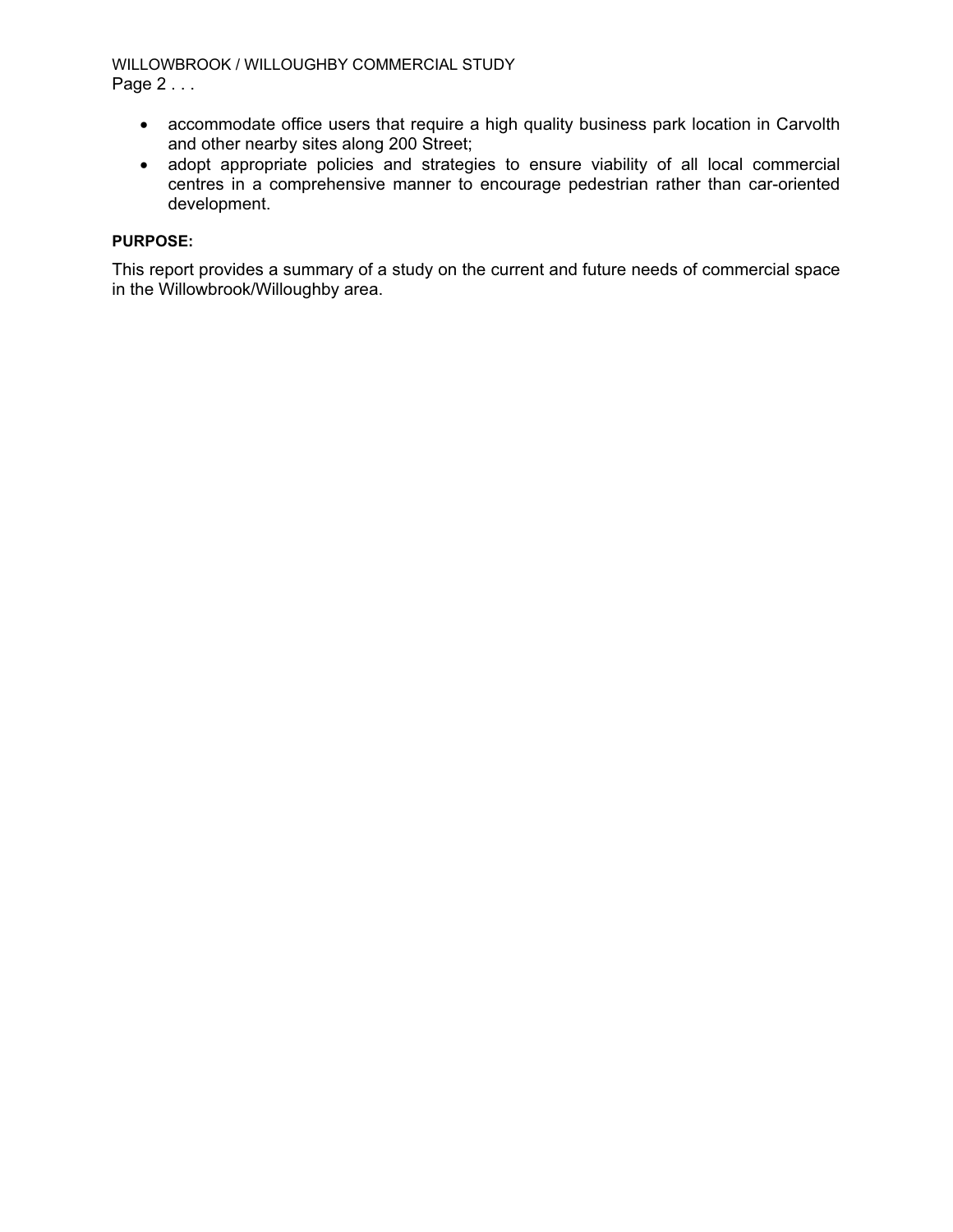#### WILLOWBROOK / WILLOUGHBY COMMERCIAL STUDY Page 2 . . .

- accommodate office users that require a high quality business park location in Carvolth and other nearby sites along 200 Street;
- adopt appropriate policies and strategies to ensure viability of all local commercial centres in a comprehensive manner to encourage pedestrian rather than car-oriented development.

#### **PURPOSE:**

This report provides a summary of a study on the current and future needs of commercial space in the Willowbrook/Willoughby area.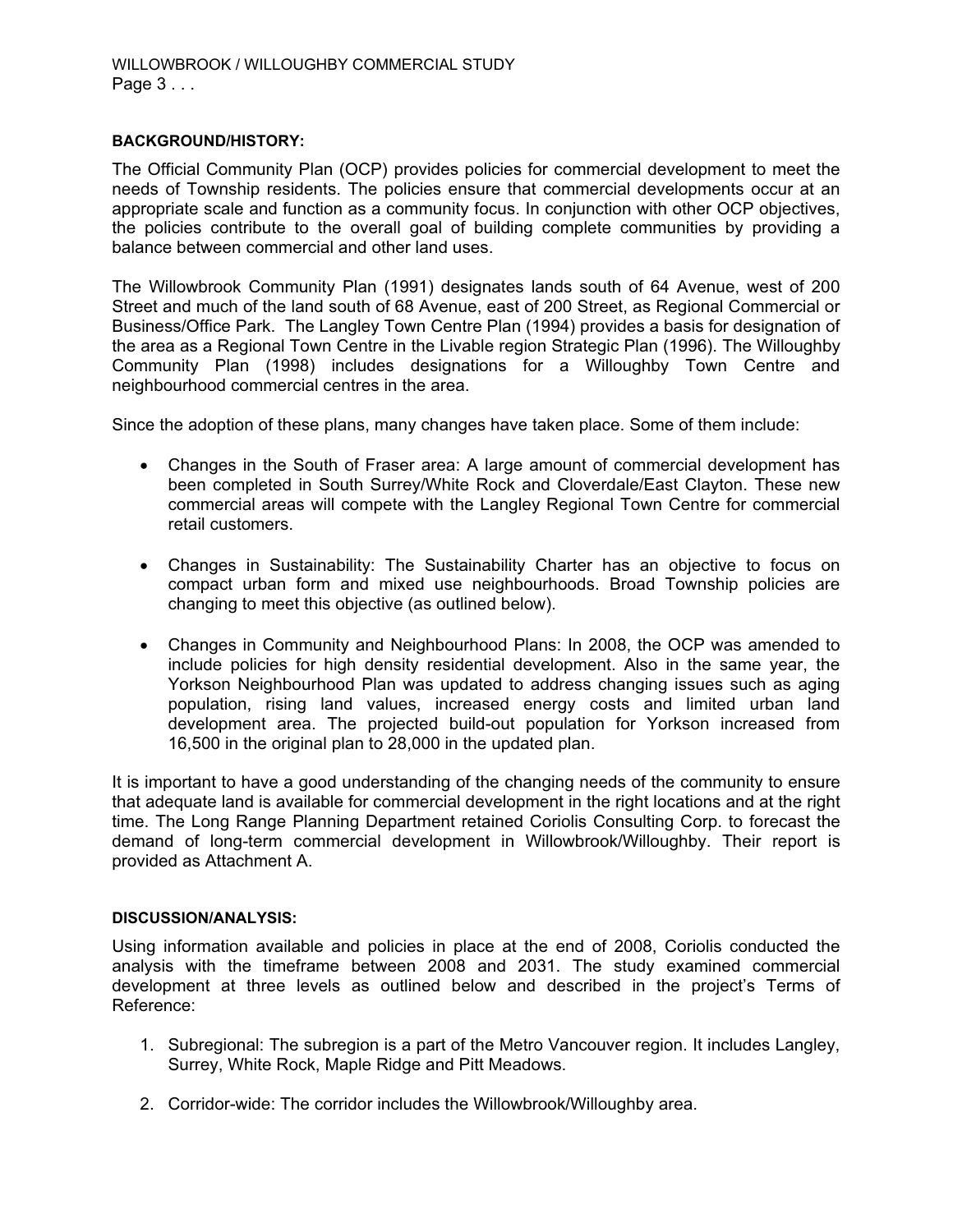#### **BACKGROUND/HISTORY:**

The Official Community Plan (OCP) provides policies for commercial development to meet the needs of Township residents. The policies ensure that commercial developments occur at an appropriate scale and function as a community focus. In conjunction with other OCP objectives, the policies contribute to the overall goal of building complete communities by providing a balance between commercial and other land uses.

The Willowbrook Community Plan (1991) designates lands south of 64 Avenue, west of 200 Street and much of the land south of 68 Avenue, east of 200 Street, as Regional Commercial or Business/Office Park. The Langley Town Centre Plan (1994) provides a basis for designation of the area as a Regional Town Centre in the Livable region Strategic Plan (1996). The Willoughby Community Plan (1998) includes designations for a Willoughby Town Centre and neighbourhood commercial centres in the area.

Since the adoption of these plans, many changes have taken place. Some of them include:

- Changes in the South of Fraser area: A large amount of commercial development has been completed in South Surrey/White Rock and Cloverdale/East Clayton. These new commercial areas will compete with the Langley Regional Town Centre for commercial retail customers.
- Changes in Sustainability: The Sustainability Charter has an objective to focus on compact urban form and mixed use neighbourhoods. Broad Township policies are changing to meet this objective (as outlined below).
- Changes in Community and Neighbourhood Plans: In 2008, the OCP was amended to include policies for high density residential development. Also in the same year, the Yorkson Neighbourhood Plan was updated to address changing issues such as aging population, rising land values, increased energy costs and limited urban land development area. The projected build-out population for Yorkson increased from 16,500 in the original plan to 28,000 in the updated plan.

It is important to have a good understanding of the changing needs of the community to ensure that adequate land is available for commercial development in the right locations and at the right time. The Long Range Planning Department retained Coriolis Consulting Corp. to forecast the demand of long-term commercial development in Willowbrook/Willoughby. Their report is provided as Attachment A.

#### **DISCUSSION/ANALYSIS:**

Using information available and policies in place at the end of 2008, Coriolis conducted the analysis with the timeframe between 2008 and 2031. The study examined commercial development at three levels as outlined below and described in the project's Terms of Reference:

- 1. Subregional: The subregion is a part of the Metro Vancouver region. It includes Langley, Surrey, White Rock, Maple Ridge and Pitt Meadows.
- 2. Corridor-wide: The corridor includes the Willowbrook/Willoughby area.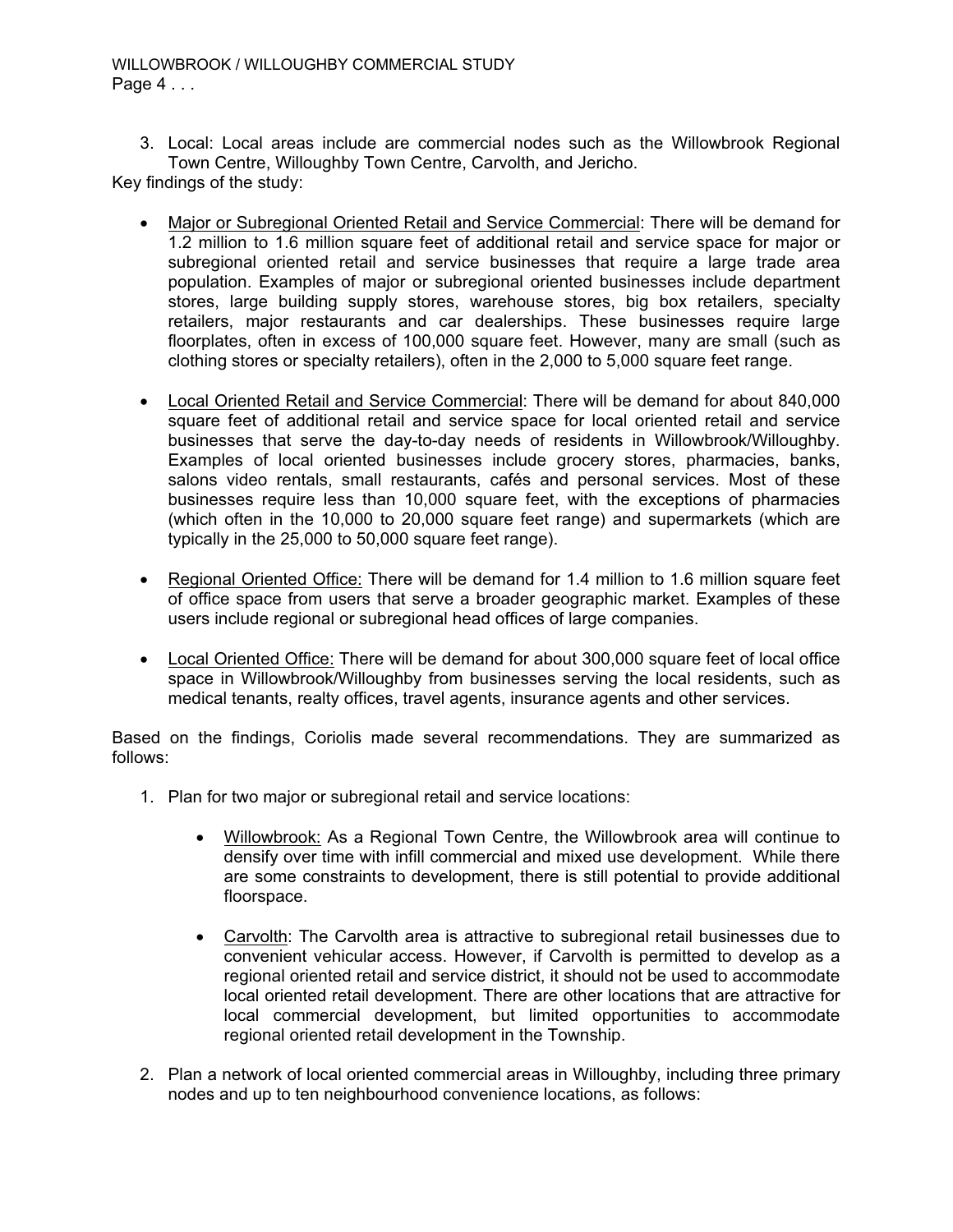#### WILLOWBROOK / WILLOUGHBY COMMERCIAL STUDY Page 4 . . .

3. Local: Local areas include are commercial nodes such as the Willowbrook Regional Town Centre, Willoughby Town Centre, Carvolth, and Jericho.

Key findings of the study:

- - Major or Subregional Oriented Retail and Service Commercial: There will be demand for 1.2 million to 1.6 million square feet of additional retail and service space for major or subregional oriented retail and service businesses that require a large trade area population. Examples of major or subregional oriented businesses include department stores, large building supply stores, warehouse stores, big box retailers, specialty retailers, major restaurants and car dealerships. These businesses require large floorplates, often in excess of 100,000 square feet. However, many are small (such as clothing stores or specialty retailers), often in the 2,000 to 5,000 square feet range.
- Local Oriented Retail and Service Commercial: There will be demand for about 840,000 square feet of additional retail and service space for local oriented retail and service businesses that serve the day-to-day needs of residents in Willowbrook/Willoughby. Examples of local oriented businesses include grocery stores, pharmacies, banks, salons video rentals, small restaurants, cafés and personal services. Most of these businesses require less than 10,000 square feet, with the exceptions of pharmacies (which often in the 10,000 to 20,000 square feet range) and supermarkets (which are typically in the 25,000 to 50,000 square feet range).
- Regional Oriented Office: There will be demand for 1.4 million to 1.6 million square feet of office space from users that serve a broader geographic market. Examples of these users include regional or subregional head offices of large companies.
- Local Oriented Office: There will be demand for about 300,000 square feet of local office space in Willowbrook/Willoughby from businesses serving the local residents, such as medical tenants, realty offices, travel agents, insurance agents and other services.

Based on the findings, Coriolis made several recommendations. They are summarized as follows:

- 1. Plan for two major or subregional retail and service locations:
	- $\bullet$  Willowbrook: As a Regional Town Centre, the Willowbrook area will continue to densify over time with infill commercial and mixed use development. While there are some constraints to development, there is still potential to provide additional floorspace.
	- $\bullet$  Carvolth: The Carvolth area is attractive to subregional retail businesses due to convenient vehicular access. However, if Carvolth is permitted to develop as a regional oriented retail and service district, it should not be used to accommodate local oriented retail development. There are other locations that are attractive for local commercial development, but limited opportunities to accommodate regional oriented retail development in the Township.
- 2. Plan a network of local oriented commercial areas in Willoughby, including three primary nodes and up to ten neighbourhood convenience locations, as follows: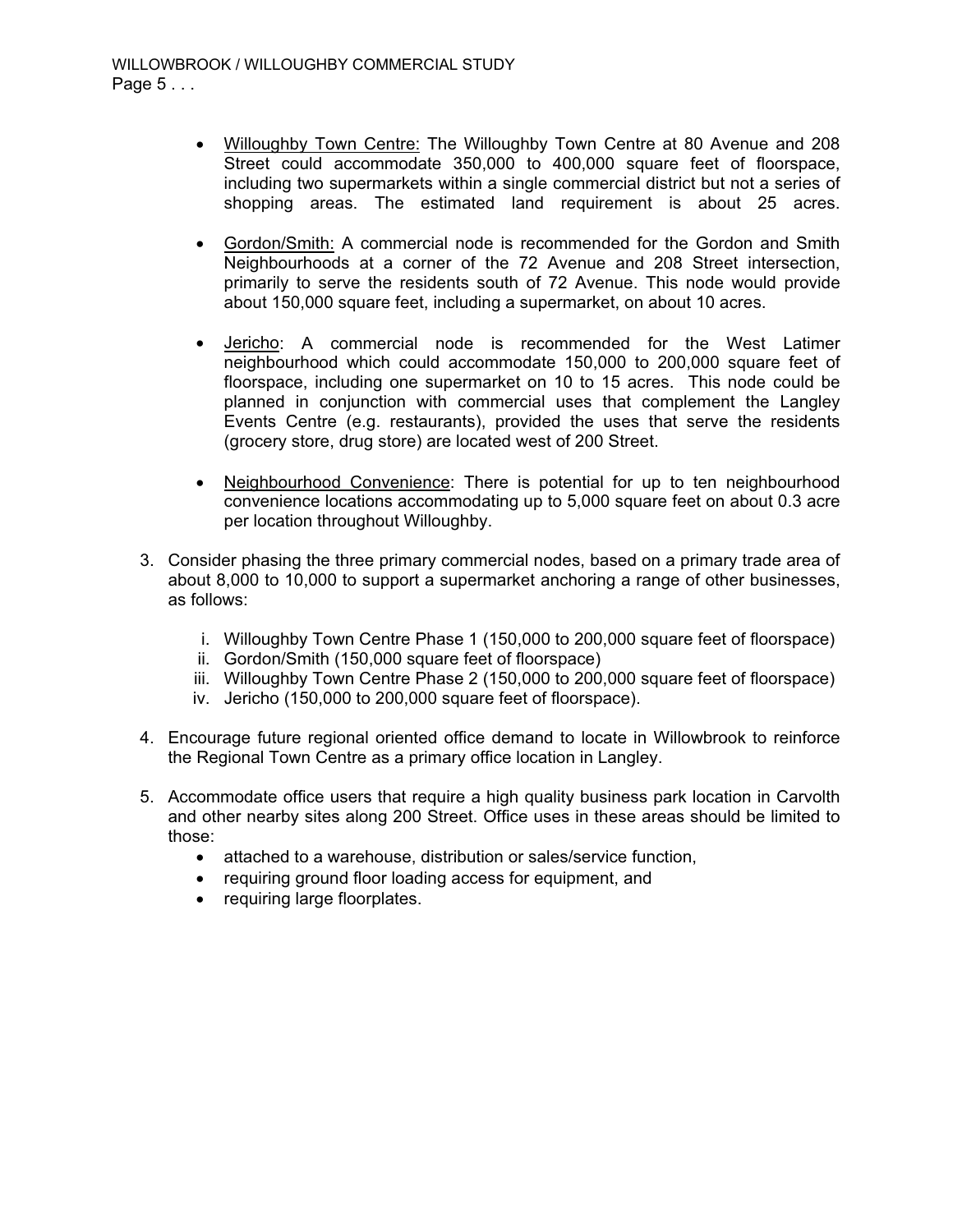- - Willoughby Town Centre: The Willoughby Town Centre at 80 Avenue and 208 Street could accommodate 350,000 to 400,000 square feet of floorspace, including two supermarkets within a single commercial district but not a series of shopping areas. The estimated land requirement is about 25 acres.
- $\bullet$  Gordon/Smith: A commercial node is recommended for the Gordon and Smith Neighbourhoods at a corner of the 72 Avenue and 208 Street intersection, primarily to serve the residents south of 72 Avenue. This node would provide about 150,000 square feet, including a supermarket, on about 10 acres.
- $\bullet$  Jericho: A commercial node is recommended for the West Latimer neighbourhood which could accommodate 150,000 to 200,000 square feet of floorspace, including one supermarket on 10 to 15 acres. This node could be planned in conjunction with commercial uses that complement the Langley Events Centre (e.g. restaurants), provided the uses that serve the residents (grocery store, drug store) are located west of 200 Street.
- $\bullet$  Neighbourhood Convenience: There is potential for up to ten neighbourhood convenience locations accommodating up to 5,000 square feet on about 0.3 acre per location throughout Willoughby.
- 3. Consider phasing the three primary commercial nodes, based on a primary trade area of about 8,000 to 10,000 to support a supermarket anchoring a range of other businesses, as follows:
	- i. Willoughby Town Centre Phase 1 (150,000 to 200,000 square feet of floorspace)
	- ii. Gordon/Smith (150,000 square feet of floorspace)
	- iii. Willoughby Town Centre Phase 2 (150,000 to 200,000 square feet of floorspace)
	- iv. Jericho (150,000 to 200,000 square feet of floorspace).
- 4. Encourage future regional oriented office demand to locate in Willowbrook to reinforce the Regional Town Centre as a primary office location in Langley.
- 5. Accommodate office users that require a high quality business park location in Carvolth and other nearby sites along 200 Street. Office uses in these areas should be limited to those:
	- attached to a warehouse, distribution or sales/service function,
	- requiring ground floor loading access for equipment, and
	- requiring large floorplates.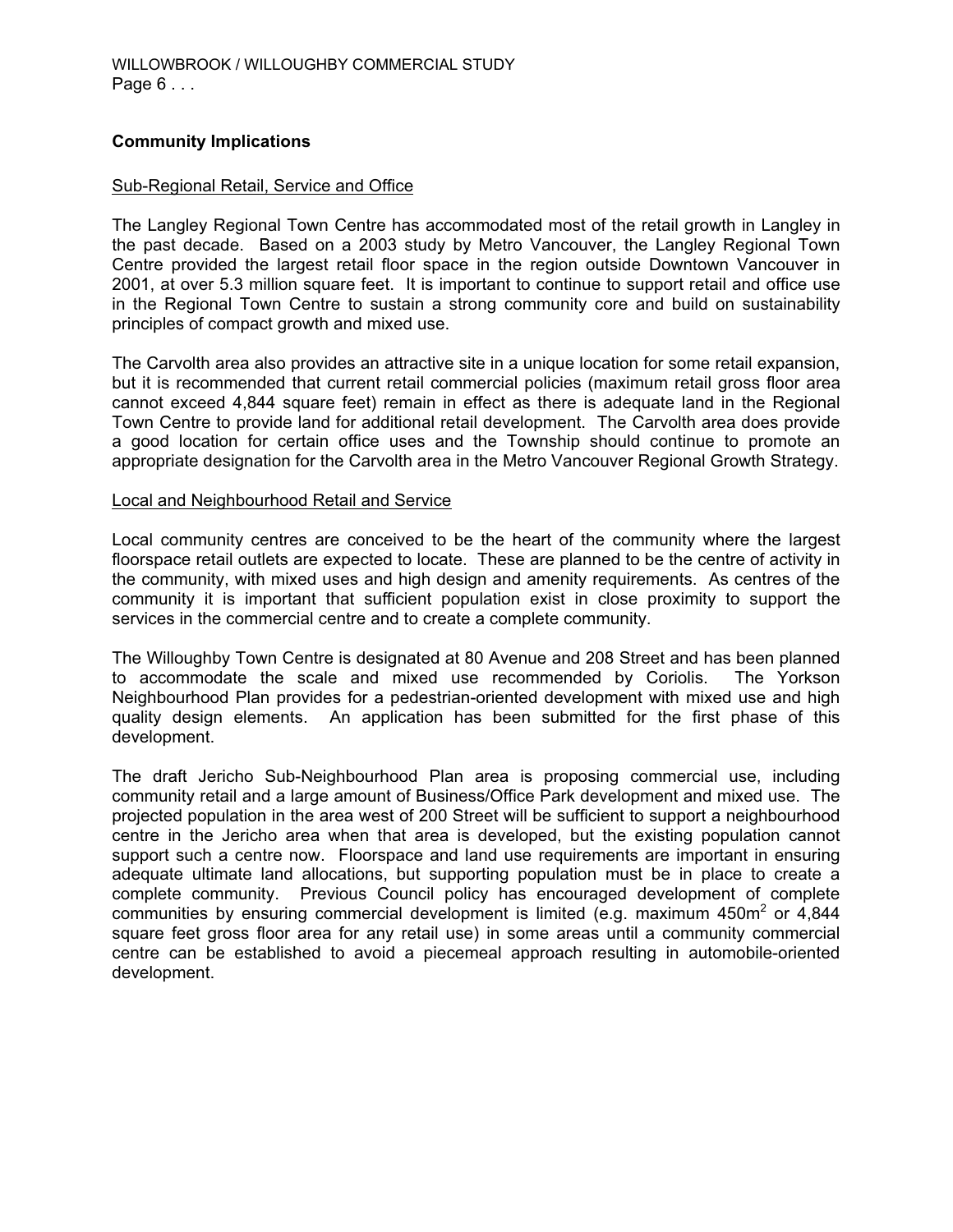#### **Community Implications**

#### Sub-Regional Retail, Service and Office

The Langley Regional Town Centre has accommodated most of the retail growth in Langley in the past decade. Based on a 2003 study by Metro Vancouver, the Langley Regional Town Centre provided the largest retail floor space in the region outside Downtown Vancouver in 2001, at over 5.3 million square feet. It is important to continue to support retail and office use in the Regional Town Centre to sustain a strong community core and build on sustainability principles of compact growth and mixed use.

The Carvolth area also provides an attractive site in a unique location for some retail expansion, but it is recommended that current retail commercial policies (maximum retail gross floor area cannot exceed 4,844 square feet) remain in effect as there is adequate land in the Regional Town Centre to provide land for additional retail development. The Carvolth area does provide a good location for certain office uses and the Township should continue to promote an appropriate designation for the Carvolth area in the Metro Vancouver Regional Growth Strategy.

#### Local and Neighbourhood Retail and Service

Local community centres are conceived to be the heart of the community where the largest floorspace retail outlets are expected to locate. These are planned to be the centre of activity in the community, with mixed uses and high design and amenity requirements. As centres of the community it is important that sufficient population exist in close proximity to support the services in the commercial centre and to create a complete community.

The Willoughby Town Centre is designated at 80 Avenue and 208 Street and has been planned to accommodate the scale and mixed use recommended by Coriolis. The Yorkson Neighbourhood Plan provides for a pedestrian-oriented development with mixed use and high quality design elements. An application has been submitted for the first phase of this development.

The draft Jericho Sub-Neighbourhood Plan area is proposing commercial use, including community retail and a large amount of Business/Office Park development and mixed use. The projected population in the area west of 200 Street will be sufficient to support a neighbourhood centre in the Jericho area when that area is developed, but the existing population cannot support such a centre now. Floorspace and land use requirements are important in ensuring adequate ultimate land allocations, but supporting population must be in place to create a complete community. Previous Council policy has encouraged development of complete communities by ensuring commercial development is limited (e.g. maximum 450m<sup>2</sup> or 4,844 square feet gross floor area for any retail use) in some areas until a community commercial centre can be established to avoid a piecemeal approach resulting in automobile-oriented development.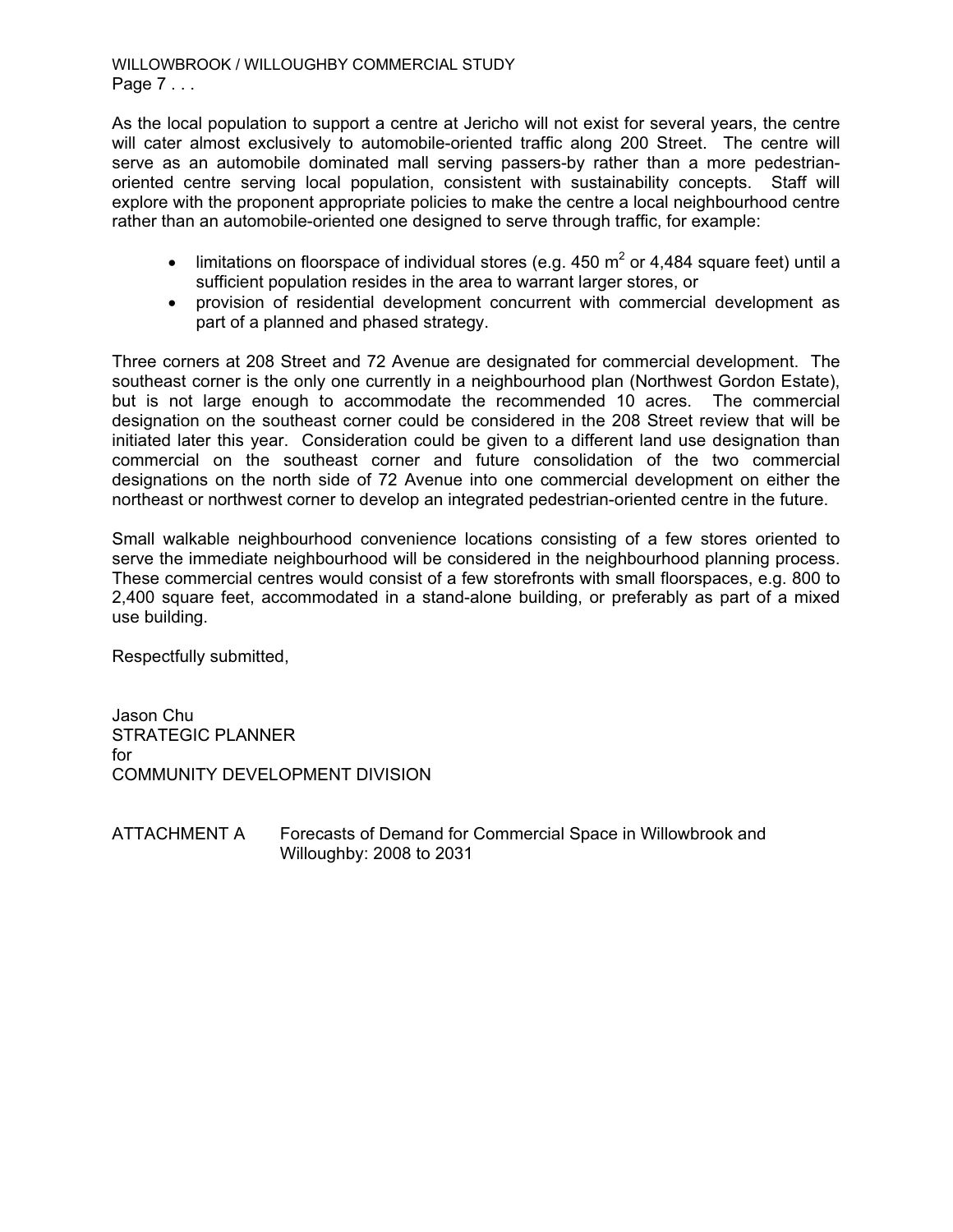WILLOWBROOK / WILLOUGHBY COMMERCIAL STUDY Page 7 . . .

As the local population to support a centre at Jericho will not exist for several years, the centre will cater almost exclusively to automobile-oriented traffic along 200 Street. The centre will serve as an automobile dominated mall serving passers-by rather than a more pedestrianoriented centre serving local population, consistent with sustainability concepts. Staff will explore with the proponent appropriate policies to make the centre a local neighbourhood centre rather than an automobile-oriented one designed to serve through traffic, for example:

- limitations on floorspace of individual stores (e.g. 450 m<sup>2</sup> or 4,484 square feet) until a sufficient population resides in the area to warrant larger stores, or
- provision of residential development concurrent with commercial development as part of a planned and phased strategy.

Three corners at 208 Street and 72 Avenue are designated for commercial development. The southeast corner is the only one currently in a neighbourhood plan (Northwest Gordon Estate), but is not large enough to accommodate the recommended 10 acres. The commercial designation on the southeast corner could be considered in the 208 Street review that will be initiated later this year. Consideration could be given to a different land use designation than commercial on the southeast corner and future consolidation of the two commercial designations on the north side of 72 Avenue into one commercial development on either the northeast or northwest corner to develop an integrated pedestrian-oriented centre in the future.

Small walkable neighbourhood convenience locations consisting of a few stores oriented to serve the immediate neighbourhood will be considered in the neighbourhood planning process. These commercial centres would consist of a few storefronts with small floorspaces, e.g. 800 to 2,400 square feet, accommodated in a stand-alone building, or preferably as part of a mixed use building.

Respectfully submitted,

Jason Chu STRATEGIC PLANNER for COMMUNITY DEVELOPMENT DIVISION

ATTACHMENT A Forecasts of Demand for Commercial Space in Willowbrook and Willoughby: 2008 to 2031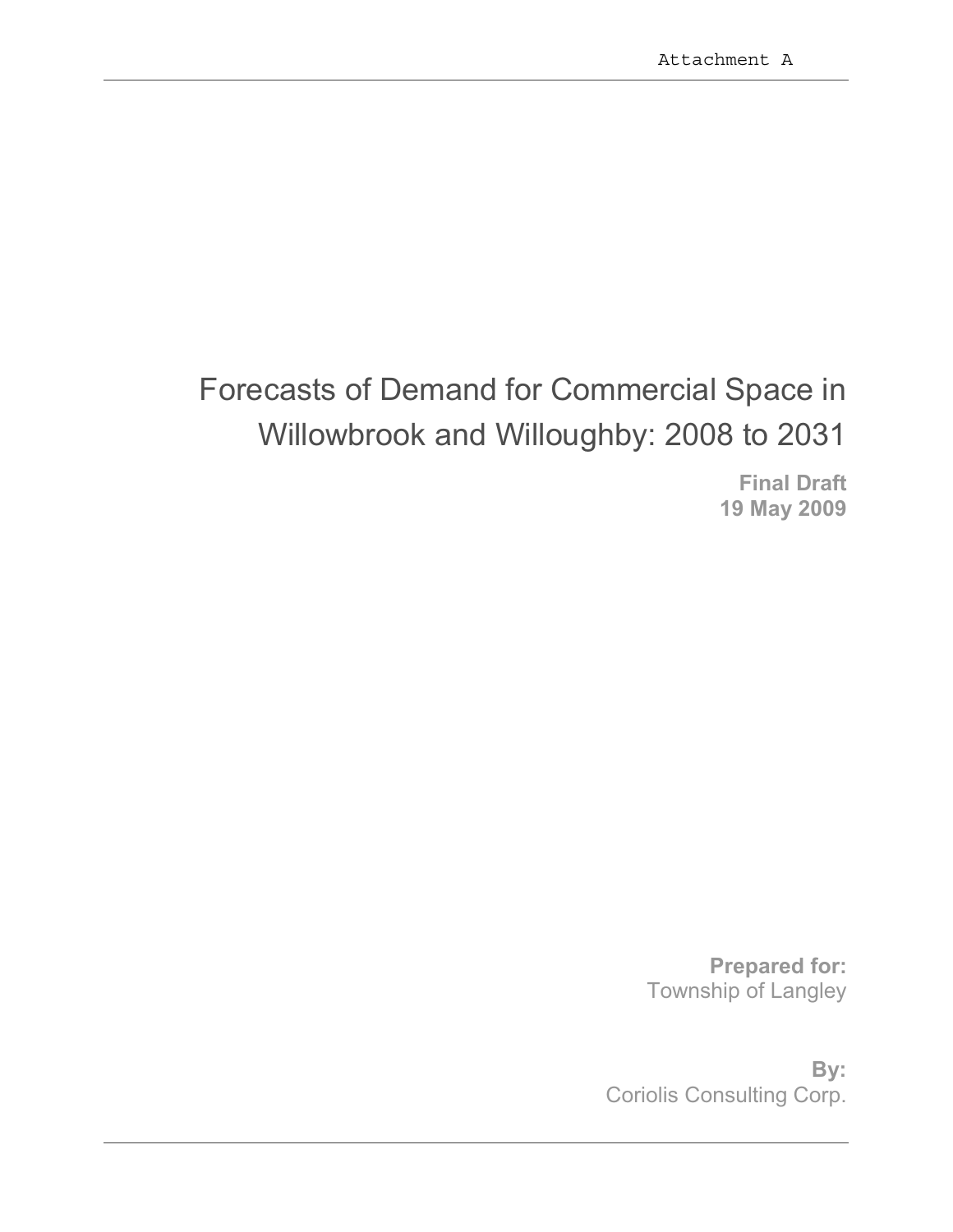# Forecasts of Demand for Commercial Space in Willowbrook and Willoughby: 2008 to 2031

**Final Draft 19 May 2009** 

**Prepared for:**  Township of Langley

**By:**  Coriolis Consulting Corp.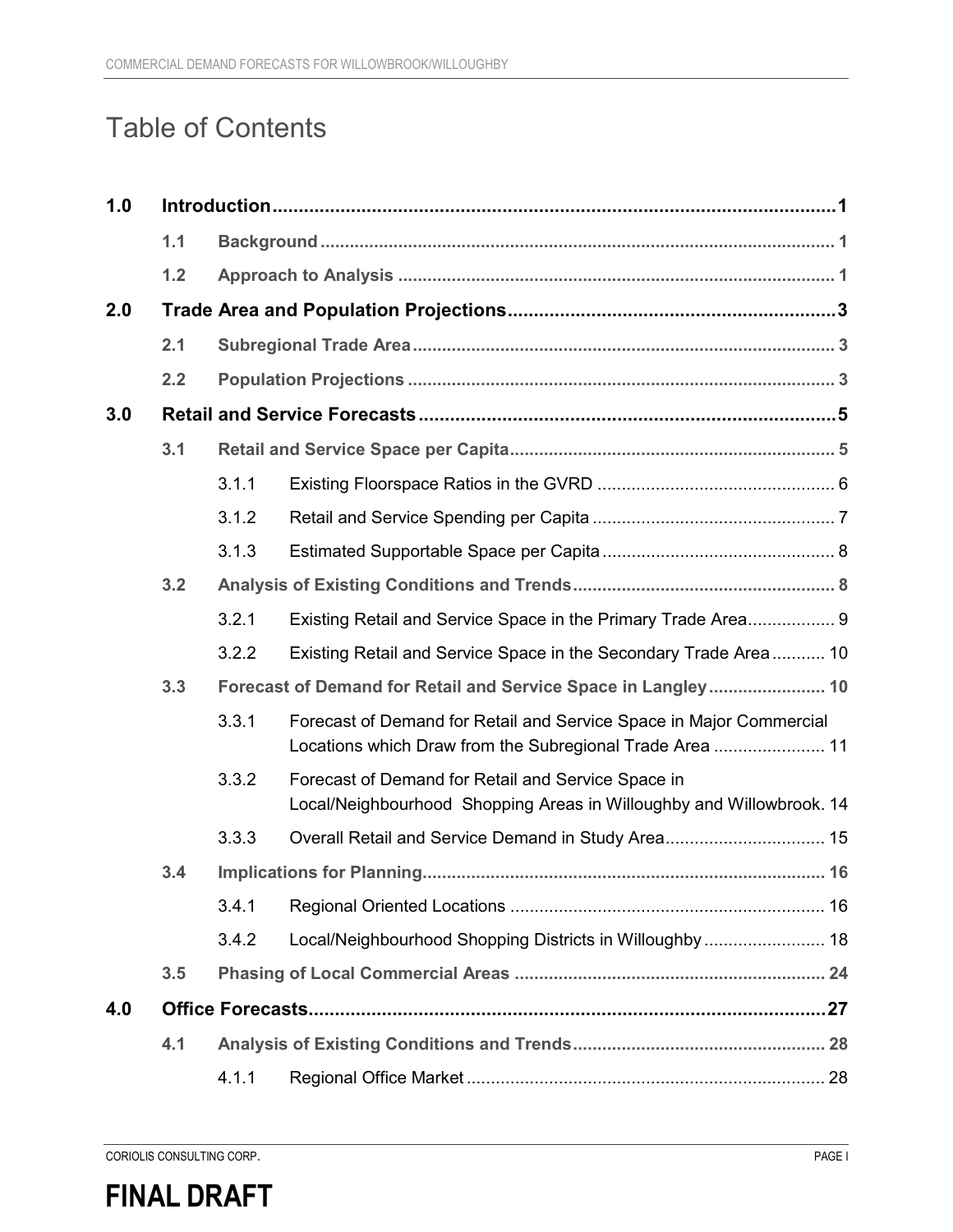## Table of Contents

| 1.0 |     |       |                                                                                                                                 |  |  |  |
|-----|-----|-------|---------------------------------------------------------------------------------------------------------------------------------|--|--|--|
|     | 1.1 |       |                                                                                                                                 |  |  |  |
|     | 1.2 |       |                                                                                                                                 |  |  |  |
| 2.0 |     |       |                                                                                                                                 |  |  |  |
|     | 2.1 |       |                                                                                                                                 |  |  |  |
|     | 2.2 |       |                                                                                                                                 |  |  |  |
| 3.0 |     |       |                                                                                                                                 |  |  |  |
|     | 3.1 |       |                                                                                                                                 |  |  |  |
|     |     | 3.1.1 |                                                                                                                                 |  |  |  |
|     |     | 3.1.2 |                                                                                                                                 |  |  |  |
|     |     | 3.1.3 |                                                                                                                                 |  |  |  |
|     | 3.2 |       |                                                                                                                                 |  |  |  |
|     |     | 3.2.1 | Existing Retail and Service Space in the Primary Trade Area 9                                                                   |  |  |  |
|     |     | 3.2.2 | Existing Retail and Service Space in the Secondary Trade Area 10                                                                |  |  |  |
|     | 3.3 |       | Forecast of Demand for Retail and Service Space in Langley 10                                                                   |  |  |  |
|     |     | 3.3.1 | Forecast of Demand for Retail and Service Space in Major Commercial<br>Locations which Draw from the Subregional Trade Area  11 |  |  |  |
|     |     | 3.3.2 | Forecast of Demand for Retail and Service Space in<br>Local/Neighbourhood Shopping Areas in Willoughby and Willowbrook. 14      |  |  |  |
|     |     | 3.3.3 |                                                                                                                                 |  |  |  |
|     | 3.4 |       |                                                                                                                                 |  |  |  |
|     |     | 3.4.1 |                                                                                                                                 |  |  |  |
|     |     | 3.4.2 | Local/Neighbourhood Shopping Districts in Willoughby 18                                                                         |  |  |  |
|     | 3.5 |       |                                                                                                                                 |  |  |  |
| 4.0 |     |       |                                                                                                                                 |  |  |  |
|     | 4.1 |       |                                                                                                                                 |  |  |  |
|     |     | 4.1.1 |                                                                                                                                 |  |  |  |

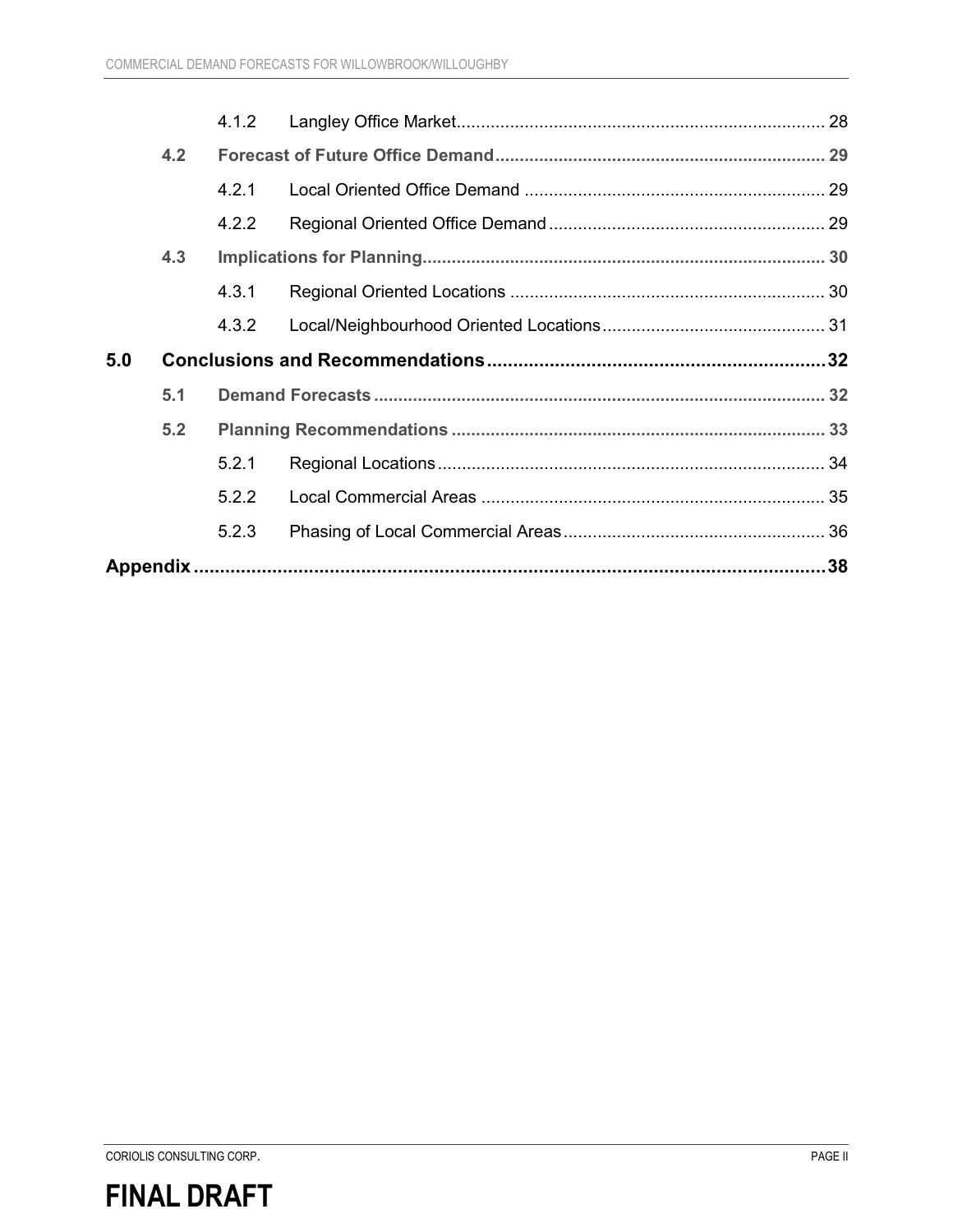|     |     | 4.1.2 |  |
|-----|-----|-------|--|
|     | 4.2 |       |  |
|     |     | 4.2.1 |  |
|     |     | 4.2.2 |  |
|     | 4.3 |       |  |
|     |     | 4.3.1 |  |
|     |     | 4.3.2 |  |
|     |     |       |  |
| 5.0 |     |       |  |
|     | 5.1 |       |  |
|     | 5.2 |       |  |
|     |     | 5.2.1 |  |
|     |     | 5.2.2 |  |
|     |     | 5.2.3 |  |

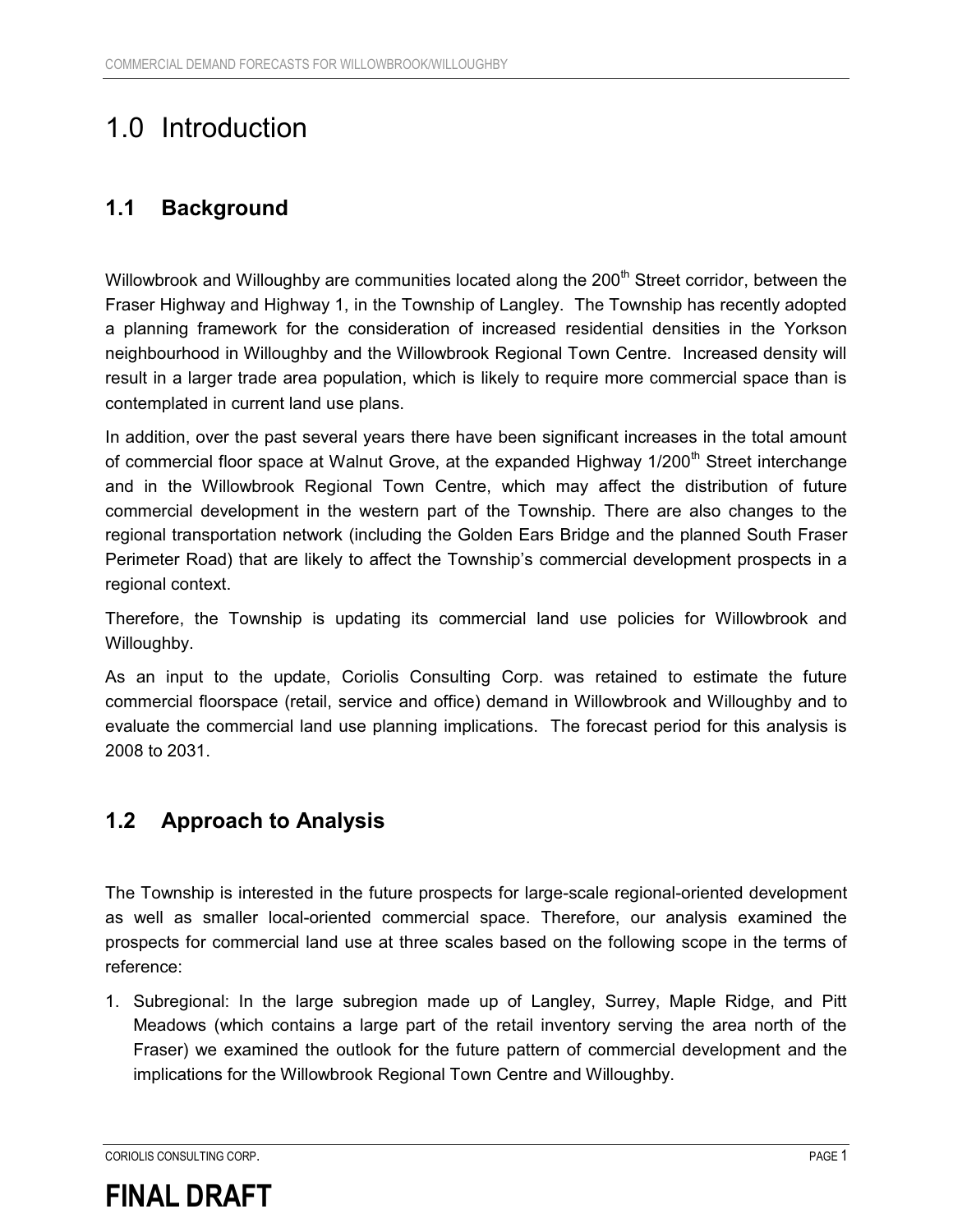## 1.0 Introduction

### **1.1 Background**

Willowbrook and Willoughby are communities located along the 200<sup>th</sup> Street corridor, between the Fraser Highway and Highway 1, in the Township of Langley. The Township has recently adopted a planning framework for the consideration of increased residential densities in the Yorkson neighbourhood in Willoughby and the Willowbrook Regional Town Centre. Increased density will result in a larger trade area population, which is likely to require more commercial space than is contemplated in current land use plans.

In addition, over the past several years there have been significant increases in the total amount of commercial floor space at Walnut Grove, at the expanded Highway 1/200<sup>th</sup> Street interchange and in the Willowbrook Regional Town Centre, which may affect the distribution of future commercial development in the western part of the Township. There are also changes to the regional transportation network (including the Golden Ears Bridge and the planned South Fraser Perimeter Road) that are likely to affect the Township's commercial development prospects in a regional context.

Therefore, the Township is updating its commercial land use policies for Willowbrook and Willoughby.

As an input to the update, Coriolis Consulting Corp. was retained to estimate the future commercial floorspace (retail, service and office) demand in Willowbrook and Willoughby and to evaluate the commercial land use planning implications. The forecast period for this analysis is 2008 to 2031.

### **1.2 Approach to Analysis**

The Township is interested in the future prospects for large-scale regional-oriented development as well as smaller local-oriented commercial space. Therefore, our analysis examined the prospects for commercial land use at three scales based on the following scope in the terms of reference:

1. Subregional: In the large subregion made up of Langley, Surrey, Maple Ridge, and Pitt Meadows (which contains a large part of the retail inventory serving the area north of the Fraser) we examined the outlook for the future pattern of commercial development and the implications for the Willowbrook Regional Town Centre and Willoughby.

CORIOLIS CONSULTING CORP. PAGE 1

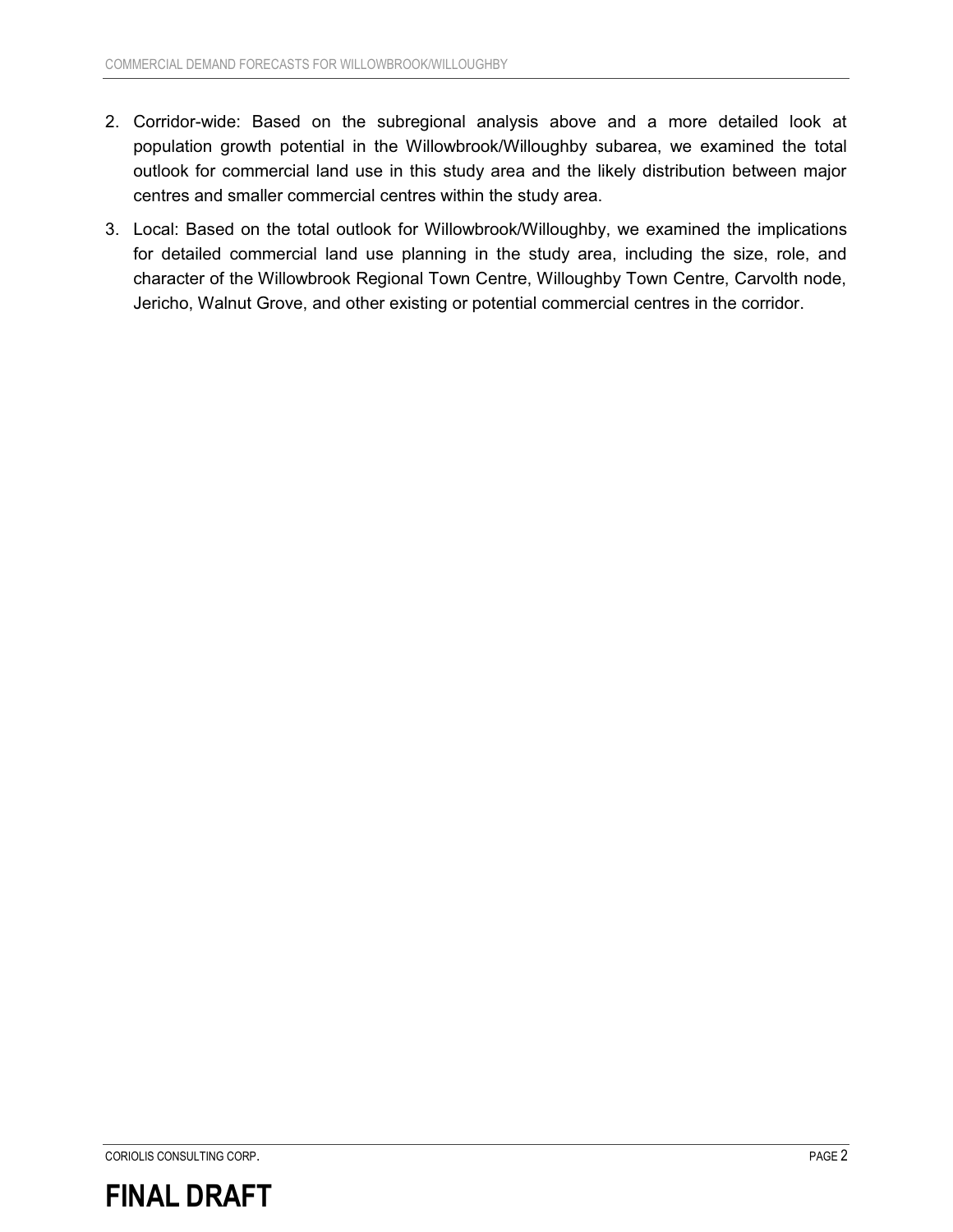- 2. Corridor-wide: Based on the subregional analysis above and a more detailed look at population growth potential in the Willowbrook/Willoughby subarea, we examined the total outlook for commercial land use in this study area and the likely distribution between major centres and smaller commercial centres within the study area.
- 3. Local: Based on the total outlook for Willowbrook/Willoughby, we examined the implications for detailed commercial land use planning in the study area, including the size, role, and character of the Willowbrook Regional Town Centre, Willoughby Town Centre, Carvolth node, Jericho, Walnut Grove, and other existing or potential commercial centres in the corridor.

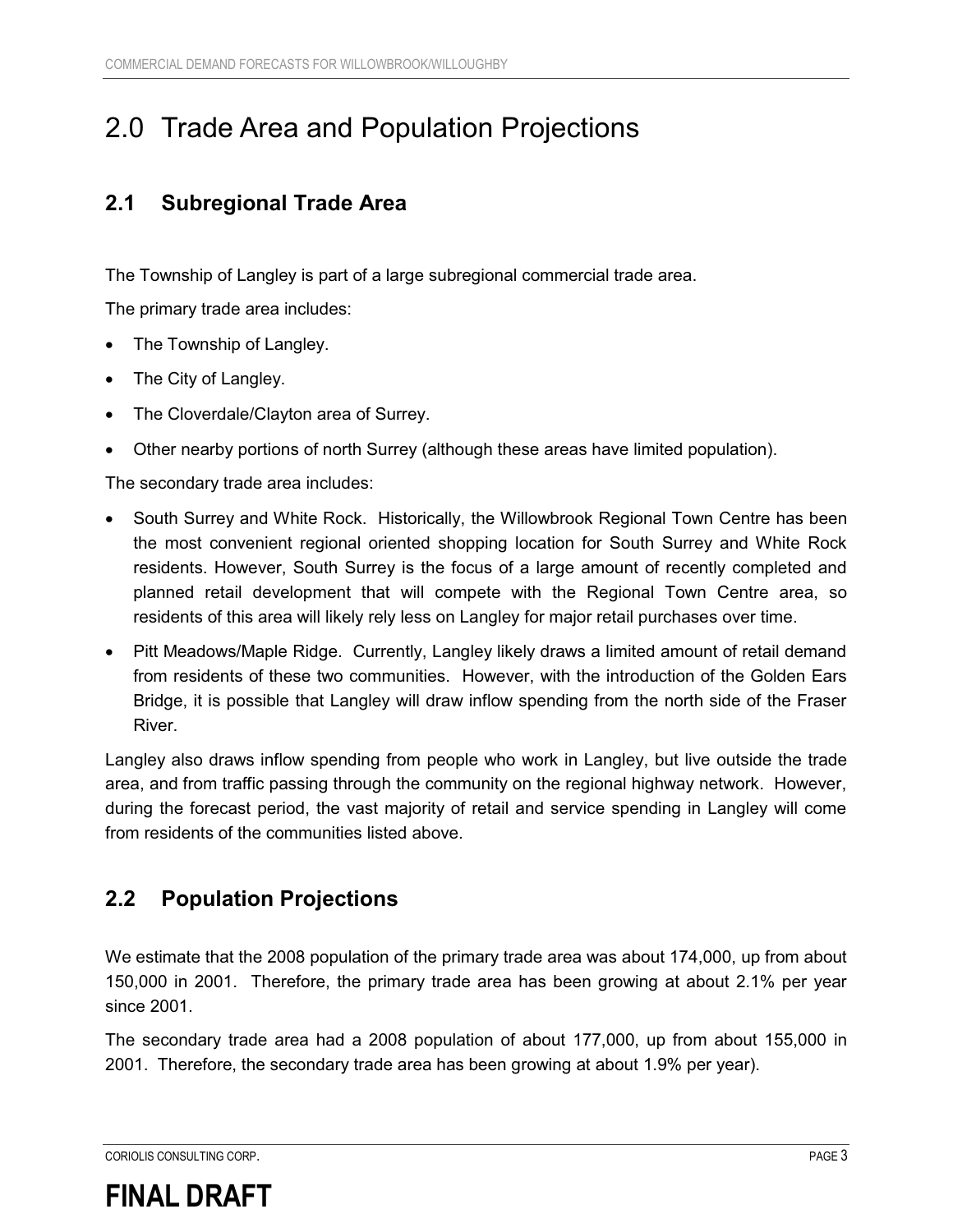## 2.0 Trade Area and Population Projections

### **2.1 Subregional Trade Area**

The Township of Langley is part of a large subregional commercial trade area.

The primary trade area includes:

- -The Township of Langley.
- -The City of Langley.
- $\bullet$ The Cloverdale/Clayton area of Surrey.
- $\bullet$ Other nearby portions of north Surrey (although these areas have limited population).

The secondary trade area includes:

- $\bullet$  South Surrey and White Rock. Historically, the Willowbrook Regional Town Centre has been the most convenient regional oriented shopping location for South Surrey and White Rock residents. However, South Surrey is the focus of a large amount of recently completed and planned retail development that will compete with the Regional Town Centre area, so residents of this area will likely rely less on Langley for major retail purchases over time.
- $\bullet$  Pitt Meadows/Maple Ridge. Currently, Langley likely draws a limited amount of retail demand from residents of these two communities. However, with the introduction of the Golden Ears Bridge, it is possible that Langley will draw inflow spending from the north side of the Fraser River.

Langley also draws inflow spending from people who work in Langley, but live outside the trade area, and from traffic passing through the community on the regional highway network. However, during the forecast period, the vast majority of retail and service spending in Langley will come from residents of the communities listed above.

### **2.2 Population Projections**

We estimate that the 2008 population of the primary trade area was about 174,000, up from about 150,000 in 2001. Therefore, the primary trade area has been growing at about 2.1% per year since 2001.

The secondary trade area had a 2008 population of about 177,000, up from about 155,000 in 2001. Therefore, the secondary trade area has been growing at about 1.9% per year).

CORIOLIS CONSULTING CORP. PAGE 3

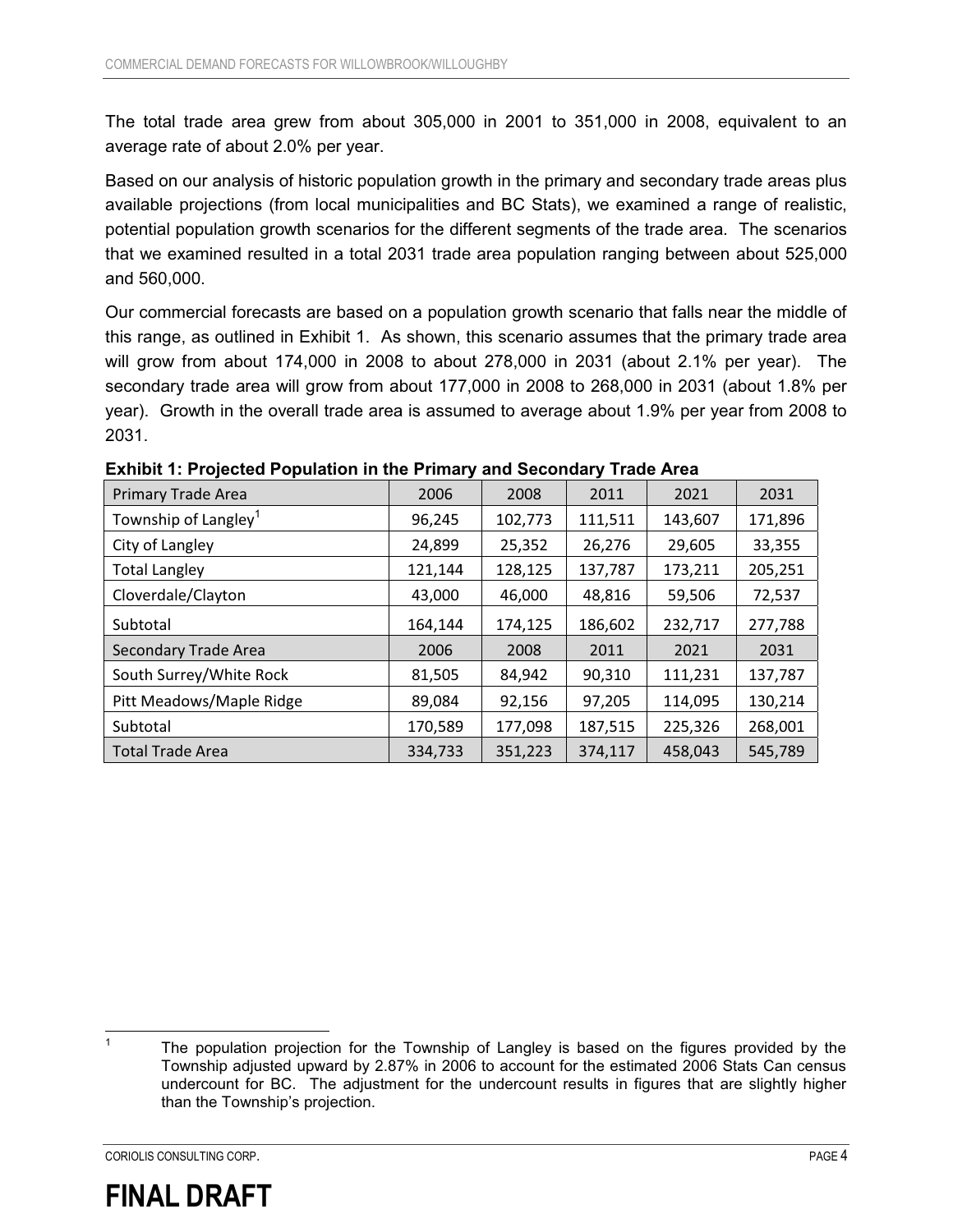The total trade area grew from about 305,000 in 2001 to 351,000 in 2008, equivalent to an average rate of about 2.0% per year.

Based on our analysis of historic population growth in the primary and secondary trade areas plus available projections (from local municipalities and BC Stats), we examined a range of realistic, potential population growth scenarios for the different segments of the trade area. The scenarios that we examined resulted in a total 2031 trade area population ranging between about 525,000 and 560,000.

Our commercial forecasts are based on a population growth scenario that falls near the middle of this range, as outlined in Exhibit 1. As shown, this scenario assumes that the primary trade area will grow from about 174,000 in 2008 to about 278,000 in 2031 (about 2.1% per year). The secondary trade area will grow from about 177,000 in 2008 to 268,000 in 2031 (about 1.8% per year). Growth in the overall trade area is assumed to average about 1.9% per year from 2008 to 2031.

| <b>Primary Trade Area</b>        | 2006    | 2008    | 2011    | 2021    | 2031    |
|----------------------------------|---------|---------|---------|---------|---------|
| Township of Langley <sup>1</sup> | 96,245  | 102,773 | 111,511 | 143,607 | 171,896 |
| City of Langley                  | 24,899  | 25,352  | 26,276  | 29,605  | 33,355  |
| <b>Total Langley</b>             | 121,144 | 128,125 | 137,787 | 173,211 | 205,251 |
| Cloverdale/Clayton               | 43,000  | 46,000  | 48,816  | 59,506  | 72,537  |
| Subtotal                         | 164,144 | 174,125 | 186,602 | 232,717 | 277,788 |
| <b>Secondary Trade Area</b>      | 2006    | 2008    | 2011    | 2021    | 2031    |
| South Surrey/White Rock          | 81,505  | 84,942  | 90,310  | 111,231 | 137,787 |
| Pitt Meadows/Maple Ridge         | 89,084  | 92,156  | 97,205  | 114,095 | 130,214 |
| Subtotal                         | 170,589 | 177,098 | 187,515 | 225,326 | 268,001 |
| <b>Total Trade Area</b>          | 334,733 | 351,223 | 374,117 | 458,043 | 545,789 |

**Exhibit 1: Projected Population in the Primary and Secondary Trade Area** 

 $\overline{1}$ 



The population projection for the Township of Langley is based on the figures provided by the Township adjusted upward by 2.87% in 2006 to account for the estimated 2006 Stats Can census undercount for BC. The adjustment for the undercount results in figures that are slightly higher than the Township's projection.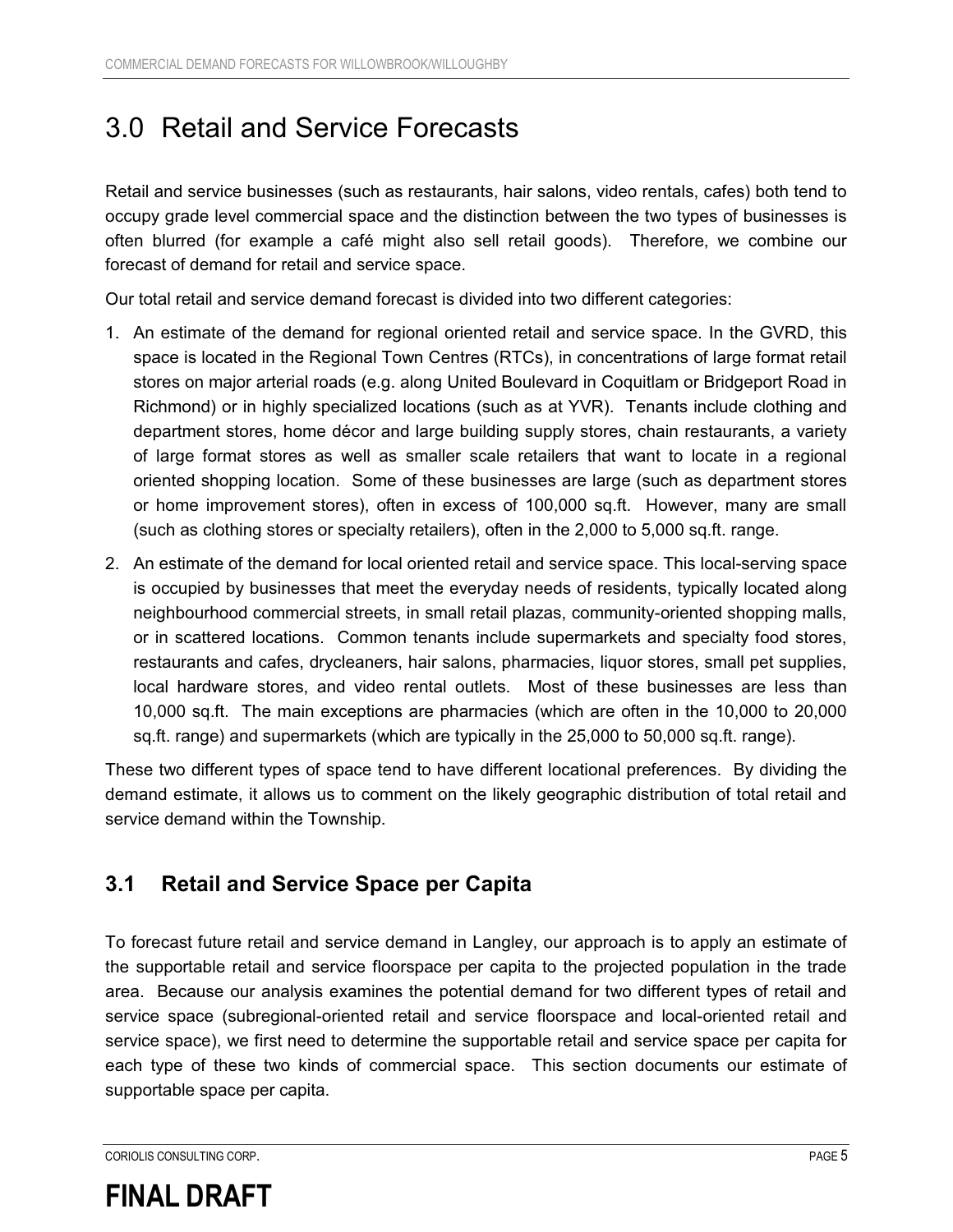## 3.0 Retail and Service Forecasts

Retail and service businesses (such as restaurants, hair salons, video rentals, cafes) both tend to occupy grade level commercial space and the distinction between the two types of businesses is often blurred (for example a café might also sell retail goods). Therefore, we combine our forecast of demand for retail and service space.

Our total retail and service demand forecast is divided into two different categories:

- 1. An estimate of the demand for regional oriented retail and service space. In the GVRD, this space is located in the Regional Town Centres (RTCs), in concentrations of large format retail stores on major arterial roads (e.g. along United Boulevard in Coquitlam or Bridgeport Road in Richmond) or in highly specialized locations (such as at YVR). Tenants include clothing and department stores, home décor and large building supply stores, chain restaurants, a variety of large format stores as well as smaller scale retailers that want to locate in a regional oriented shopping location. Some of these businesses are large (such as department stores or home improvement stores), often in excess of 100,000 sq.ft. However, many are small (such as clothing stores or specialty retailers), often in the 2,000 to 5,000 sq.ft. range.
- 2. An estimate of the demand for local oriented retail and service space. This local-serving space is occupied by businesses that meet the everyday needs of residents, typically located along neighbourhood commercial streets, in small retail plazas, community-oriented shopping malls, or in scattered locations. Common tenants include supermarkets and specialty food stores, restaurants and cafes, drycleaners, hair salons, pharmacies, liquor stores, small pet supplies, local hardware stores, and video rental outlets. Most of these businesses are less than 10,000 sq.ft. The main exceptions are pharmacies (which are often in the 10,000 to 20,000 sq.ft. range) and supermarkets (which are typically in the 25,000 to 50,000 sq.ft. range).

These two different types of space tend to have different locational preferences. By dividing the demand estimate, it allows us to comment on the likely geographic distribution of total retail and service demand within the Township.

### **3.1 Retail and Service Space per Capita**

To forecast future retail and service demand in Langley, our approach is to apply an estimate of the supportable retail and service floorspace per capita to the projected population in the trade area. Because our analysis examines the potential demand for two different types of retail and service space (subregional-oriented retail and service floorspace and local-oriented retail and service space), we first need to determine the supportable retail and service space per capita for each type of these two kinds of commercial space. This section documents our estimate of supportable space per capita.

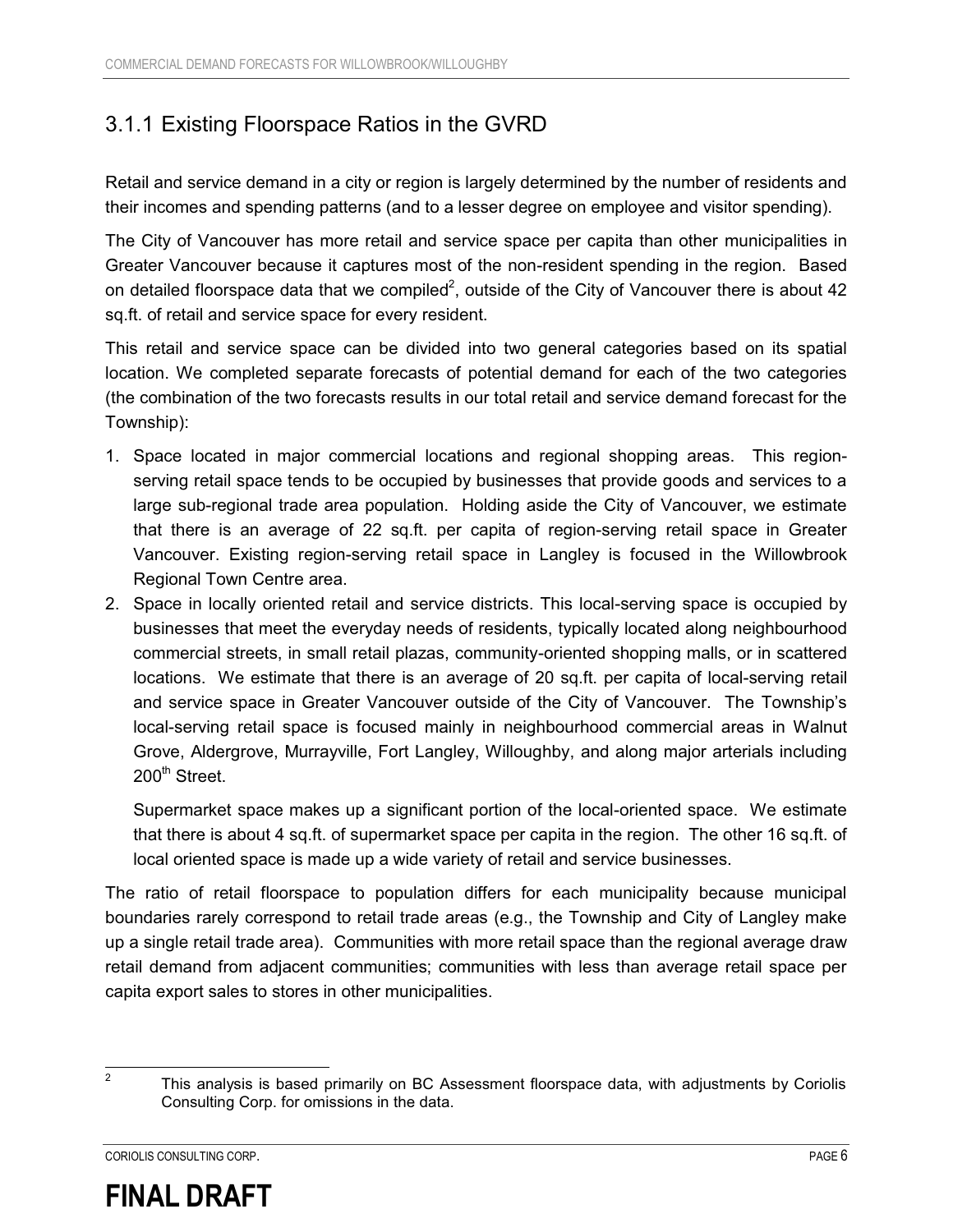### 3.1.1 Existing Floorspace Ratios in the GVRD

Retail and service demand in a city or region is largely determined by the number of residents and their incomes and spending patterns (and to a lesser degree on employee and visitor spending).

The City of Vancouver has more retail and service space per capita than other municipalities in Greater Vancouver because it captures most of the non-resident spending in the region. Based on detailed floorspace data that we compiled<sup>2</sup>, outside of the City of Vancouver there is about 42 sq.ft. of retail and service space for every resident.

This retail and service space can be divided into two general categories based on its spatial location. We completed separate forecasts of potential demand for each of the two categories (the combination of the two forecasts results in our total retail and service demand forecast for the Township):

- 1. Space located in major commercial locations and regional shopping areas. This regionserving retail space tends to be occupied by businesses that provide goods and services to a large sub-regional trade area population. Holding aside the City of Vancouver, we estimate that there is an average of 22 sq.ft. per capita of region-serving retail space in Greater Vancouver. Existing region-serving retail space in Langley is focused in the Willowbrook Regional Town Centre area.
- 2. Space in locally oriented retail and service districts. This local-serving space is occupied by businesses that meet the everyday needs of residents, typically located along neighbourhood commercial streets, in small retail plazas, community-oriented shopping malls, or in scattered locations. We estimate that there is an average of 20 sq.ft. per capita of local-serving retail and service space in Greater Vancouver outside of the City of Vancouver. The Township's local-serving retail space is focused mainly in neighbourhood commercial areas in Walnut Grove, Aldergrove, Murrayville, Fort Langley, Willoughby, and along major arterials including 200<sup>th</sup> Street.

Supermarket space makes up a significant portion of the local-oriented space. We estimate that there is about 4 sq.ft. of supermarket space per capita in the region. The other 16 sq.ft. of local oriented space is made up a wide variety of retail and service businesses.

The ratio of retail floorspace to population differs for each municipality because municipal boundaries rarely correspond to retail trade areas (e.g., the Township and City of Langley make up a single retail trade area). Communities with more retail space than the regional average draw retail demand from adjacent communities; communities with less than average retail space per capita export sales to stores in other municipalities.



<sup>&</sup>lt;sup>2</sup> This analysis is based primarily on BC Assessment floorspace data, with adjustments by Coriolis Consulting Corp. for omissions in the data.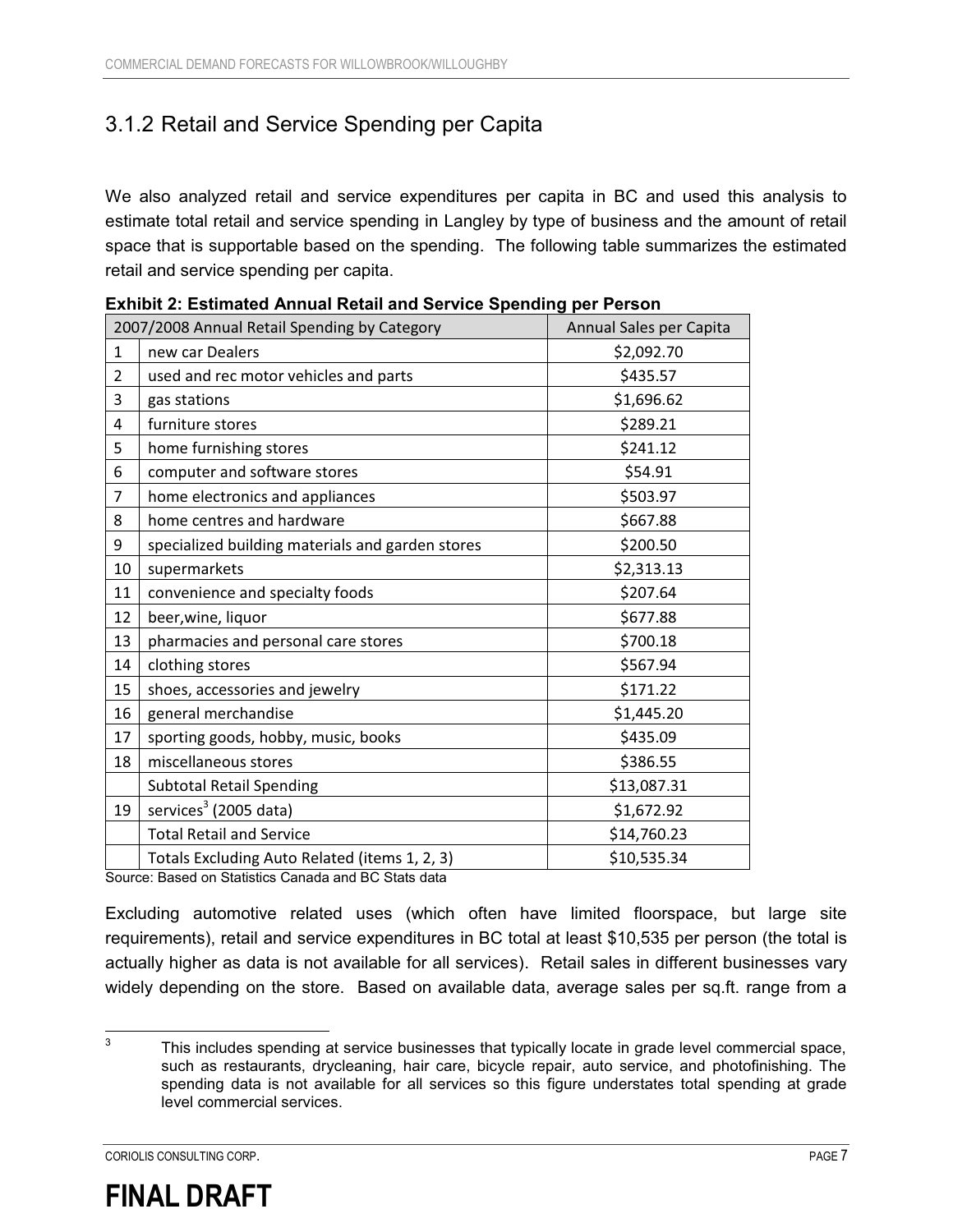### 3.1.2 Retail and Service Spending per Capita

We also analyzed retail and service expenditures per capita in BC and used this analysis to estimate total retail and service spending in Langley by type of business and the amount of retail space that is supportable based on the spending. The following table summarizes the estimated retail and service spending per capita.

|                | 2007/2008 Annual Retail Spending by Category                                                     | Annual Sales per Capita |
|----------------|--------------------------------------------------------------------------------------------------|-------------------------|
| $\mathbf{1}$   | new car Dealers                                                                                  | \$2,092.70              |
| $\overline{2}$ | used and rec motor vehicles and parts                                                            | \$435.57                |
| 3              | gas stations                                                                                     | \$1,696.62              |
| 4              | furniture stores                                                                                 | \$289.21                |
| 5              | home furnishing stores                                                                           | \$241.12                |
| 6              | computer and software stores                                                                     | \$54.91                 |
| $\overline{7}$ | home electronics and appliances                                                                  | \$503.97                |
| 8              | home centres and hardware                                                                        | \$667.88                |
| 9              | specialized building materials and garden stores                                                 | \$200.50                |
| 10             | supermarkets                                                                                     | \$2,313.13              |
| 11             | convenience and specialty foods                                                                  | \$207.64                |
| 12             | beer, wine, liquor                                                                               | \$677.88                |
| 13             | pharmacies and personal care stores                                                              | \$700.18                |
| 14             | clothing stores                                                                                  | \$567.94                |
| 15             | shoes, accessories and jewelry                                                                   | \$171.22                |
| 16             | general merchandise                                                                              | \$1,445.20              |
| 17             | sporting goods, hobby, music, books                                                              | \$435.09                |
| 18             | miscellaneous stores                                                                             | \$386.55                |
|                | <b>Subtotal Retail Spending</b>                                                                  | \$13,087.31             |
| 19             | services <sup>3</sup> (2005 data)                                                                | \$1,672.92              |
|                | <b>Total Retail and Service</b>                                                                  | \$14,760.23             |
|                | Totals Excluding Auto Related (items 1, 2, 3)<br>Beard on Official Organizational BO Office data | \$10,535.34             |

| <b>Exhibit 2: Estimated Annual Retail and Service Spending per Person</b> |  |
|---------------------------------------------------------------------------|--|
|---------------------------------------------------------------------------|--|

Source: Based on Statistics Canada and BC Stats data

Excluding automotive related uses (which often have limited floorspace, but large site requirements), retail and service expenditures in BC total at least \$10,535 per person (the total is actually higher as data is not available for all services). Retail sales in different businesses vary widely depending on the store. Based on available data, average sales per sq.ft. range from a



 3 This includes spending at service businesses that typically locate in grade level commercial space, such as restaurants, drycleaning, hair care, bicycle repair, auto service, and photofinishing. The spending data is not available for all services so this figure understates total spending at grade level commercial services.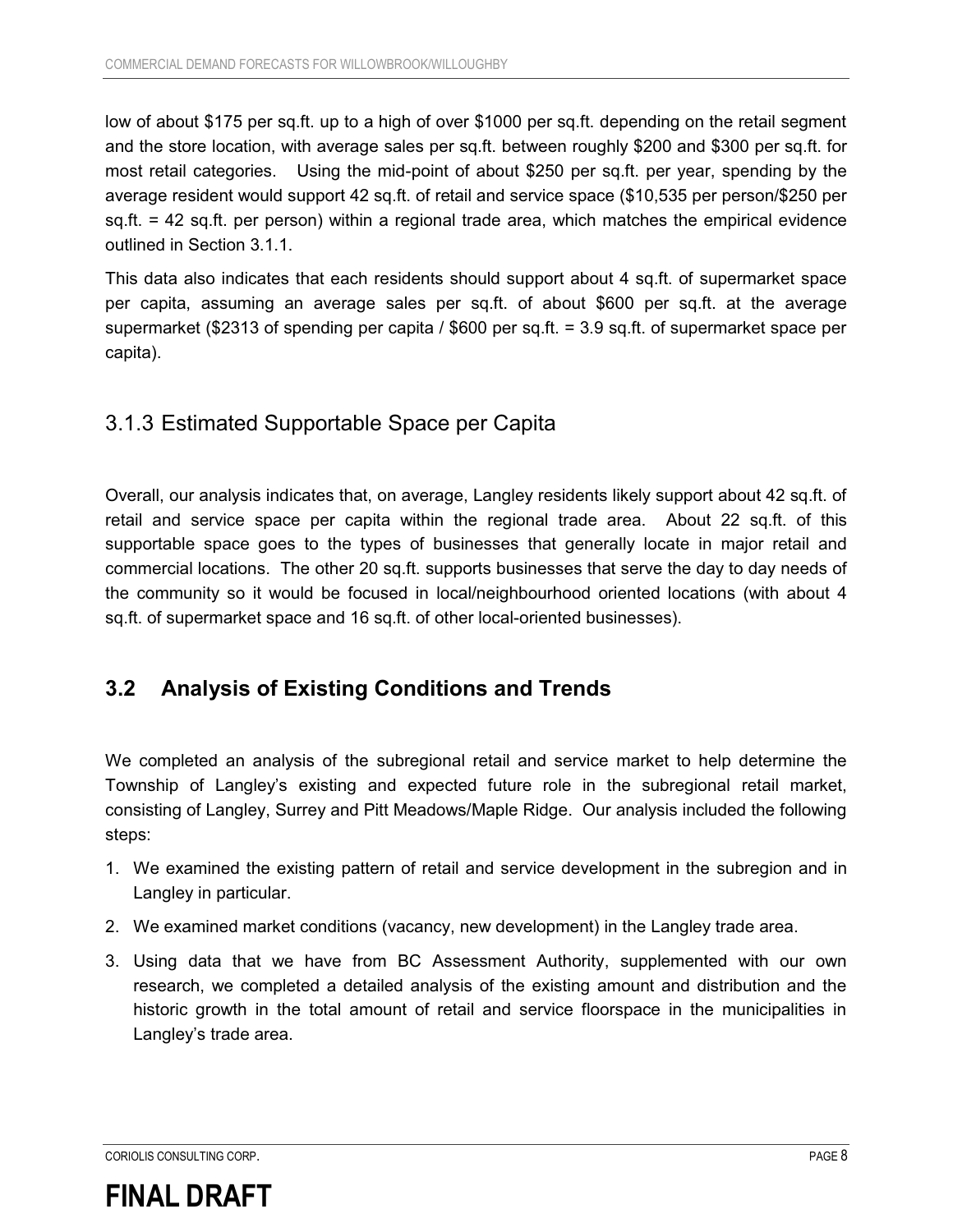low of about \$175 per sq.ft. up to a high of over \$1000 per sq.ft. depending on the retail segment and the store location, with average sales per sq.ft. between roughly \$200 and \$300 per sq.ft. for most retail categories. Using the mid-point of about \$250 per sq.ft. per year, spending by the average resident would support 42 sq.ft. of retail and service space (\$10,535 per person/\$250 per sq.ft. = 42 sq.ft. per person) within a regional trade area, which matches the empirical evidence outlined in Section 3.1.1.

This data also indicates that each residents should support about 4 sq.ft. of supermarket space per capita, assuming an average sales per sq.ft. of about \$600 per sq.ft. at the average supermarket (\$2313 of spending per capita / \$600 per sq.ft. = 3.9 sq.ft. of supermarket space per capita).

### 3.1.3 Estimated Supportable Space per Capita

Overall, our analysis indicates that, on average, Langley residents likely support about 42 sq.ft. of retail and service space per capita within the regional trade area. About 22 sq.ft. of this supportable space goes to the types of businesses that generally locate in major retail and commercial locations. The other 20 sq.ft. supports businesses that serve the day to day needs of the community so it would be focused in local/neighbourhood oriented locations (with about 4 sq.ft. of supermarket space and 16 sq.ft. of other local-oriented businesses).

### **3.2 Analysis of Existing Conditions and Trends**

We completed an analysis of the subregional retail and service market to help determine the Township of Langley's existing and expected future role in the subregional retail market, consisting of Langley, Surrey and Pitt Meadows/Maple Ridge. Our analysis included the following steps:

- 1. We examined the existing pattern of retail and service development in the subregion and in Langley in particular.
- 2. We examined market conditions (vacancy, new development) in the Langley trade area.
- 3. Using data that we have from BC Assessment Authority, supplemented with our own research, we completed a detailed analysis of the existing amount and distribution and the historic growth in the total amount of retail and service floorspace in the municipalities in Langley's trade area.

#### CORIOLIS CONSULTING CORP. PAGE 8

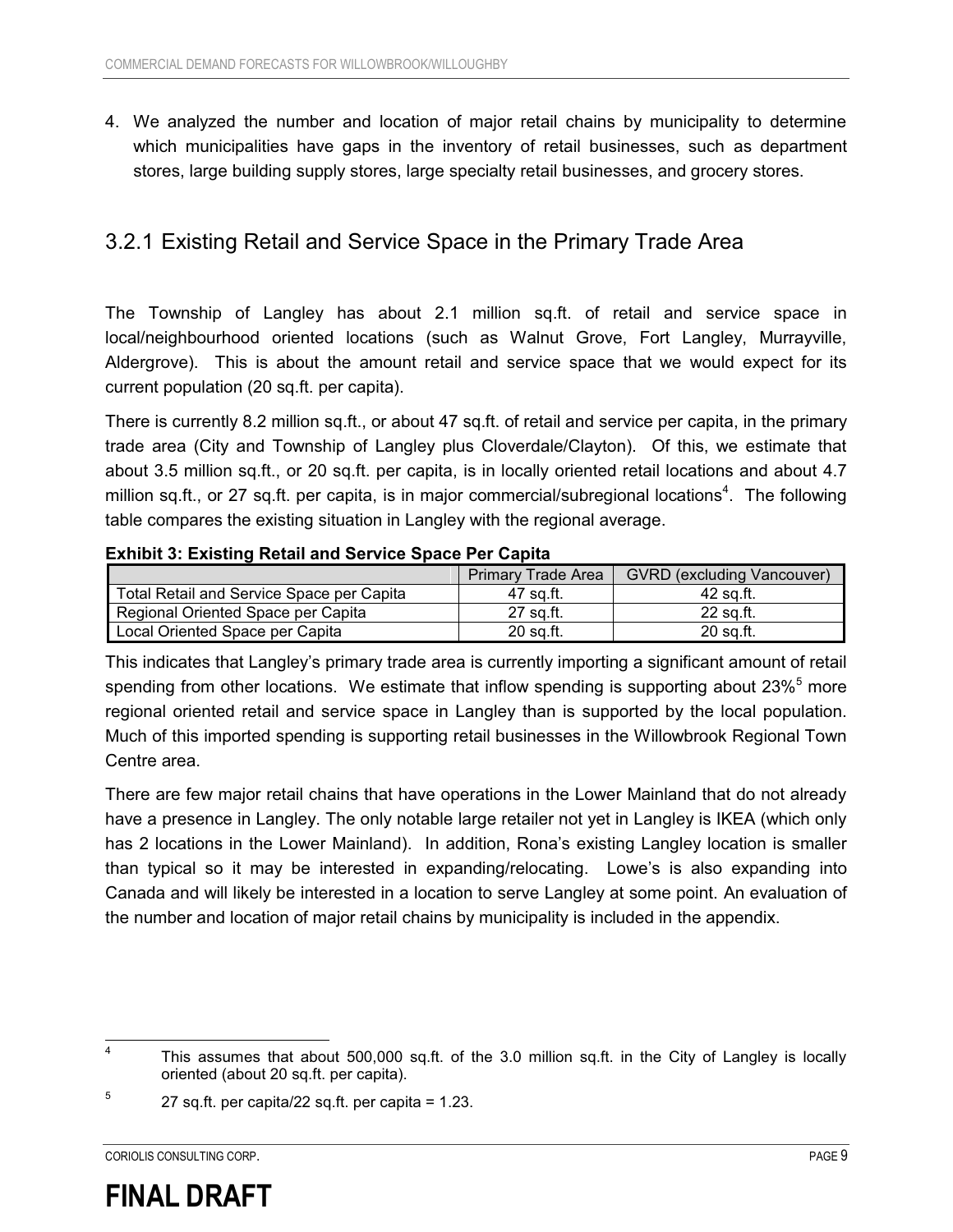4. We analyzed the number and location of major retail chains by municipality to determine which municipalities have gaps in the inventory of retail businesses, such as department stores, large building supply stores, large specialty retail businesses, and grocery stores.

### 3.2.1 Existing Retail and Service Space in the Primary Trade Area

The Township of Langley has about 2.1 million sq.ft. of retail and service space in local/neighbourhood oriented locations (such as Walnut Grove, Fort Langley, Murrayville, Aldergrove). This is about the amount retail and service space that we would expect for its current population (20 sq.ft. per capita).

There is currently 8.2 million sq.ft., or about 47 sq.ft. of retail and service per capita, in the primary trade area (City and Township of Langley plus Cloverdale/Clayton). Of this, we estimate that about 3.5 million sq.ft., or 20 sq.ft. per capita, is in locally oriented retail locations and about 4.7 million sq.ft., or 27 sq.ft. per capita, is in major commercial/subregional locations<sup>4</sup>. The following table compares the existing situation in Langley with the regional average.

#### **Exhibit 3: Existing Retail and Service Space Per Capita**

|                                           | <b>Primary Trade Area</b> | <b>GVRD</b> (excluding Vancouver) |
|-------------------------------------------|---------------------------|-----------------------------------|
| Total Retail and Service Space per Capita | 47 sa.ft.                 | 42 sa.ft.                         |
| Regional Oriented Space per Capita        | 27 sa.ft.                 | 22 sa.ft.                         |
| Local Oriented Space per Capita           | 20 sa.ft.                 | 20 sa.ft.                         |

This indicates that Langley's primary trade area is currently importing a significant amount of retail spending from other locations. We estimate that inflow spending is supporting about 23%<sup>5</sup> more regional oriented retail and service space in Langley than is supported by the local population. Much of this imported spending is supporting retail businesses in the Willowbrook Regional Town Centre area.

There are few major retail chains that have operations in the Lower Mainland that do not already have a presence in Langley. The only notable large retailer not yet in Langley is IKEA (which only has 2 locations in the Lower Mainland). In addition, Rona's existing Langley location is smaller than typical so it may be interested in expanding/relocating. Lowe's is also expanding into Canada and will likely be interested in a location to serve Langley at some point. An evaluation of the number and location of major retail chains by municipality is included in the appendix.

CORIOLIS CONSULTING CORP. PAGE 9

 $\frac{1}{4}$  This assumes that about 500,000 sq.ft. of the 3.0 million sq.ft. in the City of Langley is locally oriented (about 20 sq.ft. per capita).

<sup>5</sup> 27 sq.ft. per capita/22 sq.ft. per capita = 1.23.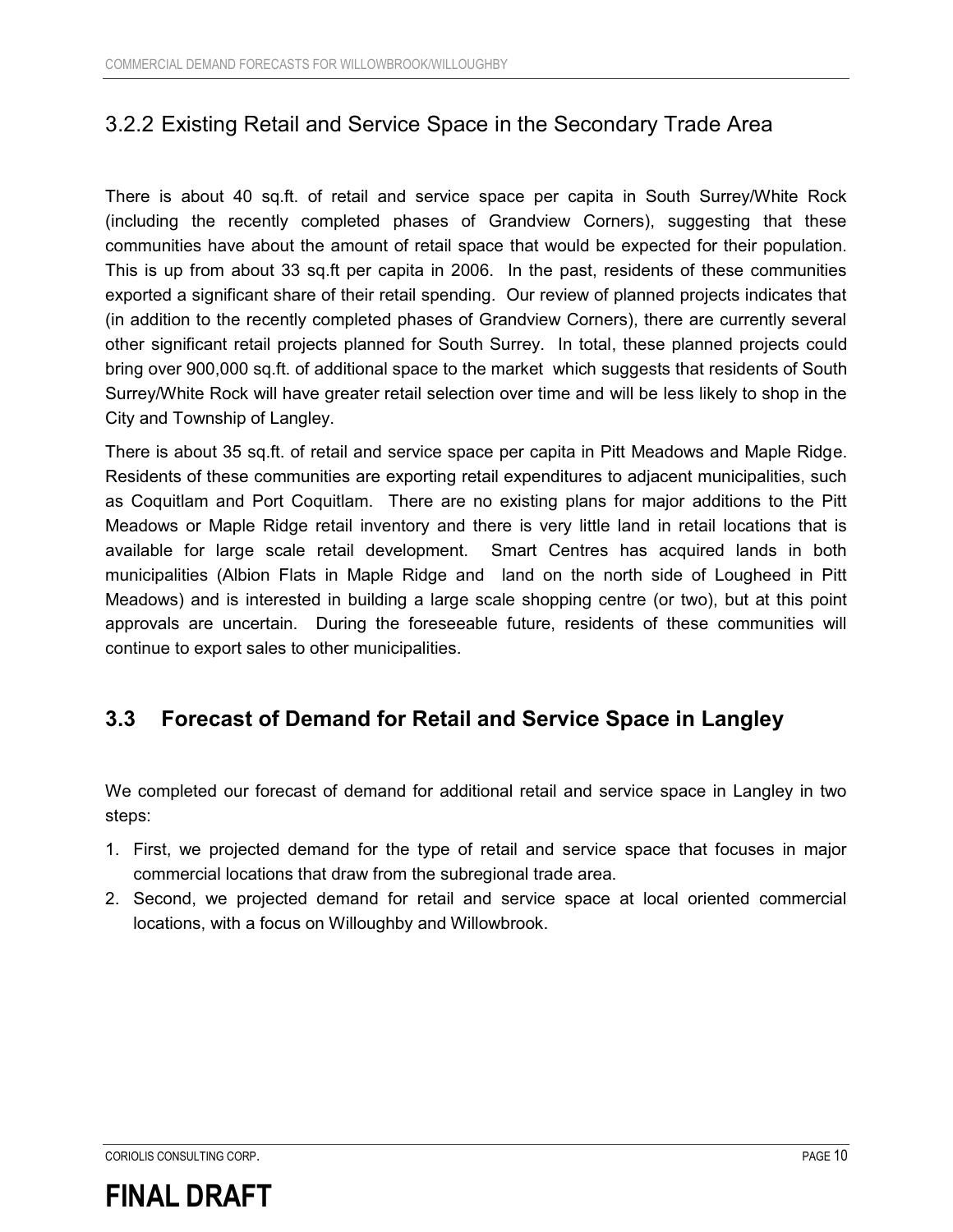### 3.2.2 Existing Retail and Service Space in the Secondary Trade Area

There is about 40 sq.ft. of retail and service space per capita in South Surrey/White Rock (including the recently completed phases of Grandview Corners), suggesting that these communities have about the amount of retail space that would be expected for their population. This is up from about 33 sq.ft per capita in 2006. In the past, residents of these communities exported a significant share of their retail spending. Our review of planned projects indicates that (in addition to the recently completed phases of Grandview Corners), there are currently several other significant retail projects planned for South Surrey. In total, these planned projects could bring over 900,000 sq.ft. of additional space to the market which suggests that residents of South Surrey/White Rock will have greater retail selection over time and will be less likely to shop in the City and Township of Langley.

There is about 35 sq.ft. of retail and service space per capita in Pitt Meadows and Maple Ridge. Residents of these communities are exporting retail expenditures to adjacent municipalities, such as Coquitlam and Port Coquitlam. There are no existing plans for major additions to the Pitt Meadows or Maple Ridge retail inventory and there is very little land in retail locations that is available for large scale retail development. Smart Centres has acquired lands in both municipalities (Albion Flats in Maple Ridge and land on the north side of Lougheed in Pitt Meadows) and is interested in building a large scale shopping centre (or two), but at this point approvals are uncertain. During the foreseeable future, residents of these communities will continue to export sales to other municipalities.

#### **3.3 Forecast of Demand for Retail and Service Space in Langley**

We completed our forecast of demand for additional retail and service space in Langley in two steps:

- 1. First, we projected demand for the type of retail and service space that focuses in major commercial locations that draw from the subregional trade area.
- 2. Second, we projected demand for retail and service space at local oriented commercial locations, with a focus on Willoughby and Willowbrook.

CORIOLIS CONSULTING CORP. PAGE 10

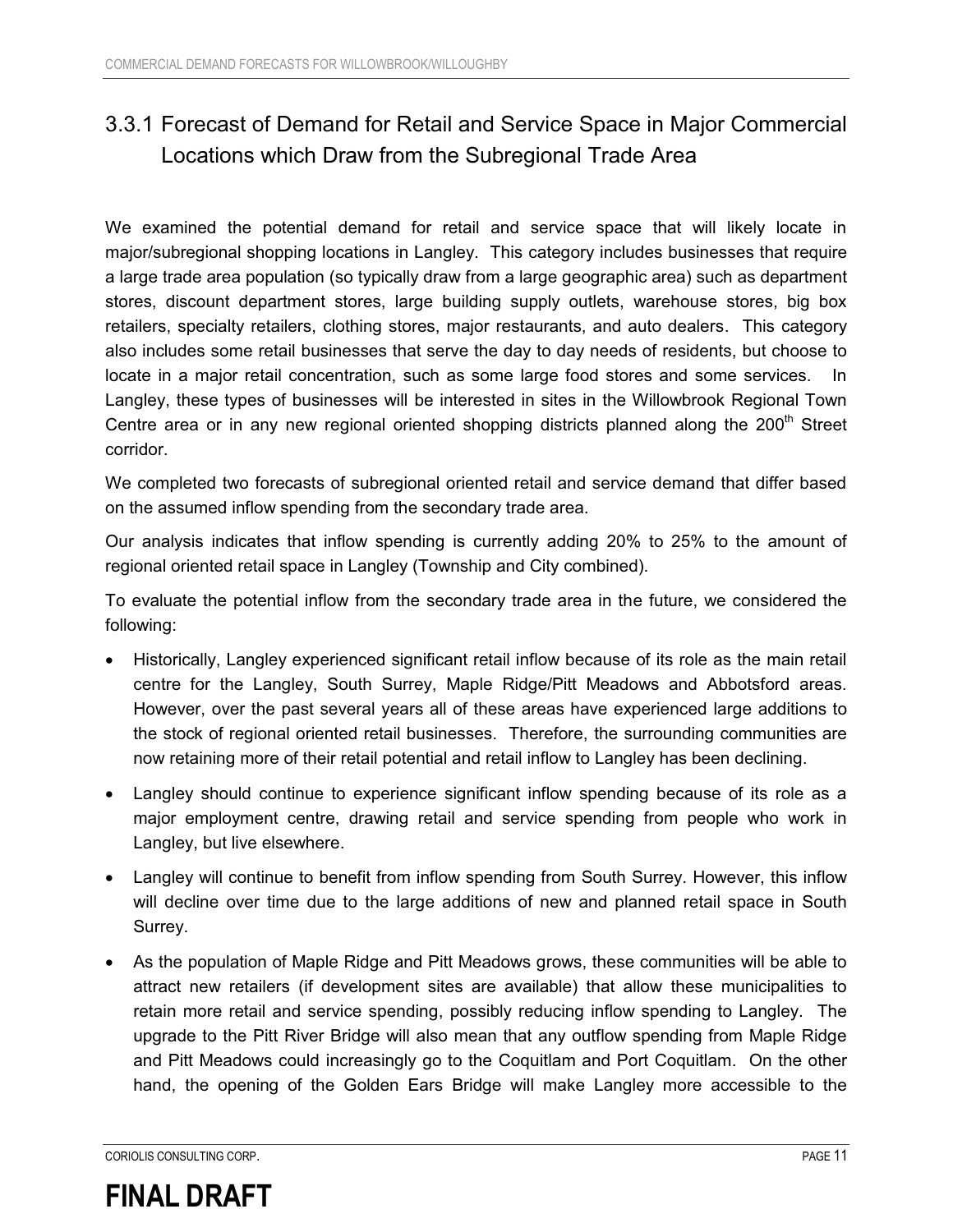### 3.3.1 Forecast of Demand for Retail and Service Space in Major Commercial Locations which Draw from the Subregional Trade Area

We examined the potential demand for retail and service space that will likely locate in major/subregional shopping locations in Langley. This category includes businesses that require a large trade area population (so typically draw from a large geographic area) such as department stores, discount department stores, large building supply outlets, warehouse stores, big box retailers, specialty retailers, clothing stores, major restaurants, and auto dealers. This category also includes some retail businesses that serve the day to day needs of residents, but choose to locate in a major retail concentration, such as some large food stores and some services. In Langley, these types of businesses will be interested in sites in the Willowbrook Regional Town Centre area or in any new regional oriented shopping districts planned along the  $200<sup>th</sup>$  Street corridor.

We completed two forecasts of subregional oriented retail and service demand that differ based on the assumed inflow spending from the secondary trade area.

Our analysis indicates that inflow spending is currently adding 20% to 25% to the amount of regional oriented retail space in Langley (Township and City combined).

To evaluate the potential inflow from the secondary trade area in the future, we considered the following:

- Historically, Langley experienced significant retail inflow because of its role as the main retail centre for the Langley, South Surrey, Maple Ridge/Pitt Meadows and Abbotsford areas. However, over the past several years all of these areas have experienced large additions to the stock of regional oriented retail businesses. Therefore, the surrounding communities are now retaining more of their retail potential and retail inflow to Langley has been declining.
- $\bullet$  Langley should continue to experience significant inflow spending because of its role as a major employment centre, drawing retail and service spending from people who work in Langley, but live elsewhere.
- Langley will continue to benefit from inflow spending from South Surrey. However, this inflow will decline over time due to the large additions of new and planned retail space in South Surrey.
- $\bullet$  As the population of Maple Ridge and Pitt Meadows grows, these communities will be able to attract new retailers (if development sites are available) that allow these municipalities to retain more retail and service spending, possibly reducing inflow spending to Langley. The upgrade to the Pitt River Bridge will also mean that any outflow spending from Maple Ridge and Pitt Meadows could increasingly go to the Coquitlam and Port Coquitlam. On the other hand, the opening of the Golden Ears Bridge will make Langley more accessible to the

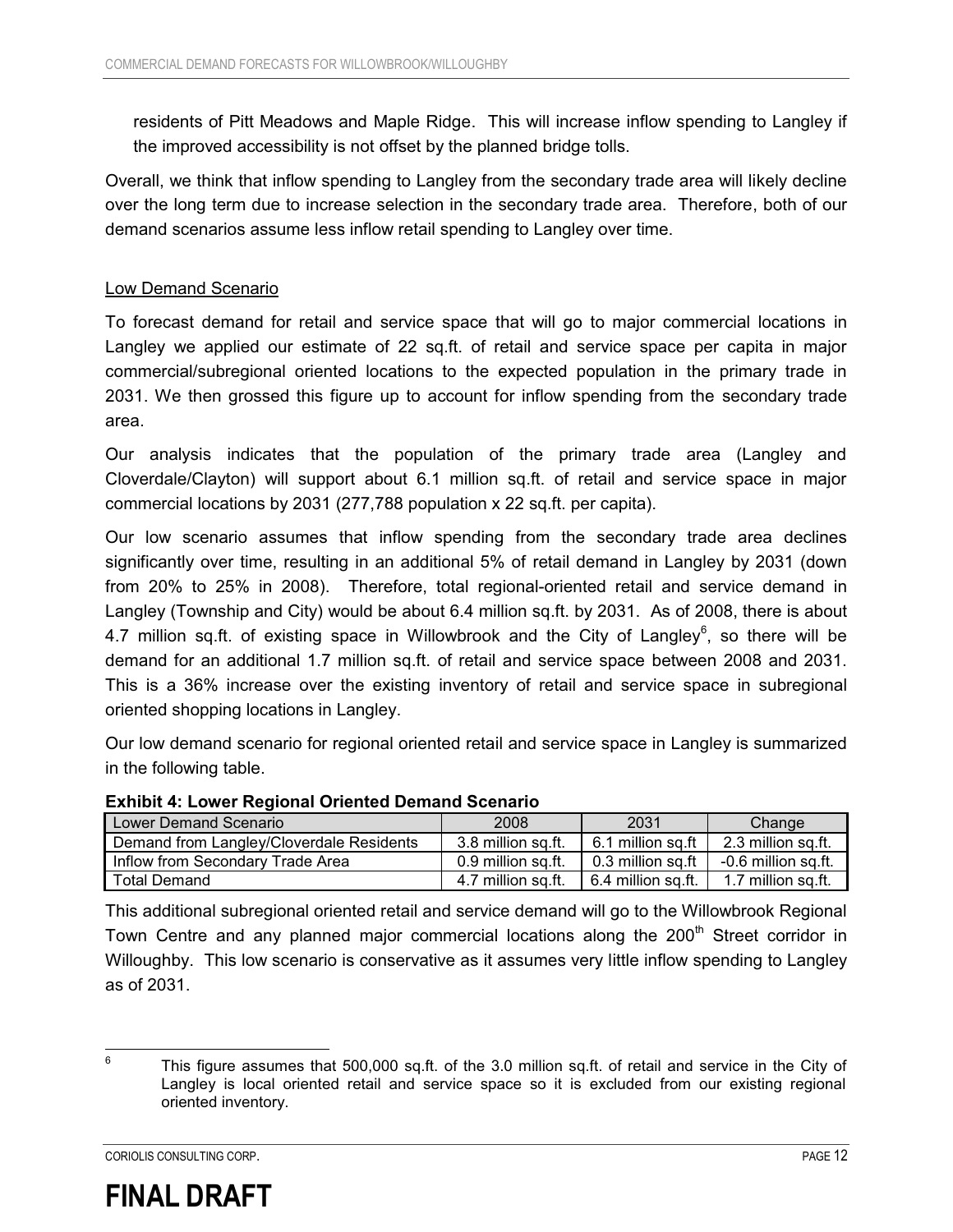residents of Pitt Meadows and Maple Ridge. This will increase inflow spending to Langley if the improved accessibility is not offset by the planned bridge tolls.

Overall, we think that inflow spending to Langley from the secondary trade area will likely decline over the long term due to increase selection in the secondary trade area. Therefore, both of our demand scenarios assume less inflow retail spending to Langley over time.

#### Low Demand Scenario

To forecast demand for retail and service space that will go to major commercial locations in Langley we applied our estimate of 22 sq.ft. of retail and service space per capita in major commercial/subregional oriented locations to the expected population in the primary trade in 2031. We then grossed this figure up to account for inflow spending from the secondary trade area.

Our analysis indicates that the population of the primary trade area (Langley and Cloverdale/Clayton) will support about 6.1 million sq.ft. of retail and service space in major commercial locations by 2031 (277,788 population x 22 sq.ft. per capita).

Our low scenario assumes that inflow spending from the secondary trade area declines significantly over time, resulting in an additional 5% of retail demand in Langley by 2031 (down from 20% to 25% in 2008). Therefore, total regional-oriented retail and service demand in Langley (Township and City) would be about 6.4 million sq.ft. by 2031. As of 2008, there is about 4.7 million sq.ft. of existing space in Willowbrook and the City of Langley<sup>6</sup>, so there will be demand for an additional 1.7 million sq.ft. of retail and service space between 2008 and 2031. This is a 36% increase over the existing inventory of retail and service space in subregional oriented shopping locations in Langley.

Our low demand scenario for regional oriented retail and service space in Langley is summarized in the following table.

| $\blacksquare$                           |                    |                               |                                               |
|------------------------------------------|--------------------|-------------------------------|-----------------------------------------------|
| Lower Demand Scenario                    | 2008               | 2031                          | Change                                        |
| Demand from Langley/Cloverdale Residents | 3.8 million sq.ft. | 6.1 million sq.ft $\parallel$ | 2.3 million sq.ft.                            |
| Inflow from Secondary Trade Area         | 0.9 million sq.ft. | 0.3 million sq.ft             | -0.6 million sq.ft.                           |
| <b>Total Demand</b>                      | 4.7 million sa.ft. |                               | 6.4 million sq.ft. $\vert$ 1.7 million sq.ft. |

#### **Exhibit 4: Lower Regional Oriented Demand Scenario**

This additional subregional oriented retail and service demand will go to the Willowbrook Regional Town Centre and any planned major commercial locations along the 200<sup>th</sup> Street corridor in Willoughby. This low scenario is conservative as it assumes very little inflow spending to Langley as of 2031.



 6

This figure assumes that 500,000 sq.ft. of the 3.0 million sq.ft. of retail and service in the City of Langley is local oriented retail and service space so it is excluded from our existing regional oriented inventory.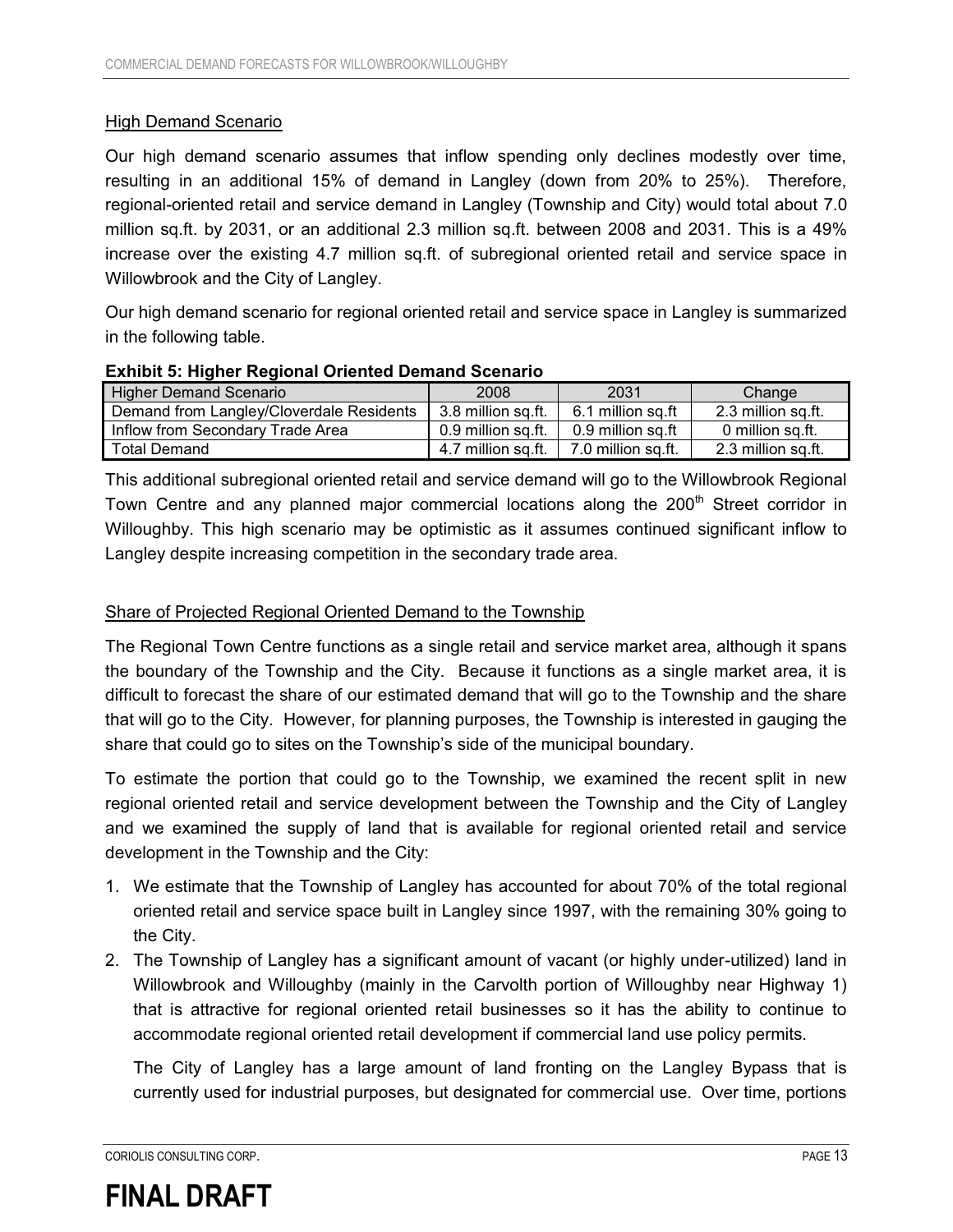#### High Demand Scenario

Our high demand scenario assumes that inflow spending only declines modestly over time, resulting in an additional 15% of demand in Langley (down from 20% to 25%). Therefore, regional-oriented retail and service demand in Langley (Township and City) would total about 7.0 million sq.ft. by 2031, or an additional 2.3 million sq.ft. between 2008 and 2031. This is a 49% increase over the existing 4.7 million sq.ft. of subregional oriented retail and service space in Willowbrook and the City of Langley.

Our high demand scenario for regional oriented retail and service space in Langley is summarized in the following table.

#### **Exhibit 5: Higher Regional Oriented Demand Scenario**

| <b>Higher Demand Scenario</b>            | 2008                                   | 2031              | Change             |
|------------------------------------------|----------------------------------------|-------------------|--------------------|
| Demand from Langley/Cloverdale Residents | 3.8 million sq.ft. I                   | 6.1 million sɑ.ft | 2.3 million sq.ft. |
| Inflow from Secondary Trade Area         | 0.9 million sa.ft. 1 0.9 million sa.ft |                   | 0 million sq.ft.   |
| <b>Total Demand</b>                      | 4.7 million sq.ft. 7.0 million sq.ft.  |                   | 2.3 million sq.ft. |

This additional subregional oriented retail and service demand will go to the Willowbrook Regional Town Centre and any planned major commercial locations along the 200<sup>th</sup> Street corridor in Willoughby. This high scenario may be optimistic as it assumes continued significant inflow to Langley despite increasing competition in the secondary trade area.

#### Share of Projected Regional Oriented Demand to the Township

The Regional Town Centre functions as a single retail and service market area, although it spans the boundary of the Township and the City. Because it functions as a single market area, it is difficult to forecast the share of our estimated demand that will go to the Township and the share that will go to the City. However, for planning purposes, the Township is interested in gauging the share that could go to sites on the Township's side of the municipal boundary.

To estimate the portion that could go to the Township, we examined the recent split in new regional oriented retail and service development between the Township and the City of Langley and we examined the supply of land that is available for regional oriented retail and service development in the Township and the City:

- 1. We estimate that the Township of Langley has accounted for about 70% of the total regional oriented retail and service space built in Langley since 1997, with the remaining 30% going to the City.
- 2. The Township of Langley has a significant amount of vacant (or highly under-utilized) land in Willowbrook and Willoughby (mainly in the Carvolth portion of Willoughby near Highway 1) that is attractive for regional oriented retail businesses so it has the ability to continue to accommodate regional oriented retail development if commercial land use policy permits.

The City of Langley has a large amount of land fronting on the Langley Bypass that is currently used for industrial purposes, but designated for commercial use. Over time, portions

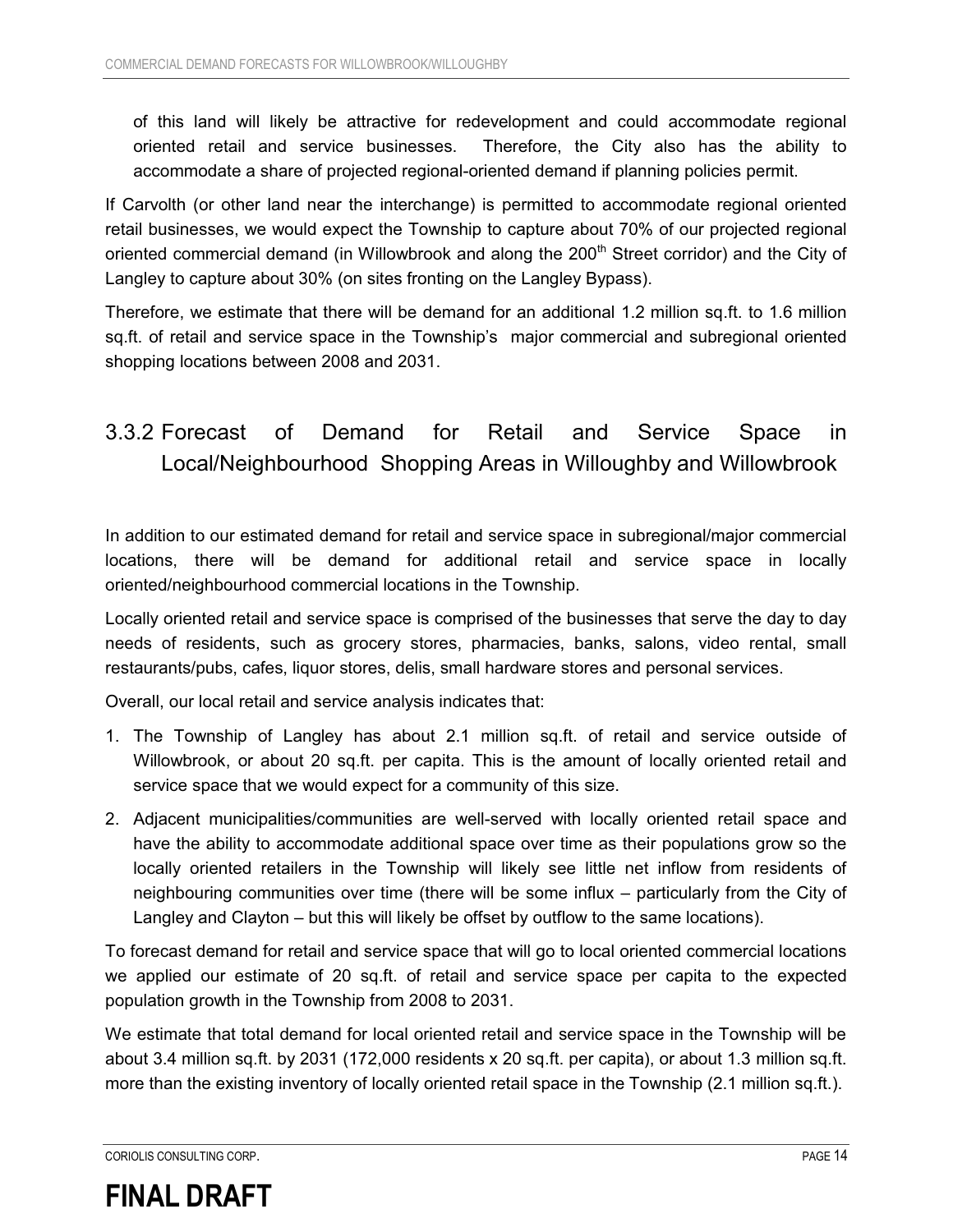of this land will likely be attractive for redevelopment and could accommodate regional oriented retail and service businesses. Therefore, the City also has the ability to accommodate a share of projected regional-oriented demand if planning policies permit.

If Carvolth (or other land near the interchange) is permitted to accommodate regional oriented retail businesses, we would expect the Township to capture about 70% of our projected regional oriented commercial demand (in Willowbrook and along the  $200<sup>th</sup>$  Street corridor) and the City of Langley to capture about 30% (on sites fronting on the Langley Bypass).

Therefore, we estimate that there will be demand for an additional 1.2 million sq.ft. to 1.6 million sq.ft. of retail and service space in the Township's major commercial and subregional oriented shopping locations between 2008 and 2031.

### 3.3.2 Forecast of Demand for Retail and Service Space in Local/Neighbourhood Shopping Areas in Willoughby and Willowbrook

In addition to our estimated demand for retail and service space in subregional/major commercial locations, there will be demand for additional retail and service space in locally oriented/neighbourhood commercial locations in the Township.

Locally oriented retail and service space is comprised of the businesses that serve the day to day needs of residents, such as grocery stores, pharmacies, banks, salons, video rental, small restaurants/pubs, cafes, liquor stores, delis, small hardware stores and personal services.

Overall, our local retail and service analysis indicates that:

- 1. The Township of Langley has about 2.1 million sq.ft. of retail and service outside of Willowbrook, or about 20 sq.ft. per capita. This is the amount of locally oriented retail and service space that we would expect for a community of this size.
- 2. Adjacent municipalities/communities are well-served with locally oriented retail space and have the ability to accommodate additional space over time as their populations grow so the locally oriented retailers in the Township will likely see little net inflow from residents of neighbouring communities over time (there will be some influx – particularly from the City of Langley and Clayton – but this will likely be offset by outflow to the same locations).

To forecast demand for retail and service space that will go to local oriented commercial locations we applied our estimate of 20 sq.ft. of retail and service space per capita to the expected population growth in the Township from 2008 to 2031.

We estimate that total demand for local oriented retail and service space in the Township will be about 3.4 million sq.ft. by 2031 (172,000 residents x 20 sq.ft. per capita), or about 1.3 million sq.ft. more than the existing inventory of locally oriented retail space in the Township (2.1 million sq.ft.).

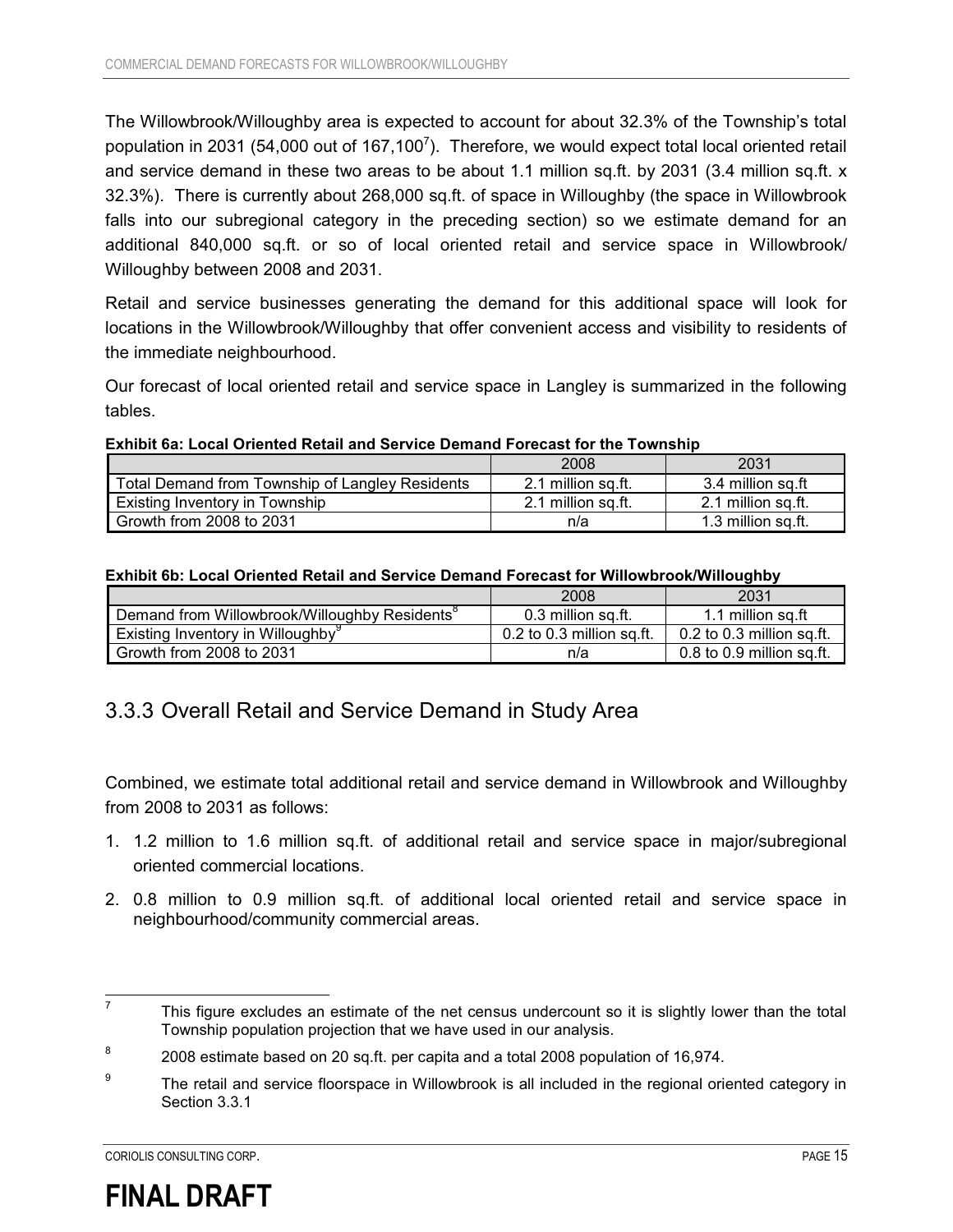The Willowbrook/Willoughby area is expected to account for about 32.3% of the Township's total population in 2031 (54,000 out of 167,100<sup>7</sup>). Therefore, we would expect total local oriented retail and service demand in these two areas to be about 1.1 million sq.ft. by 2031 (3.4 million sq.ft. x 32.3%). There is currently about 268,000 sq.ft. of space in Willoughby (the space in Willowbrook falls into our subregional category in the preceding section) so we estimate demand for an additional 840,000 sq.ft. or so of local oriented retail and service space in Willowbrook/ Willoughby between 2008 and 2031.

Retail and service businesses generating the demand for this additional space will look for locations in the Willowbrook/Willoughby that offer convenient access and visibility to residents of the immediate neighbourhood.

Our forecast of local oriented retail and service space in Langley is summarized in the following tables.

**Exhibit 6a: Local Oriented Retail and Service Demand Forecast for the Township** 

|                                                 | 2008               | 2031               |
|-------------------------------------------------|--------------------|--------------------|
| Total Demand from Township of Langley Residents | 2.1 million sq.ft. | 3.4 million sq.ft  |
| <b>Existing Inventory in Township</b>           | 2.1 million sa.ft. | 2.1 million sq.ft. |
| Growth from 2008 to 2031                        | n/a                | 1.3 million sa.ft. |

#### **Exhibit 6b: Local Oriented Retail and Service Demand Forecast for Willowbrook/Willoughby**

|                                                           | 2008                      | 2031                        |
|-----------------------------------------------------------|---------------------------|-----------------------------|
| Demand from Willowbrook/Willoughby Residents <sup>8</sup> | 0.3 million sa.ft.        | 1.1 million sq.ft           |
| Existing Inventory in Willoughby <sup>9</sup>             | 0.2 to 0.3 million sq.ft. | 0.2 to 0.3 million sq.ft.   |
| Growth from 2008 to 2031                                  | n/a                       | $0.8$ to 0.9 million sa.ft. |

#### 3.3.3 Overall Retail and Service Demand in Study Area

Combined, we estimate total additional retail and service demand in Willowbrook and Willoughby from 2008 to 2031 as follows:

- 1. 1.2 million to 1.6 million sq.ft. of additional retail and service space in major/subregional oriented commercial locations.
- 2. 0.8 million to 0.9 million sq.ft. of additional local oriented retail and service space in neighbourhood/community commercial areas.



 7 This figure excludes an estimate of the net census undercount so it is slightly lower than the total Township population projection that we have used in our analysis.

<sup>8</sup> 2008 estimate based on 20 sq.ft. per capita and a total 2008 population of 16,974.

<sup>9</sup> The retail and service floorspace in Willowbrook is all included in the regional oriented category in Section 3.3.1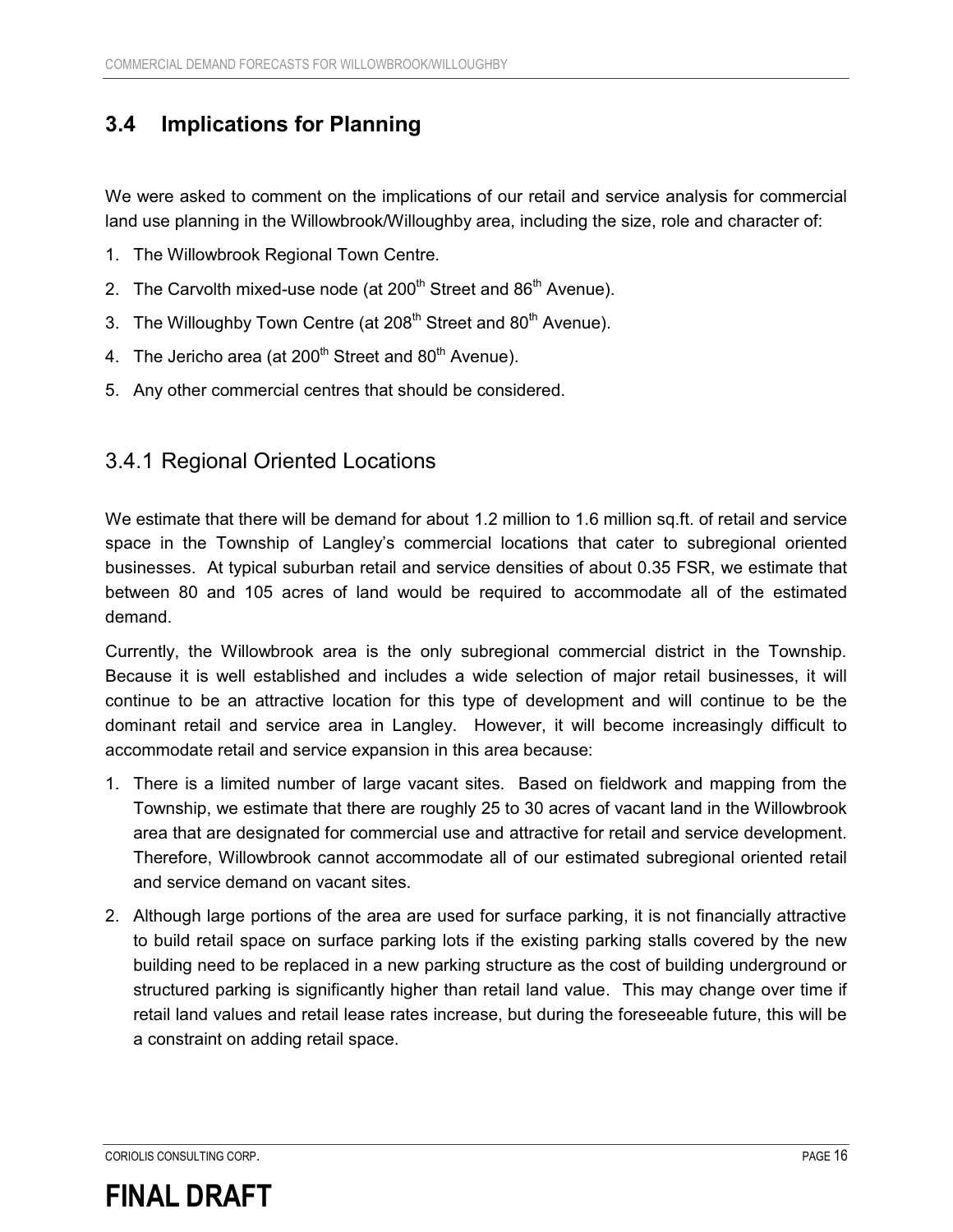### **3.4 Implications for Planning**

We were asked to comment on the implications of our retail and service analysis for commercial land use planning in the Willowbrook/Willoughby area, including the size, role and character of:

- 1. The Willowbrook Regional Town Centre.
- 2. The Carvolth mixed-use node (at  $200<sup>th</sup>$  Street and  $86<sup>th</sup>$  Avenue).
- 3. The Willoughby Town Centre (at 208<sup>th</sup> Street and 80<sup>th</sup> Avenue).
- 4. The Jericho area (at  $200<sup>th</sup>$  Street and  $80<sup>th</sup>$  Avenue).
- 5. Any other commercial centres that should be considered.

### 3.4.1 Regional Oriented Locations

We estimate that there will be demand for about 1.2 million to 1.6 million sq.ft. of retail and service space in the Township of Langley's commercial locations that cater to subregional oriented businesses. At typical suburban retail and service densities of about 0.35 FSR, we estimate that between 80 and 105 acres of land would be required to accommodate all of the estimated demand.

Currently, the Willowbrook area is the only subregional commercial district in the Township. Because it is well established and includes a wide selection of major retail businesses, it will continue to be an attractive location for this type of development and will continue to be the dominant retail and service area in Langley. However, it will become increasingly difficult to accommodate retail and service expansion in this area because:

- 1. There is a limited number of large vacant sites. Based on fieldwork and mapping from the Township, we estimate that there are roughly 25 to 30 acres of vacant land in the Willowbrook area that are designated for commercial use and attractive for retail and service development. Therefore, Willowbrook cannot accommodate all of our estimated subregional oriented retail and service demand on vacant sites.
- 2. Although large portions of the area are used for surface parking, it is not financially attractive to build retail space on surface parking lots if the existing parking stalls covered by the new building need to be replaced in a new parking structure as the cost of building underground or structured parking is significantly higher than retail land value. This may change over time if retail land values and retail lease rates increase, but during the foreseeable future, this will be a constraint on adding retail space.

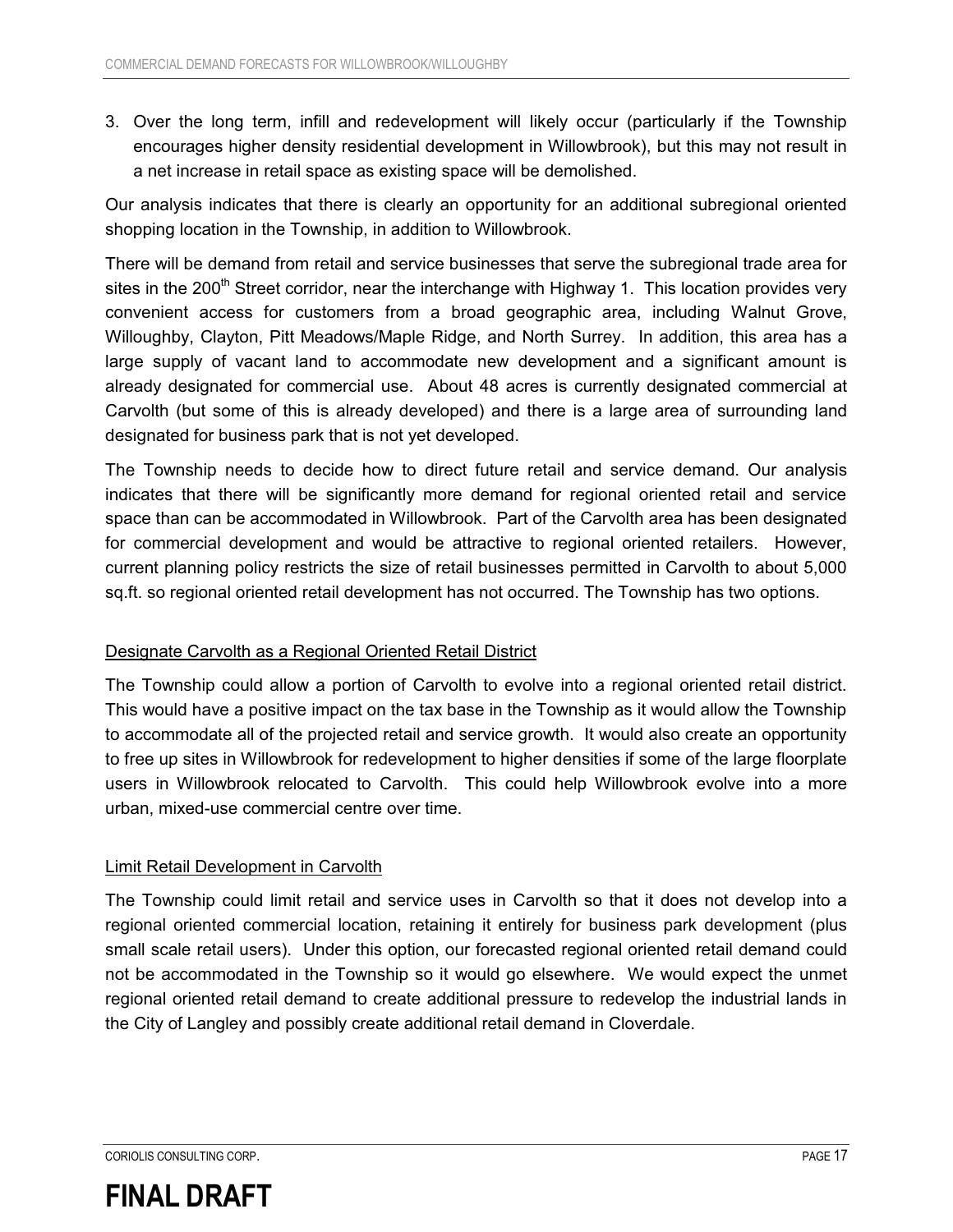3. Over the long term, infill and redevelopment will likely occur (particularly if the Township encourages higher density residential development in Willowbrook), but this may not result in a net increase in retail space as existing space will be demolished.

Our analysis indicates that there is clearly an opportunity for an additional subregional oriented shopping location in the Township, in addition to Willowbrook.

There will be demand from retail and service businesses that serve the subregional trade area for sites in the 200<sup>th</sup> Street corridor, near the interchange with Highway 1. This location provides very convenient access for customers from a broad geographic area, including Walnut Grove, Willoughby, Clayton, Pitt Meadows/Maple Ridge, and North Surrey. In addition, this area has a large supply of vacant land to accommodate new development and a significant amount is already designated for commercial use. About 48 acres is currently designated commercial at Carvolth (but some of this is already developed) and there is a large area of surrounding land designated for business park that is not yet developed.

The Township needs to decide how to direct future retail and service demand. Our analysis indicates that there will be significantly more demand for regional oriented retail and service space than can be accommodated in Willowbrook. Part of the Carvolth area has been designated for commercial development and would be attractive to regional oriented retailers. However, current planning policy restricts the size of retail businesses permitted in Carvolth to about 5,000 sq.ft. so regional oriented retail development has not occurred. The Township has two options.

#### Designate Carvolth as a Regional Oriented Retail District

The Township could allow a portion of Carvolth to evolve into a regional oriented retail district. This would have a positive impact on the tax base in the Township as it would allow the Township to accommodate all of the projected retail and service growth. It would also create an opportunity to free up sites in Willowbrook for redevelopment to higher densities if some of the large floorplate users in Willowbrook relocated to Carvolth. This could help Willowbrook evolve into a more urban, mixed-use commercial centre over time.

#### Limit Retail Development in Carvolth

The Township could limit retail and service uses in Carvolth so that it does not develop into a regional oriented commercial location, retaining it entirely for business park development (plus small scale retail users). Under this option, our forecasted regional oriented retail demand could not be accommodated in the Township so it would go elsewhere. We would expect the unmet regional oriented retail demand to create additional pressure to redevelop the industrial lands in the City of Langley and possibly create additional retail demand in Cloverdale.

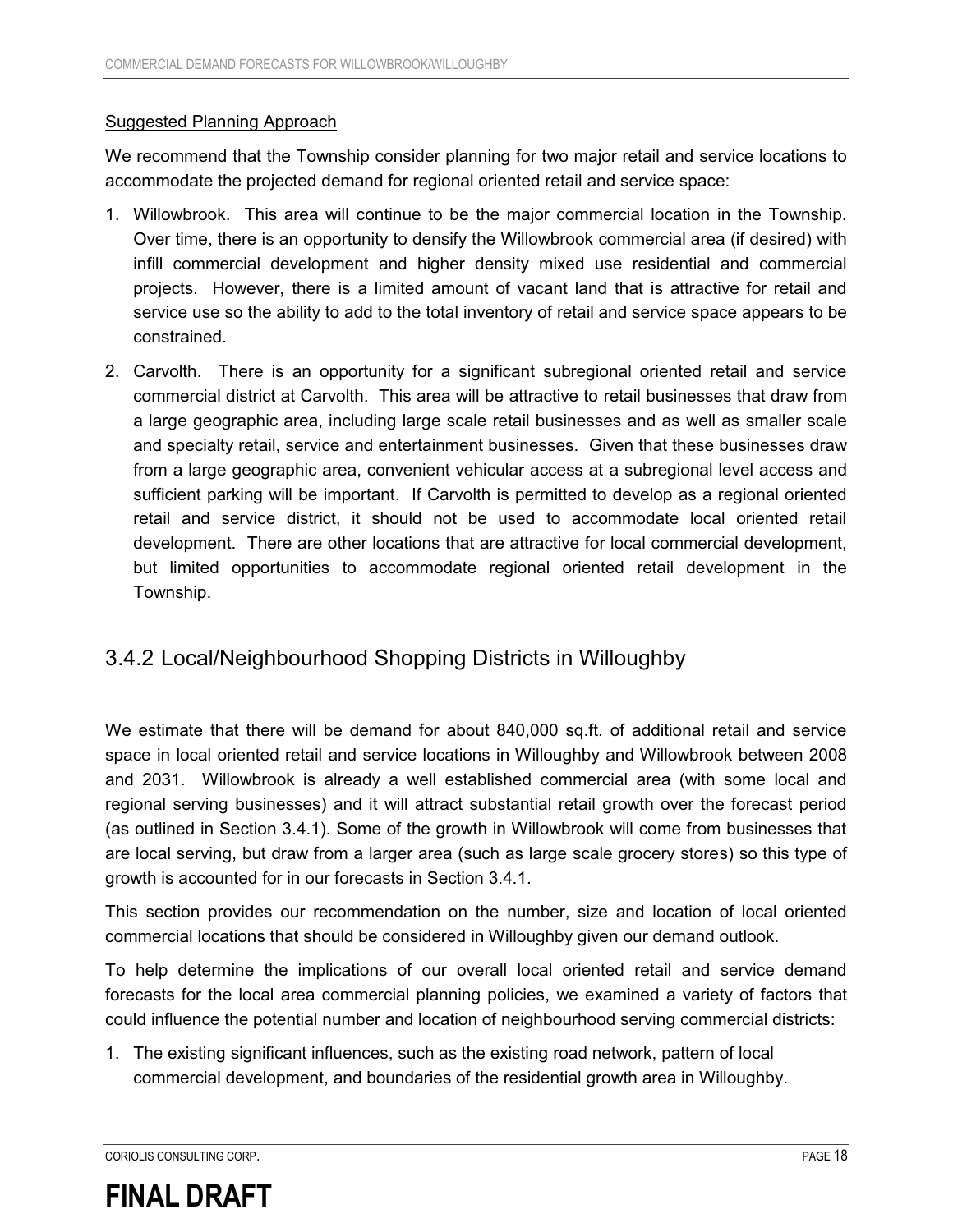#### Suggested Planning Approach

We recommend that the Township consider planning for two major retail and service locations to accommodate the projected demand for regional oriented retail and service space:

- 1. Willowbrook. This area will continue to be the major commercial location in the Township. Over time, there is an opportunity to densify the Willowbrook commercial area (if desired) with infill commercial development and higher density mixed use residential and commercial projects. However, there is a limited amount of vacant land that is attractive for retail and service use so the ability to add to the total inventory of retail and service space appears to be constrained.
- 2. Carvolth. There is an opportunity for a significant subregional oriented retail and service commercial district at Carvolth. This area will be attractive to retail businesses that draw from a large geographic area, including large scale retail businesses and as well as smaller scale and specialty retail, service and entertainment businesses. Given that these businesses draw from a large geographic area, convenient vehicular access at a subregional level access and sufficient parking will be important. If Carvolth is permitted to develop as a regional oriented retail and service district, it should not be used to accommodate local oriented retail development. There are other locations that are attractive for local commercial development, but limited opportunities to accommodate regional oriented retail development in the Township.

#### 3.4.2 Local/Neighbourhood Shopping Districts in Willoughby

We estimate that there will be demand for about 840,000 sq.ft. of additional retail and service space in local oriented retail and service locations in Willoughby and Willowbrook between 2008 and 2031. Willowbrook is already a well established commercial area (with some local and regional serving businesses) and it will attract substantial retail growth over the forecast period (as outlined in Section 3.4.1). Some of the growth in Willowbrook will come from businesses that are local serving, but draw from a larger area (such as large scale grocery stores) so this type of growth is accounted for in our forecasts in Section 3.4.1.

This section provides our recommendation on the number, size and location of local oriented commercial locations that should be considered in Willoughby given our demand outlook.

To help determine the implications of our overall local oriented retail and service demand forecasts for the local area commercial planning policies, we examined a variety of factors that could influence the potential number and location of neighbourhood serving commercial districts:

1. The existing significant influences, such as the existing road network, pattern of local commercial development, and boundaries of the residential growth area in Willoughby.

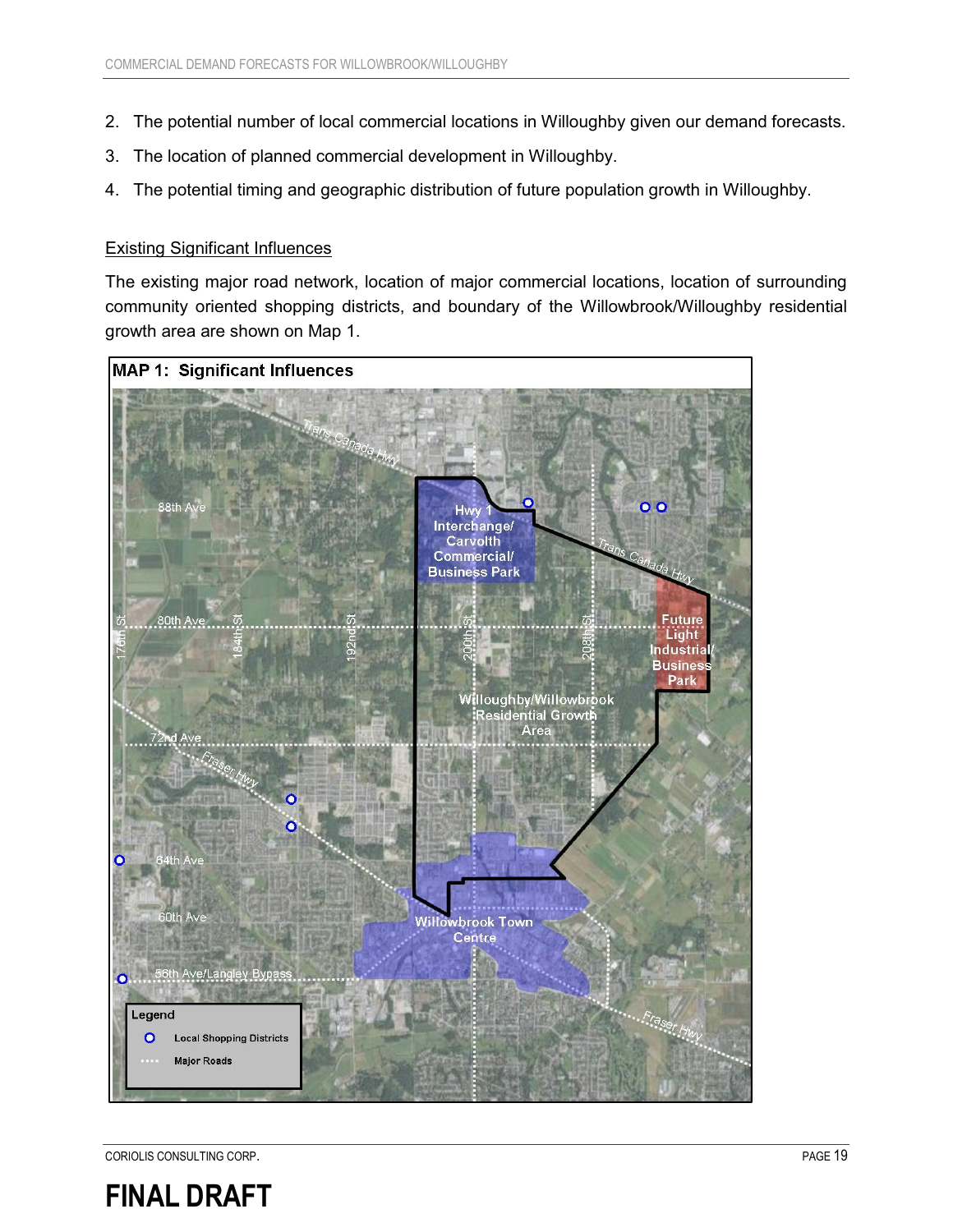- 2. The potential number of local commercial locations in Willoughby given our demand forecasts.
- 3. The location of planned commercial development in Willoughby.
- 4. The potential timing and geographic distribution of future population growth in Willoughby.

#### Existing Significant Influences

The existing major road network, location of major commercial locations, location of surrounding community oriented shopping districts, and boundary of the Willowbrook/Willoughby residential growth area are shown on Map 1.



CORIOLIS CONSULTING CORP. **PAGE 19** 

## **FINAL DRAFT**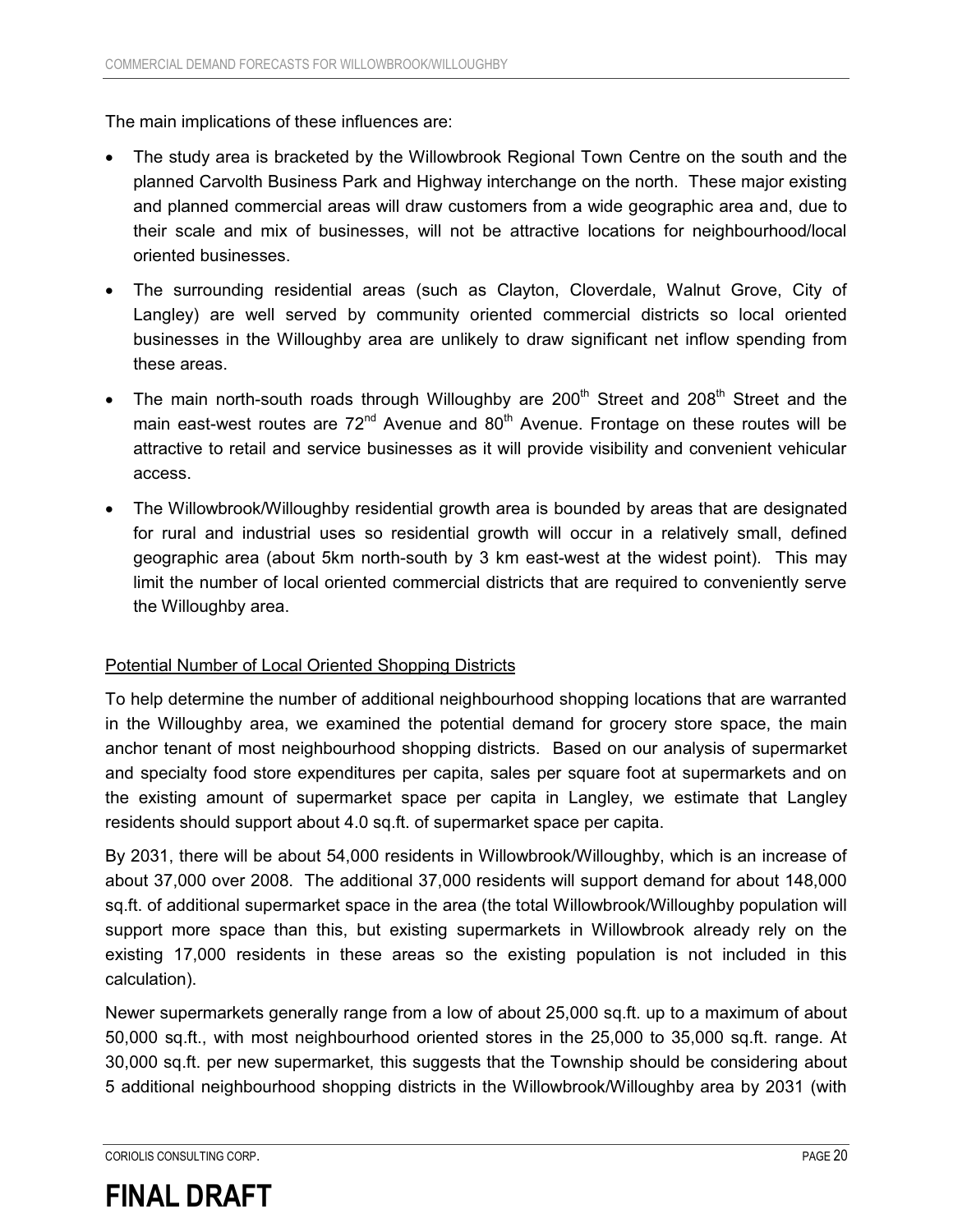The main implications of these influences are:

- The study area is bracketed by the Willowbrook Regional Town Centre on the south and the planned Carvolth Business Park and Highway interchange on the north. These major existing and planned commercial areas will draw customers from a wide geographic area and, due to their scale and mix of businesses, will not be attractive locations for neighbourhood/local oriented businesses.
- . The surrounding residential areas (such as Clayton, Cloverdale, Walnut Grove, City of Langley) are well served by community oriented commercial districts so local oriented businesses in the Willoughby area are unlikely to draw significant net inflow spending from these areas.
- $\bullet$ The main north-south roads through Willoughby are  $200<sup>th</sup>$  Street and  $208<sup>th</sup>$  Street and the main east-west routes are  $72<sup>nd</sup>$  Avenue and  $80<sup>th</sup>$  Avenue. Frontage on these routes will be attractive to retail and service businesses as it will provide visibility and convenient vehicular access.
- - The Willowbrook/Willoughby residential growth area is bounded by areas that are designated for rural and industrial uses so residential growth will occur in a relatively small, defined geographic area (about 5km north-south by 3 km east-west at the widest point). This may limit the number of local oriented commercial districts that are required to conveniently serve the Willoughby area.

#### Potential Number of Local Oriented Shopping Districts

To help determine the number of additional neighbourhood shopping locations that are warranted in the Willoughby area, we examined the potential demand for grocery store space, the main anchor tenant of most neighbourhood shopping districts. Based on our analysis of supermarket and specialty food store expenditures per capita, sales per square foot at supermarkets and on the existing amount of supermarket space per capita in Langley, we estimate that Langley residents should support about 4.0 sq.ft. of supermarket space per capita.

By 2031, there will be about 54,000 residents in Willowbrook/Willoughby, which is an increase of about 37,000 over 2008. The additional 37,000 residents will support demand for about 148,000 sq.ft. of additional supermarket space in the area (the total Willowbrook/Willoughby population will support more space than this, but existing supermarkets in Willowbrook already rely on the existing 17,000 residents in these areas so the existing population is not included in this calculation).

Newer supermarkets generally range from a low of about 25,000 sq.ft. up to a maximum of about 50,000 sq.ft., with most neighbourhood oriented stores in the 25,000 to 35,000 sq.ft. range. At 30,000 sq.ft. per new supermarket, this suggests that the Township should be considering about 5 additional neighbourhood shopping districts in the Willowbrook/Willoughby area by 2031 (with

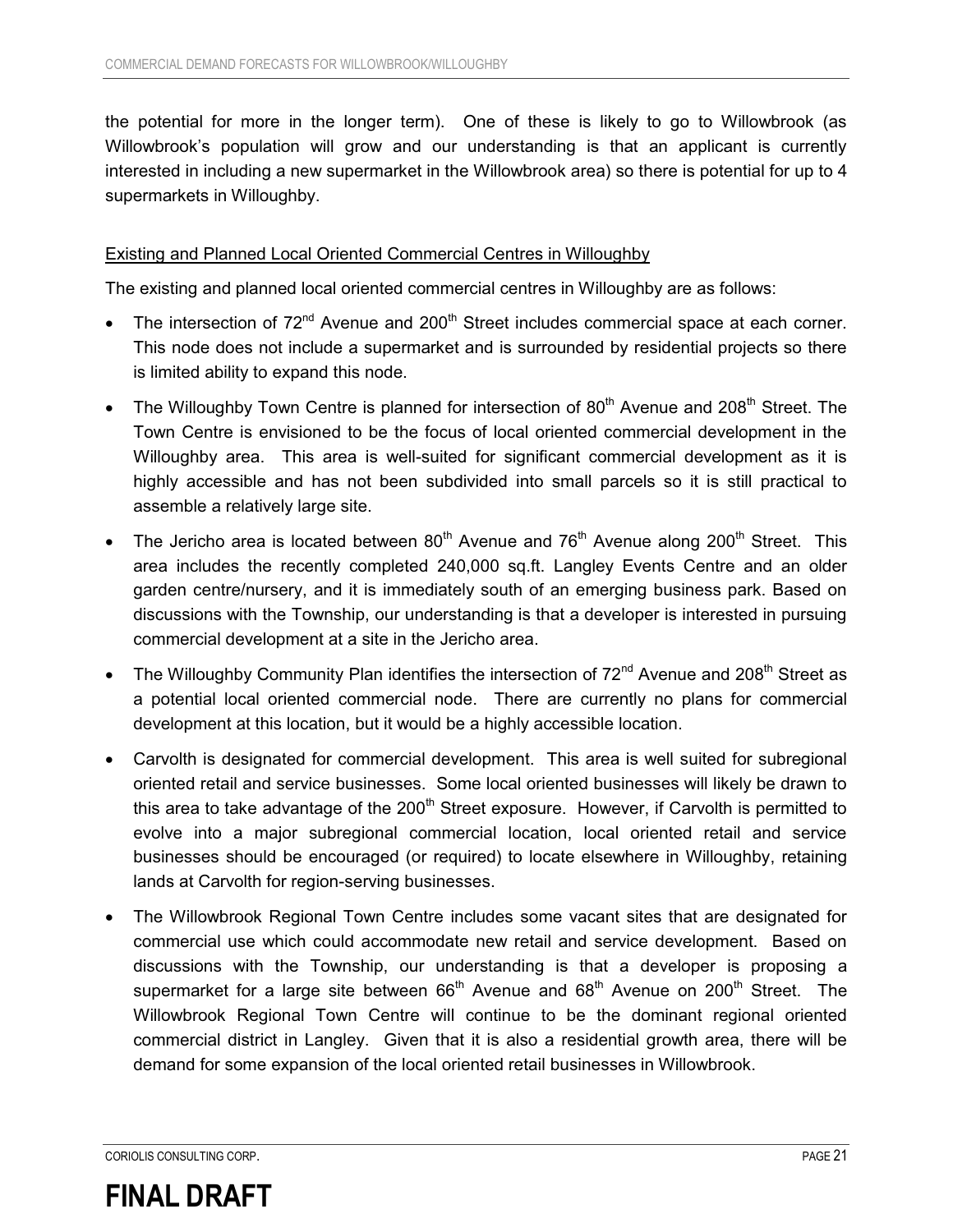the potential for more in the longer term). One of these is likely to go to Willowbrook (as Willowbrook's population will grow and our understanding is that an applicant is currently interested in including a new supermarket in the Willowbrook area) so there is potential for up to 4 supermarkets in Willoughby.

#### Existing and Planned Local Oriented Commercial Centres in Willoughby

The existing and planned local oriented commercial centres in Willoughby are as follows:

- $\bullet$ The intersection of 72<sup>nd</sup> Avenue and 200<sup>th</sup> Street includes commercial space at each corner. This node does not include a supermarket and is surrounded by residential projects so there is limited ability to expand this node.
- $\bullet$ The Willoughby Town Centre is planned for intersection of  $80<sup>th</sup>$  Avenue and  $208<sup>th</sup>$  Street. The Town Centre is envisioned to be the focus of local oriented commercial development in the Willoughby area. This area is well-suited for significant commercial development as it is highly accessible and has not been subdivided into small parcels so it is still practical to assemble a relatively large site.
- $\bullet$ The Jericho area is located between  $80<sup>th</sup>$  Avenue and  $76<sup>th</sup>$  Avenue along 200<sup>th</sup> Street. This area includes the recently completed 240,000 sq.ft. Langley Events Centre and an older garden centre/nursery, and it is immediately south of an emerging business park. Based on discussions with the Township, our understanding is that a developer is interested in pursuing commercial development at a site in the Jericho area.
- $\bullet$ The Willoughby Community Plan identifies the intersection of  $72<sup>nd</sup>$  Avenue and  $208<sup>th</sup>$  Street as a potential local oriented commercial node. There are currently no plans for commercial development at this location, but it would be a highly accessible location.
- $\bullet$  Carvolth is designated for commercial development. This area is well suited for subregional oriented retail and service businesses. Some local oriented businesses will likely be drawn to this area to take advantage of the  $200<sup>th</sup>$  Street exposure. However, if Carvolth is permitted to evolve into a major subregional commercial location, local oriented retail and service businesses should be encouraged (or required) to locate elsewhere in Willoughby, retaining lands at Carvolth for region-serving businesses.
- $\bullet$  The Willowbrook Regional Town Centre includes some vacant sites that are designated for commercial use which could accommodate new retail and service development. Based on discussions with the Township, our understanding is that a developer is proposing a supermarket for a large site between  $66<sup>th</sup>$  Avenue and  $68<sup>th</sup>$  Avenue on 200<sup>th</sup> Street. The Willowbrook Regional Town Centre will continue to be the dominant regional oriented commercial district in Langley. Given that it is also a residential growth area, there will be demand for some expansion of the local oriented retail businesses in Willowbrook.

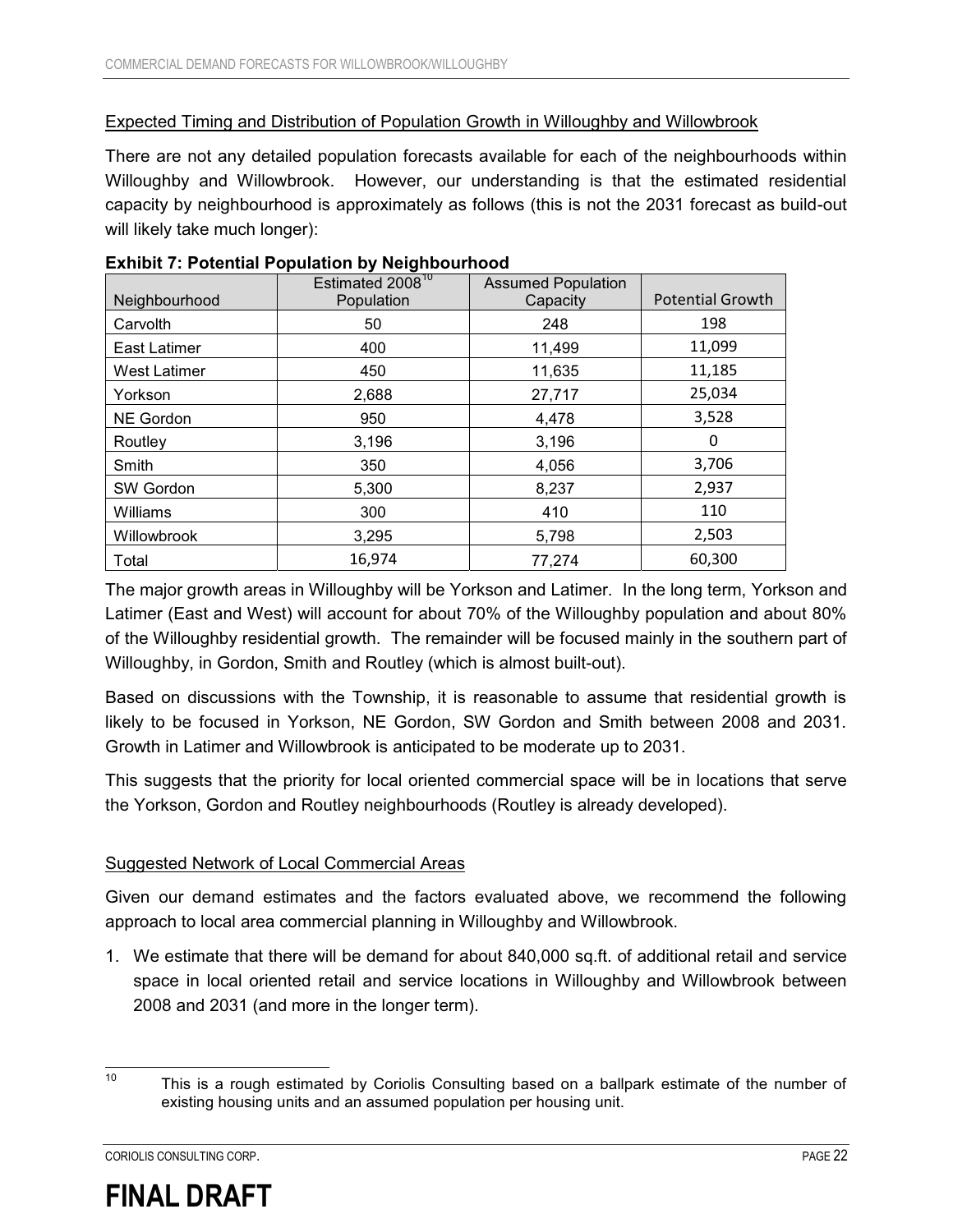#### Expected Timing and Distribution of Population Growth in Willoughby and Willowbrook

There are not any detailed population forecasts available for each of the neighbourhoods within Willoughby and Willowbrook. However, our understanding is that the estimated residential capacity by neighbourhood is approximately as follows (this is not the 2031 forecast as build-out will likely take much longer):

|                     | Estimated 2008 <sup>10</sup> | <b>Assumed Population</b> |                         |
|---------------------|------------------------------|---------------------------|-------------------------|
| Neighbourhood       | Population                   | Capacity                  | <b>Potential Growth</b> |
| Carvolth            | 50                           | 248                       | 198                     |
| <b>East Latimer</b> | 400                          | 11,499                    | 11,099                  |
| <b>West Latimer</b> | 450                          | 11,635                    | 11,185                  |
| Yorkson             | 2,688                        | 27,717                    | 25,034                  |
| <b>NE Gordon</b>    | 950                          | 4.478                     | 3,528                   |
| Routley             | 3,196                        | 3,196                     | 0                       |
| Smith               | 350                          | 4,056                     | 3,706                   |
| SW Gordon           | 5,300                        | 8,237                     | 2,937                   |
| Williams            | 300                          | 410                       | 110                     |
| Willowbrook         | 3,295                        | 5,798                     | 2,503                   |
| Total               | 16,974                       | 77,274                    | 60,300                  |

#### **Exhibit 7: Potential Population by Neighbourhood**

The major growth areas in Willoughby will be Yorkson and Latimer. In the long term, Yorkson and Latimer (East and West) will account for about 70% of the Willoughby population and about 80% of the Willoughby residential growth. The remainder will be focused mainly in the southern part of Willoughby, in Gordon, Smith and Routley (which is almost built-out).

Based on discussions with the Township, it is reasonable to assume that residential growth is likely to be focused in Yorkson, NE Gordon, SW Gordon and Smith between 2008 and 2031. Growth in Latimer and Willowbrook is anticipated to be moderate up to 2031.

This suggests that the priority for local oriented commercial space will be in locations that serve the Yorkson, Gordon and Routley neighbourhoods (Routley is already developed).

#### Suggested Network of Local Commercial Areas

Given our demand estimates and the factors evaluated above, we recommend the following approach to local area commercial planning in Willoughby and Willowbrook.

1. We estimate that there will be demand for about 840,000 sq.ft. of additional retail and service space in local oriented retail and service locations in Willoughby and Willowbrook between 2008 and 2031 (and more in the longer term).



 $10$ This is a rough estimated by Coriolis Consulting based on a ballpark estimate of the number of existing housing units and an assumed population per housing unit.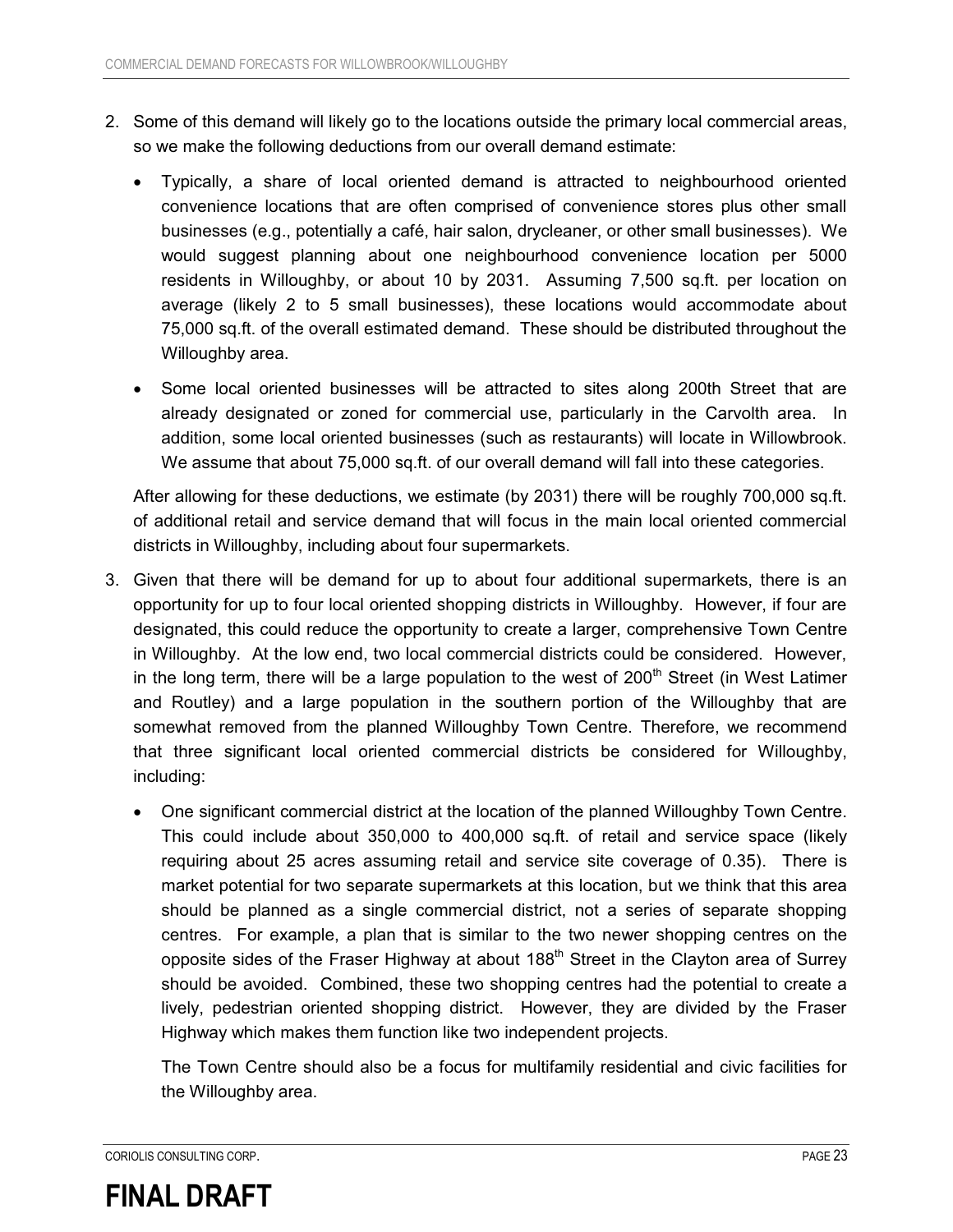- 2. Some of this demand will likely go to the locations outside the primary local commercial areas, so we make the following deductions from our overall demand estimate:
	- $\bullet$  Typically, a share of local oriented demand is attracted to neighbourhood oriented convenience locations that are often comprised of convenience stores plus other small businesses (e.g., potentially a café, hair salon, drycleaner, or other small businesses). We would suggest planning about one neighbourhood convenience location per 5000 residents in Willoughby, or about 10 by 2031. Assuming 7,500 sq.ft. per location on average (likely 2 to 5 small businesses), these locations would accommodate about 75,000 sq.ft. of the overall estimated demand. These should be distributed throughout the Willoughby area.
	- $\bullet$  Some local oriented businesses will be attracted to sites along 200th Street that are already designated or zoned for commercial use, particularly in the Carvolth area. In addition, some local oriented businesses (such as restaurants) will locate in Willowbrook. We assume that about 75,000 sq.ft. of our overall demand will fall into these categories.

After allowing for these deductions, we estimate (by 2031) there will be roughly 700,000 sq.ft. of additional retail and service demand that will focus in the main local oriented commercial districts in Willoughby, including about four supermarkets.

- 3. Given that there will be demand for up to about four additional supermarkets, there is an opportunity for up to four local oriented shopping districts in Willoughby. However, if four are designated, this could reduce the opportunity to create a larger, comprehensive Town Centre in Willoughby. At the low end, two local commercial districts could be considered. However, in the long term, there will be a large population to the west of  $200<sup>th</sup>$  Street (in West Latimer and Routley) and a large population in the southern portion of the Willoughby that are somewhat removed from the planned Willoughby Town Centre. Therefore, we recommend that three significant local oriented commercial districts be considered for Willoughby, including:
	- One significant commercial district at the location of the planned Willoughby Town Centre. This could include about 350,000 to 400,000 sq.ft. of retail and service space (likely requiring about 25 acres assuming retail and service site coverage of 0.35). There is market potential for two separate supermarkets at this location, but we think that this area should be planned as a single commercial district, not a series of separate shopping centres. For example, a plan that is similar to the two newer shopping centres on the opposite sides of the Fraser Highway at about 188<sup>th</sup> Street in the Clayton area of Surrey should be avoided. Combined, these two shopping centres had the potential to create a lively, pedestrian oriented shopping district. However, they are divided by the Fraser Highway which makes them function like two independent projects.

The Town Centre should also be a focus for multifamily residential and civic facilities for the Willoughby area.

CORIOLIS CONSULTING CORP. PAGE 23

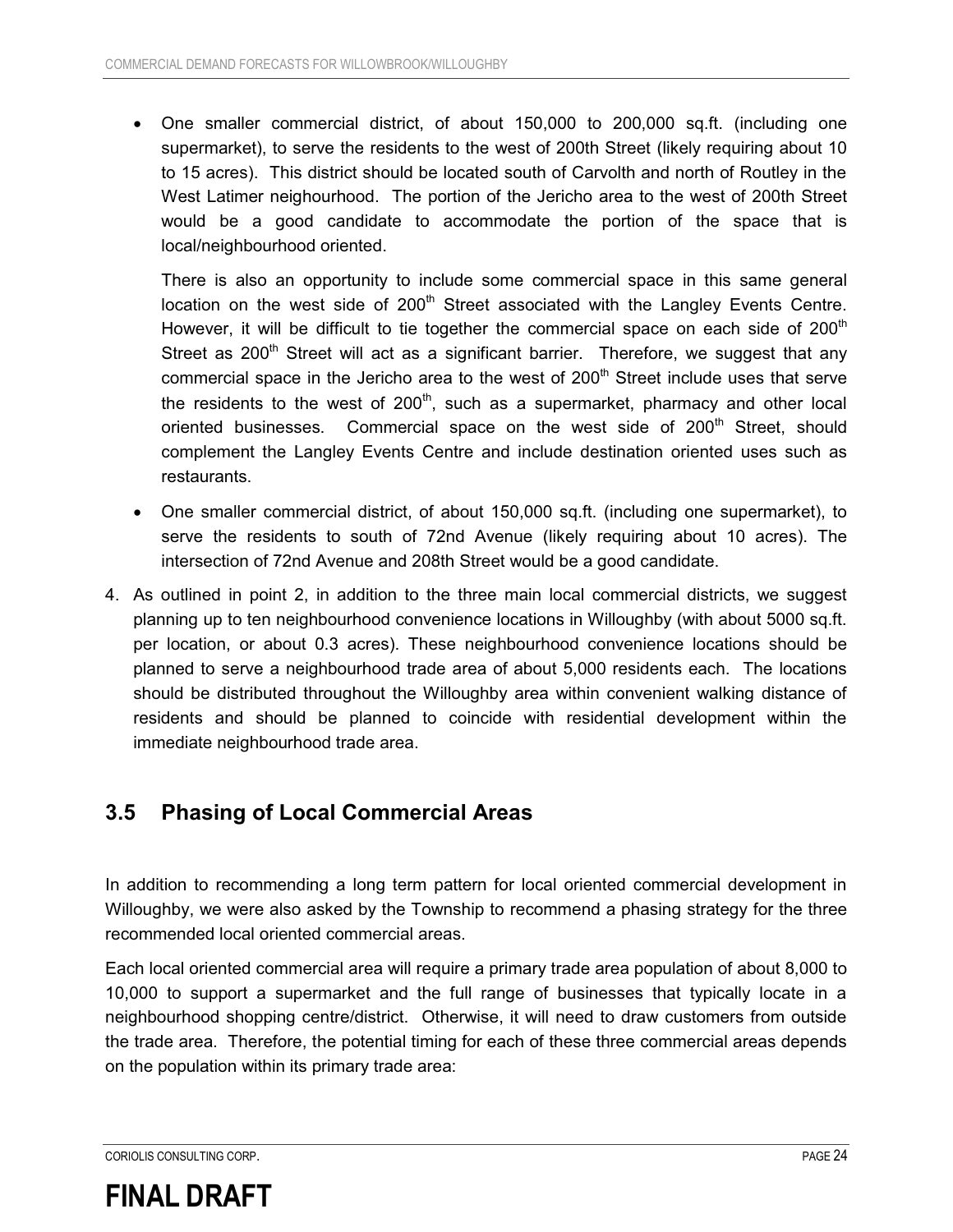$\bullet$  One smaller commercial district, of about 150,000 to 200,000 sq.ft. (including one supermarket), to serve the residents to the west of 200th Street (likely requiring about 10 to 15 acres). This district should be located south of Carvolth and north of Routley in the West Latimer neighourhood. The portion of the Jericho area to the west of 200th Street would be a good candidate to accommodate the portion of the space that is local/neighbourhood oriented.

There is also an opportunity to include some commercial space in this same general location on the west side of  $200<sup>th</sup>$  Street associated with the Langley Events Centre. However, it will be difficult to tie together the commercial space on each side of  $200<sup>th</sup>$ Street as  $200<sup>th</sup>$  Street will act as a significant barrier. Therefore, we suggest that any commercial space in the Jericho area to the west of  $200<sup>th</sup>$  Street include uses that serve the residents to the west of  $200<sup>th</sup>$ , such as a supermarket, pharmacy and other local oriented businesses. Commercial space on the west side of  $200<sup>th</sup>$  Street, should complement the Langley Events Centre and include destination oriented uses such as restaurants.

- $\bullet$  One smaller commercial district, of about 150,000 sq.ft. (including one supermarket), to serve the residents to south of 72nd Avenue (likely requiring about 10 acres). The intersection of 72nd Avenue and 208th Street would be a good candidate.
- 4. As outlined in point 2, in addition to the three main local commercial districts, we suggest planning up to ten neighbourhood convenience locations in Willoughby (with about 5000 sq.ft. per location, or about 0.3 acres). These neighbourhood convenience locations should be planned to serve a neighbourhood trade area of about 5,000 residents each. The locations should be distributed throughout the Willoughby area within convenient walking distance of residents and should be planned to coincide with residential development within the immediate neighbourhood trade area.

### **3.5 Phasing of Local Commercial Areas**

In addition to recommending a long term pattern for local oriented commercial development in Willoughby, we were also asked by the Township to recommend a phasing strategy for the three recommended local oriented commercial areas.

Each local oriented commercial area will require a primary trade area population of about 8,000 to 10,000 to support a supermarket and the full range of businesses that typically locate in a neighbourhood shopping centre/district. Otherwise, it will need to draw customers from outside the trade area. Therefore, the potential timing for each of these three commercial areas depends on the population within its primary trade area:

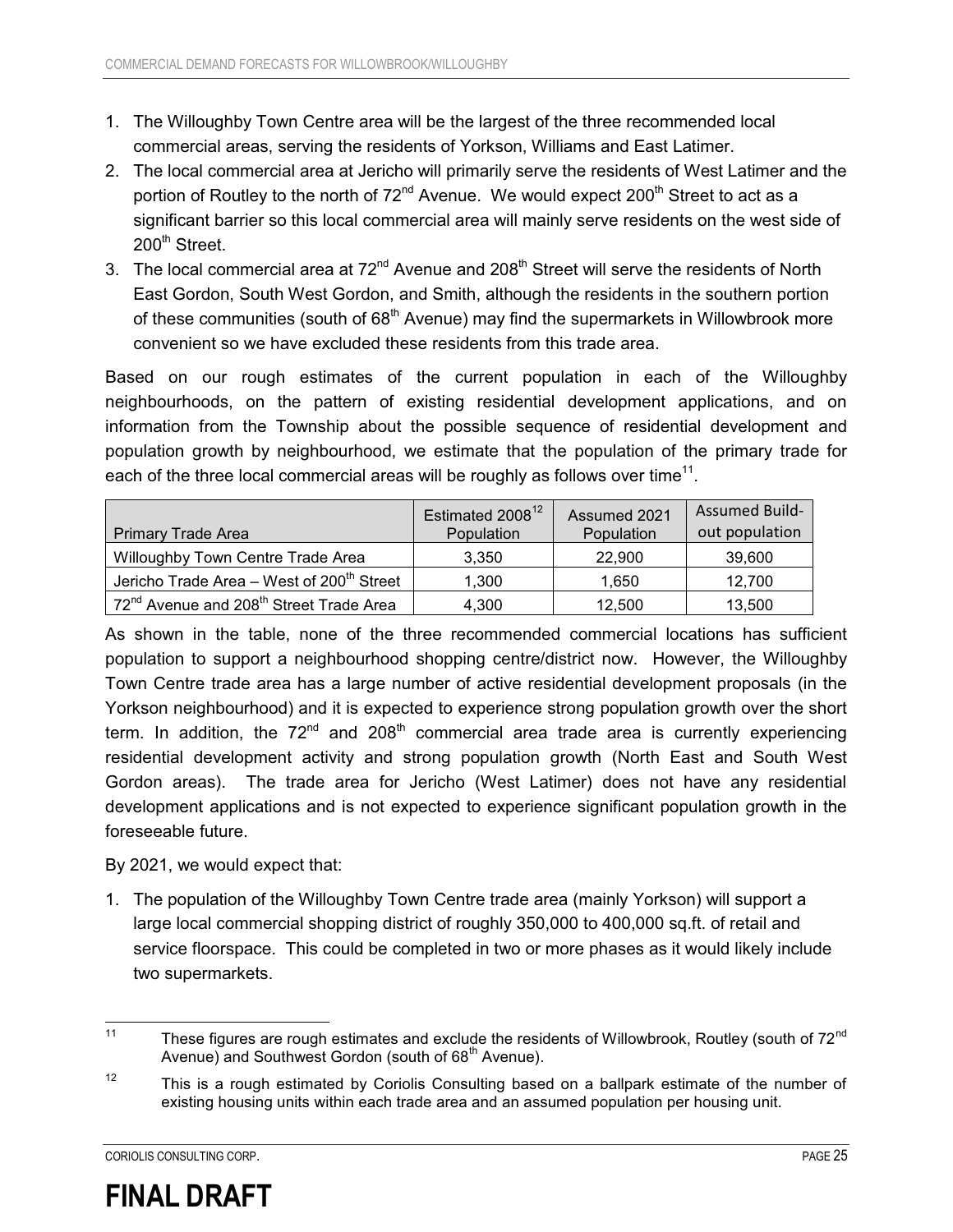- 1. The Willoughby Town Centre area will be the largest of the three recommended local commercial areas, serving the residents of Yorkson, Williams and East Latimer.
- 2. The local commercial area at Jericho will primarily serve the residents of West Latimer and the portion of Routley to the north of  $72<sup>nd</sup>$  Avenue. We would expect 200<sup>th</sup> Street to act as a significant barrier so this local commercial area will mainly serve residents on the west side of 200<sup>th</sup> Street.
- 3. The local commercial area at 72<sup>nd</sup> Avenue and 208<sup>th</sup> Street will serve the residents of North East Gordon, South West Gordon, and Smith, although the residents in the southern portion of these communities (south of 68<sup>th</sup> Avenue) may find the supermarkets in Willowbrook more convenient so we have excluded these residents from this trade area.

Based on our rough estimates of the current population in each of the Willoughby neighbourhoods, on the pattern of existing residential development applications, and on information from the Township about the possible sequence of residential development and population growth by neighbourhood, we estimate that the population of the primary trade for each of the three local commercial areas will be roughly as follows over time<sup>11</sup>.

| <b>Primary Trade Area</b>                                       | Estimated 2008 <sup>12</sup><br>Population | Assumed 2021<br>Population | <b>Assumed Build-</b><br>out population |
|-----------------------------------------------------------------|--------------------------------------------|----------------------------|-----------------------------------------|
| Willoughby Town Centre Trade Area                               | 3.350                                      | 22,900                     | 39,600                                  |
| Jericho Trade Area - West of 200 <sup>th</sup> Street           | 1.300                                      | 1.650                      | 12.700                                  |
| 72 <sup>nd</sup> Avenue and 208 <sup>th</sup> Street Trade Area | 4,300                                      | 12.500                     | 13,500                                  |

As shown in the table, none of the three recommended commercial locations has sufficient population to support a neighbourhood shopping centre/district now. However, the Willoughby Town Centre trade area has a large number of active residential development proposals (in the Yorkson neighbourhood) and it is expected to experience strong population growth over the short term. In addition, the  $72<sup>nd</sup>$  and  $208<sup>th</sup>$  commercial area trade area is currently experiencing residential development activity and strong population growth (North East and South West Gordon areas). The trade area for Jericho (West Latimer) does not have any residential development applications and is not expected to experience significant population growth in the foreseeable future.

By 2021, we would expect that:

1. The population of the Willoughby Town Centre trade area (mainly Yorkson) will support a large local commercial shopping district of roughly 350,000 to 400,000 sq.ft. of retail and service floorspace. This could be completed in two or more phases as it would likely include two supermarkets.



 $11$ These figures are rough estimates and exclude the residents of Willowbrook, Routley (south of 72<sup>nd</sup> Avenue) and Southwest Gordon (south of 68<sup>th</sup> Avenue).

 $12$  This is a rough estimated by Coriolis Consulting based on a ballpark estimate of the number of existing housing units within each trade area and an assumed population per housing unit.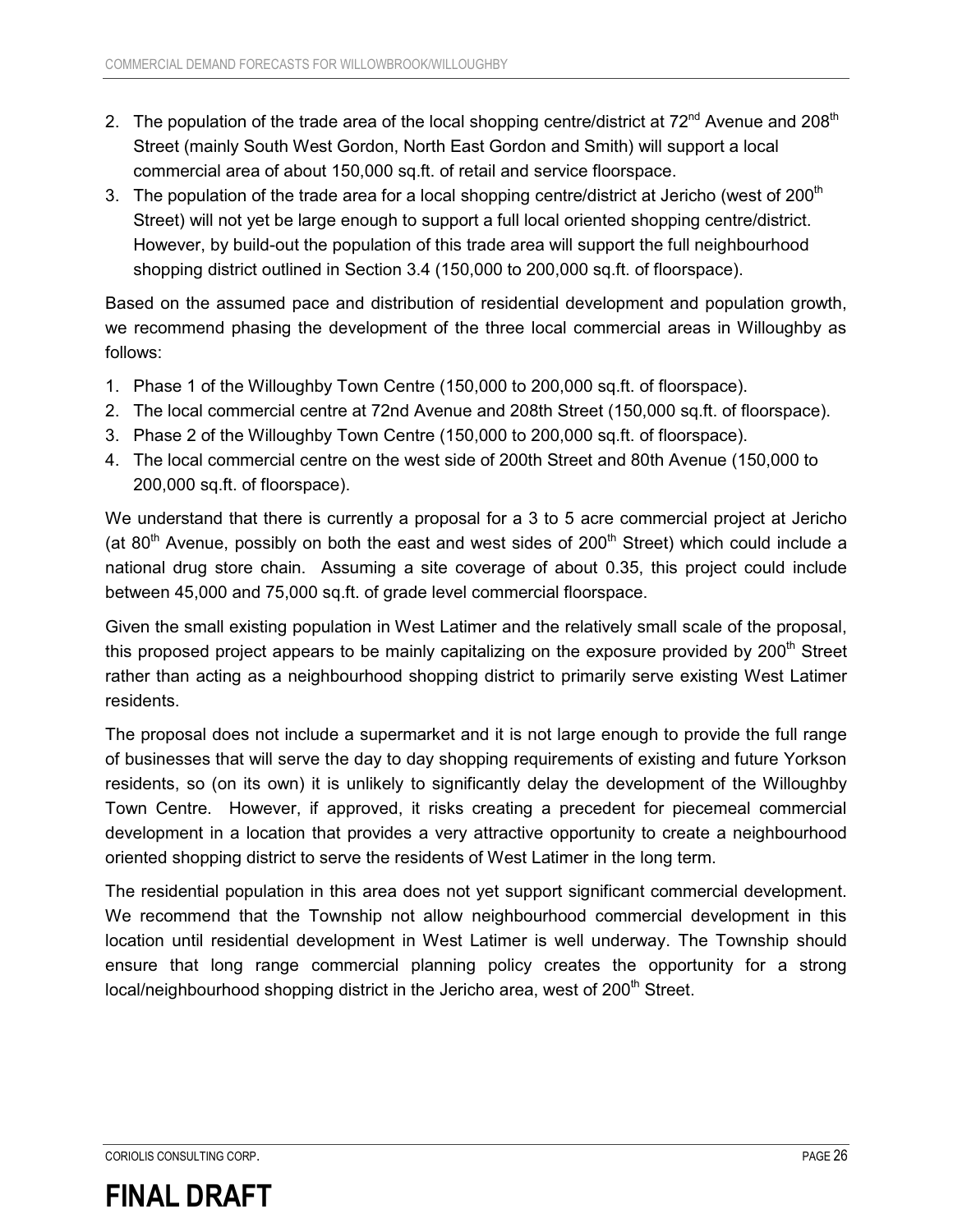- 2. The population of the trade area of the local shopping centre/district at  $72^{nd}$  Avenue and  $208^{th}$ Street (mainly South West Gordon, North East Gordon and Smith) will support a local commercial area of about 150,000 sq.ft. of retail and service floorspace.
- 3. The population of the trade area for a local shopping centre/district at Jericho (west of 200<sup>th</sup>) Street) will not yet be large enough to support a full local oriented shopping centre/district. However, by build-out the population of this trade area will support the full neighbourhood shopping district outlined in Section 3.4 (150,000 to 200,000 sq.ft. of floorspace).

Based on the assumed pace and distribution of residential development and population growth, we recommend phasing the development of the three local commercial areas in Willoughby as follows:

- 1. Phase 1 of the Willoughby Town Centre (150,000 to 200,000 sq.ft. of floorspace).
- 2. The local commercial centre at 72nd Avenue and 208th Street (150,000 sq.ft. of floorspace).
- 3. Phase 2 of the Willoughby Town Centre (150,000 to 200,000 sq.ft. of floorspace).
- 4. The local commercial centre on the west side of 200th Street and 80th Avenue (150,000 to 200,000 sq.ft. of floorspace).

We understand that there is currently a proposal for a 3 to 5 acre commercial project at Jericho (at  $80<sup>th</sup>$  Avenue, possibly on both the east and west sides of 200<sup>th</sup> Street) which could include a national drug store chain. Assuming a site coverage of about 0.35, this project could include between 45,000 and 75,000 sq.ft. of grade level commercial floorspace.

Given the small existing population in West Latimer and the relatively small scale of the proposal, this proposed project appears to be mainly capitalizing on the exposure provided by  $200<sup>th</sup>$  Street rather than acting as a neighbourhood shopping district to primarily serve existing West Latimer residents.

The proposal does not include a supermarket and it is not large enough to provide the full range of businesses that will serve the day to day shopping requirements of existing and future Yorkson residents, so (on its own) it is unlikely to significantly delay the development of the Willoughby Town Centre. However, if approved, it risks creating a precedent for piecemeal commercial development in a location that provides a very attractive opportunity to create a neighbourhood oriented shopping district to serve the residents of West Latimer in the long term.

The residential population in this area does not yet support significant commercial development. We recommend that the Township not allow neighbourhood commercial development in this location until residential development in West Latimer is well underway. The Township should ensure that long range commercial planning policy creates the opportunity for a strong  $local/neighborhood shopping$  district in the Jericho area, west of  $200<sup>th</sup>$  Street.

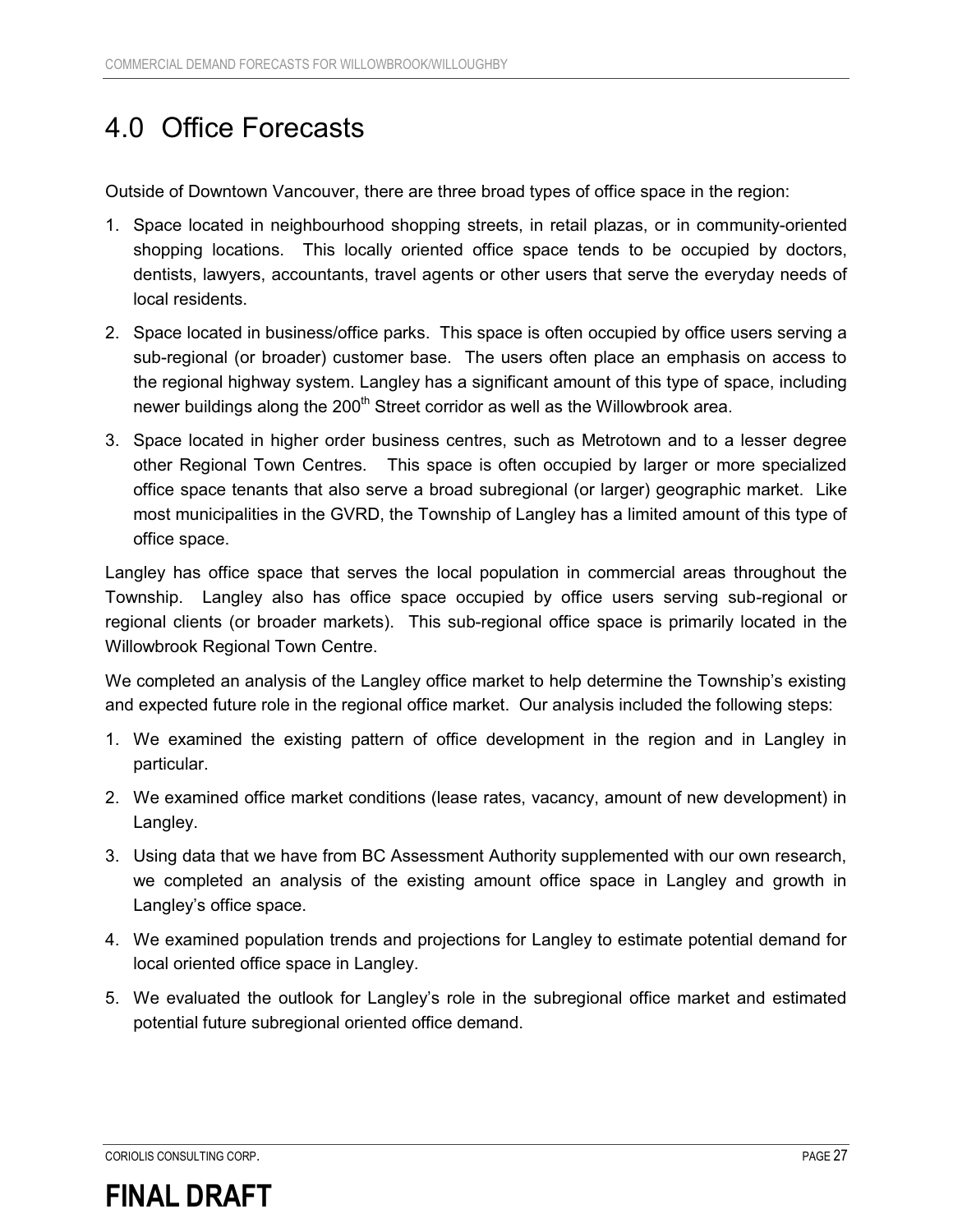## 4.0 Office Forecasts

Outside of Downtown Vancouver, there are three broad types of office space in the region:

- 1. Space located in neighbourhood shopping streets, in retail plazas, or in community-oriented shopping locations. This locally oriented office space tends to be occupied by doctors, dentists, lawyers, accountants, travel agents or other users that serve the everyday needs of local residents.
- 2. Space located in business/office parks. This space is often occupied by office users serving a sub-regional (or broader) customer base. The users often place an emphasis on access to the regional highway system. Langley has a significant amount of this type of space, including newer buildings along the 200<sup>th</sup> Street corridor as well as the Willowbrook area.
- 3. Space located in higher order business centres, such as Metrotown and to a lesser degree other Regional Town Centres. This space is often occupied by larger or more specialized office space tenants that also serve a broad subregional (or larger) geographic market. Like most municipalities in the GVRD, the Township of Langley has a limited amount of this type of office space.

Langley has office space that serves the local population in commercial areas throughout the Township. Langley also has office space occupied by office users serving sub-regional or regional clients (or broader markets). This sub-regional office space is primarily located in the Willowbrook Regional Town Centre.

We completed an analysis of the Langley office market to help determine the Township's existing and expected future role in the regional office market. Our analysis included the following steps:

- 1. We examined the existing pattern of office development in the region and in Langley in particular.
- 2. We examined office market conditions (lease rates, vacancy, amount of new development) in Langley.
- 3. Using data that we have from BC Assessment Authority supplemented with our own research, we completed an analysis of the existing amount office space in Langley and growth in Langley's office space.
- 4. We examined population trends and projections for Langley to estimate potential demand for local oriented office space in Langley.
- 5. We evaluated the outlook for Langley's role in the subregional office market and estimated potential future subregional oriented office demand.

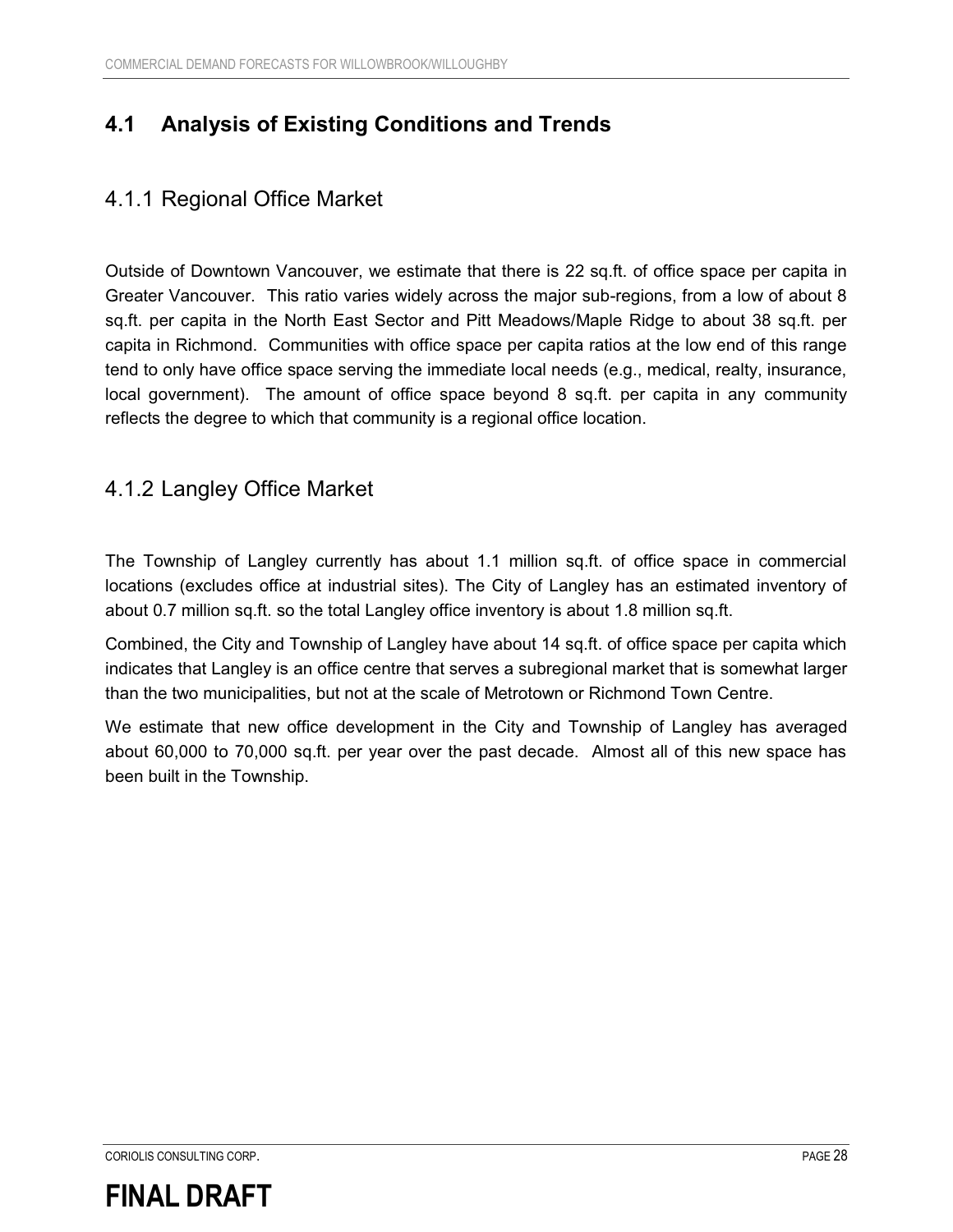### **4.1 Analysis of Existing Conditions and Trends**

### 4.1.1 Regional Office Market

Outside of Downtown Vancouver, we estimate that there is 22 sq.ft. of office space per capita in Greater Vancouver. This ratio varies widely across the major sub-regions, from a low of about 8 sq.ft. per capita in the North East Sector and Pitt Meadows/Maple Ridge to about 38 sq.ft. per capita in Richmond. Communities with office space per capita ratios at the low end of this range tend to only have office space serving the immediate local needs (e.g., medical, realty, insurance, local government). The amount of office space beyond 8 sq.ft. per capita in any community reflects the degree to which that community is a regional office location.

### 4.1.2 Langley Office Market

The Township of Langley currently has about 1.1 million sq.ft. of office space in commercial locations (excludes office at industrial sites). The City of Langley has an estimated inventory of about 0.7 million sq.ft. so the total Langley office inventory is about 1.8 million sq.ft.

Combined, the City and Township of Langley have about 14 sq.ft. of office space per capita which indicates that Langley is an office centre that serves a subregional market that is somewhat larger than the two municipalities, but not at the scale of Metrotown or Richmond Town Centre.

We estimate that new office development in the City and Township of Langley has averaged about 60,000 to 70,000 sq.ft. per year over the past decade. Almost all of this new space has been built in the Township.

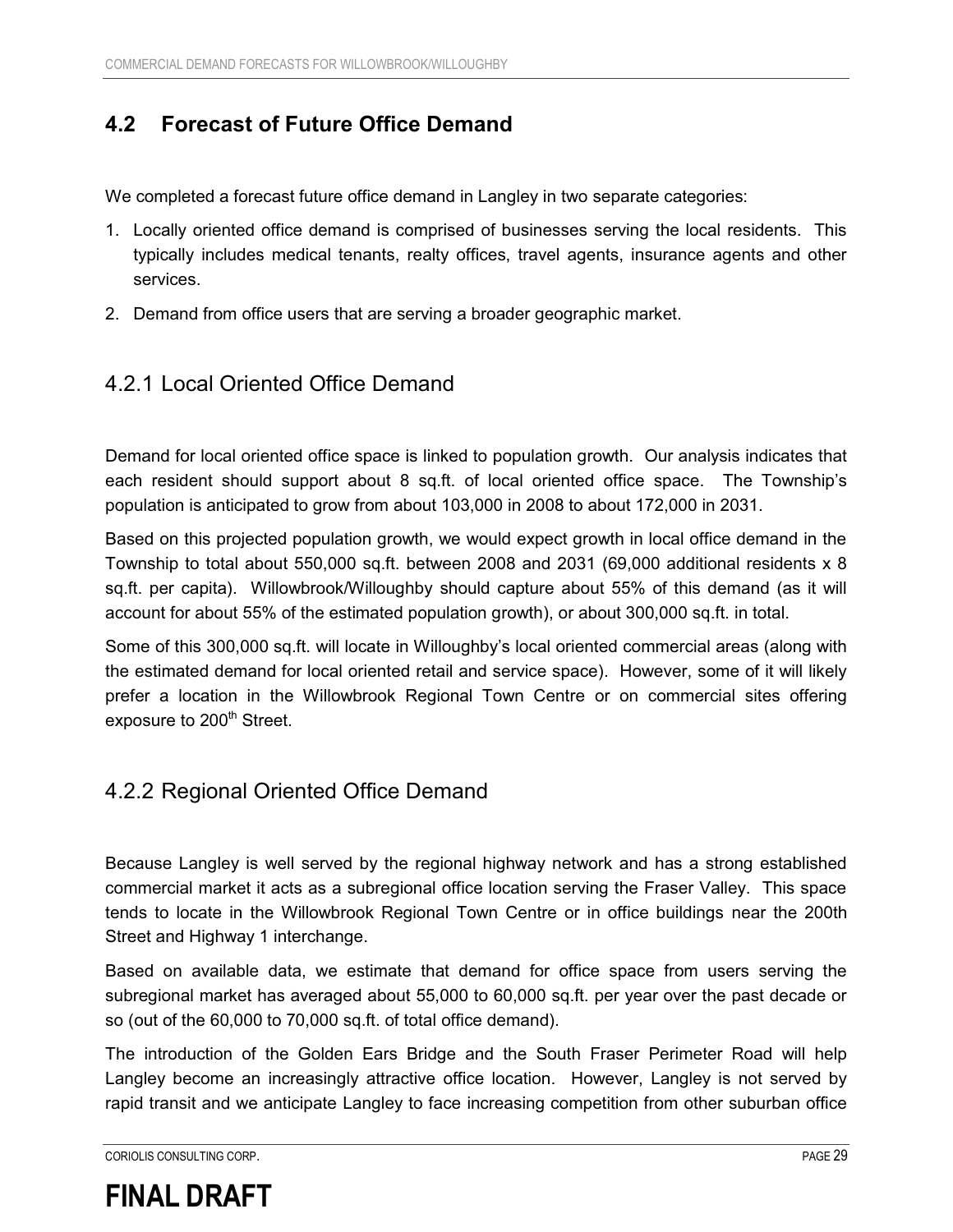### **4.2 Forecast of Future Office Demand**

We completed a forecast future office demand in Langley in two separate categories:

- 1. Locally oriented office demand is comprised of businesses serving the local residents. This typically includes medical tenants, realty offices, travel agents, insurance agents and other services.
- 2. Demand from office users that are serving a broader geographic market.

#### 4.2.1 Local Oriented Office Demand

Demand for local oriented office space is linked to population growth. Our analysis indicates that each resident should support about 8 sq.ft. of local oriented office space. The Township's population is anticipated to grow from about 103,000 in 2008 to about 172,000 in 2031.

Based on this projected population growth, we would expect growth in local office demand in the Township to total about 550,000 sq.ft. between 2008 and 2031 (69,000 additional residents x 8 sq.ft. per capita). Willowbrook/Willoughby should capture about 55% of this demand (as it will account for about 55% of the estimated population growth), or about 300,000 sq.ft. in total.

Some of this 300,000 sq.ft. will locate in Willoughby's local oriented commercial areas (along with the estimated demand for local oriented retail and service space). However, some of it will likely prefer a location in the Willowbrook Regional Town Centre or on commercial sites offering exposure to 200<sup>th</sup> Street.

#### 4.2.2 Regional Oriented Office Demand

Because Langley is well served by the regional highway network and has a strong established commercial market it acts as a subregional office location serving the Fraser Valley. This space tends to locate in the Willowbrook Regional Town Centre or in office buildings near the 200th Street and Highway 1 interchange.

Based on available data, we estimate that demand for office space from users serving the subregional market has averaged about 55,000 to 60,000 sq.ft. per year over the past decade or so (out of the 60,000 to 70,000 sq.ft. of total office demand).

The introduction of the Golden Ears Bridge and the South Fraser Perimeter Road will help Langley become an increasingly attractive office location. However, Langley is not served by rapid transit and we anticipate Langley to face increasing competition from other suburban office

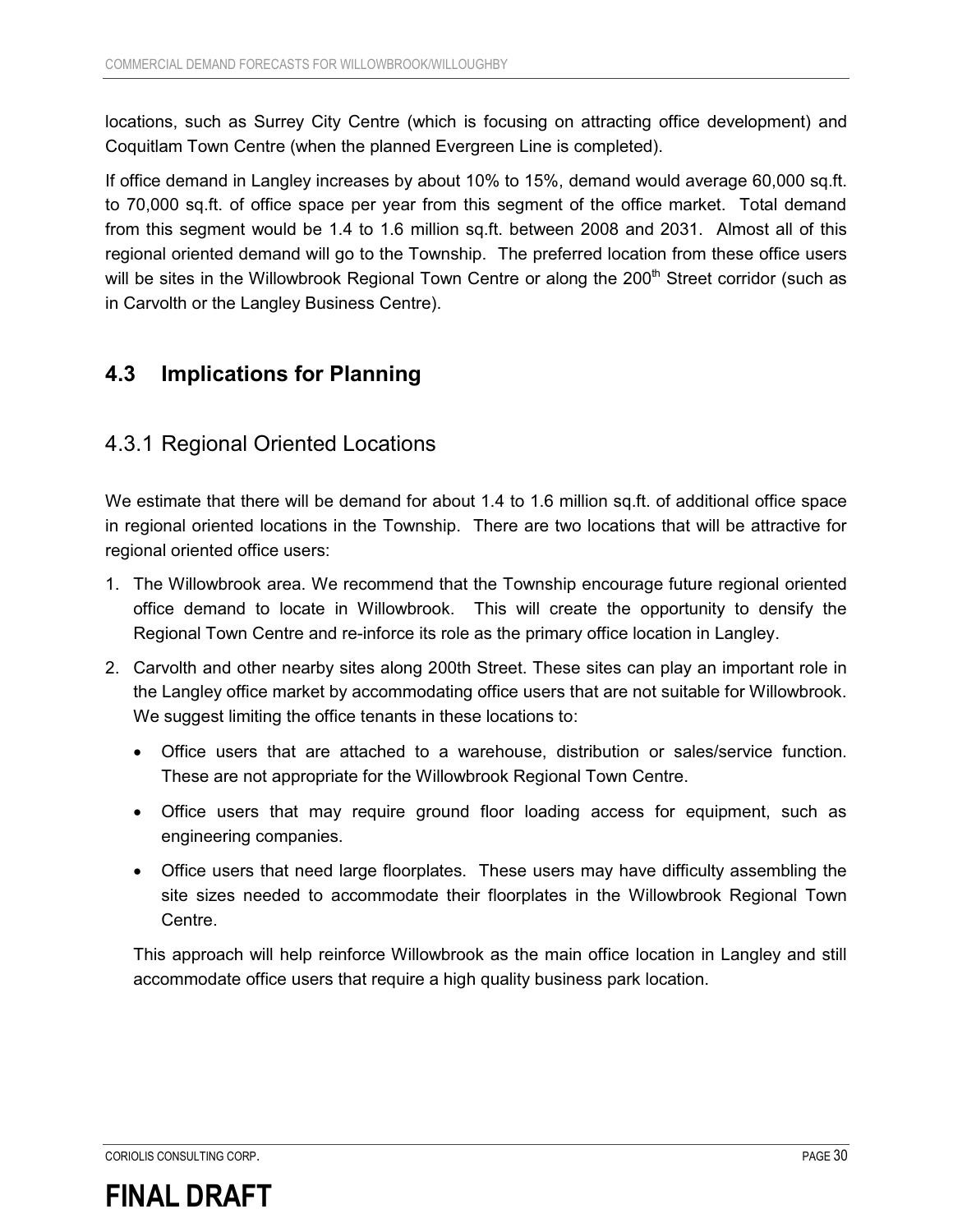locations, such as Surrey City Centre (which is focusing on attracting office development) and Coquitlam Town Centre (when the planned Evergreen Line is completed).

If office demand in Langley increases by about 10% to 15%, demand would average 60,000 sq.ft. to 70,000 sq.ft. of office space per year from this segment of the office market. Total demand from this segment would be 1.4 to 1.6 million sq.ft. between 2008 and 2031. Almost all of this regional oriented demand will go to the Township. The preferred location from these office users will be sites in the Willowbrook Regional Town Centre or along the 200<sup>th</sup> Street corridor (such as in Carvolth or the Langley Business Centre).

### **4.3 Implications for Planning**

### 4.3.1 Regional Oriented Locations

We estimate that there will be demand for about 1.4 to 1.6 million sq.ft. of additional office space in regional oriented locations in the Township. There are two locations that will be attractive for regional oriented office users:

- 1. The Willowbrook area. We recommend that the Township encourage future regional oriented office demand to locate in Willowbrook. This will create the opportunity to densify the Regional Town Centre and re-inforce its role as the primary office location in Langley.
- 2. Carvolth and other nearby sites along 200th Street. These sites can play an important role in the Langley office market by accommodating office users that are not suitable for Willowbrook. We suggest limiting the office tenants in these locations to:
	- $\bullet$  Office users that are attached to a warehouse, distribution or sales/service function. These are not appropriate for the Willowbrook Regional Town Centre.
	- Office users that may require ground floor loading access for equipment, such as engineering companies.
	- Office users that need large floorplates. These users may have difficulty assembling the site sizes needed to accommodate their floorplates in the Willowbrook Regional Town Centre.

This approach will help reinforce Willowbrook as the main office location in Langley and still accommodate office users that require a high quality business park location.

CORIOLIS CONSULTING CORP. PAGE 30

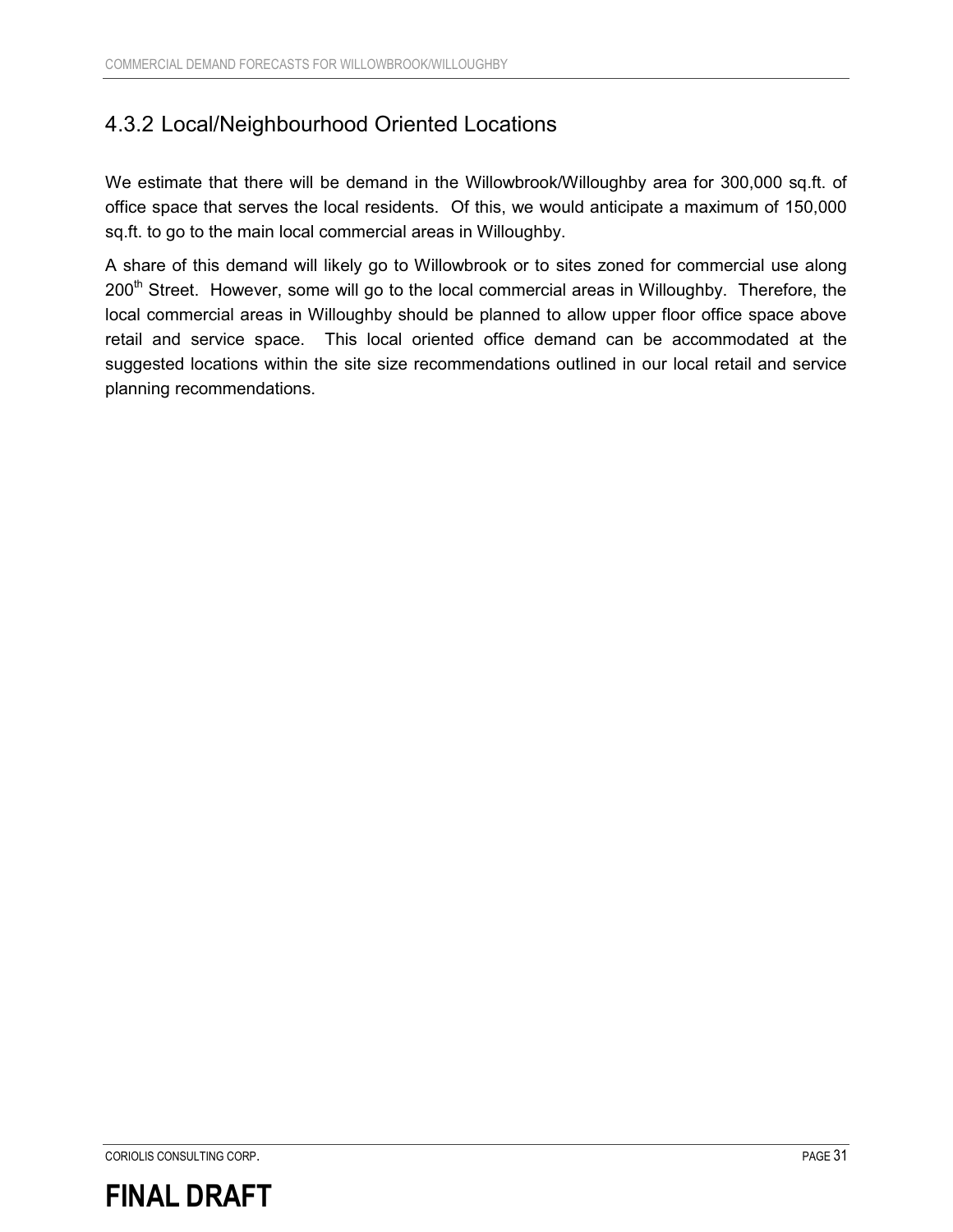### 4.3.2 Local/Neighbourhood Oriented Locations

We estimate that there will be demand in the Willowbrook/Willoughby area for 300,000 sq.ft. of office space that serves the local residents. Of this, we would anticipate a maximum of 150,000 sq.ft. to go to the main local commercial areas in Willoughby.

A share of this demand will likely go to Willowbrook or to sites zoned for commercial use along 200<sup>th</sup> Street. However, some will go to the local commercial areas in Willoughby. Therefore, the local commercial areas in Willoughby should be planned to allow upper floor office space above retail and service space. This local oriented office demand can be accommodated at the suggested locations within the site size recommendations outlined in our local retail and service planning recommendations.

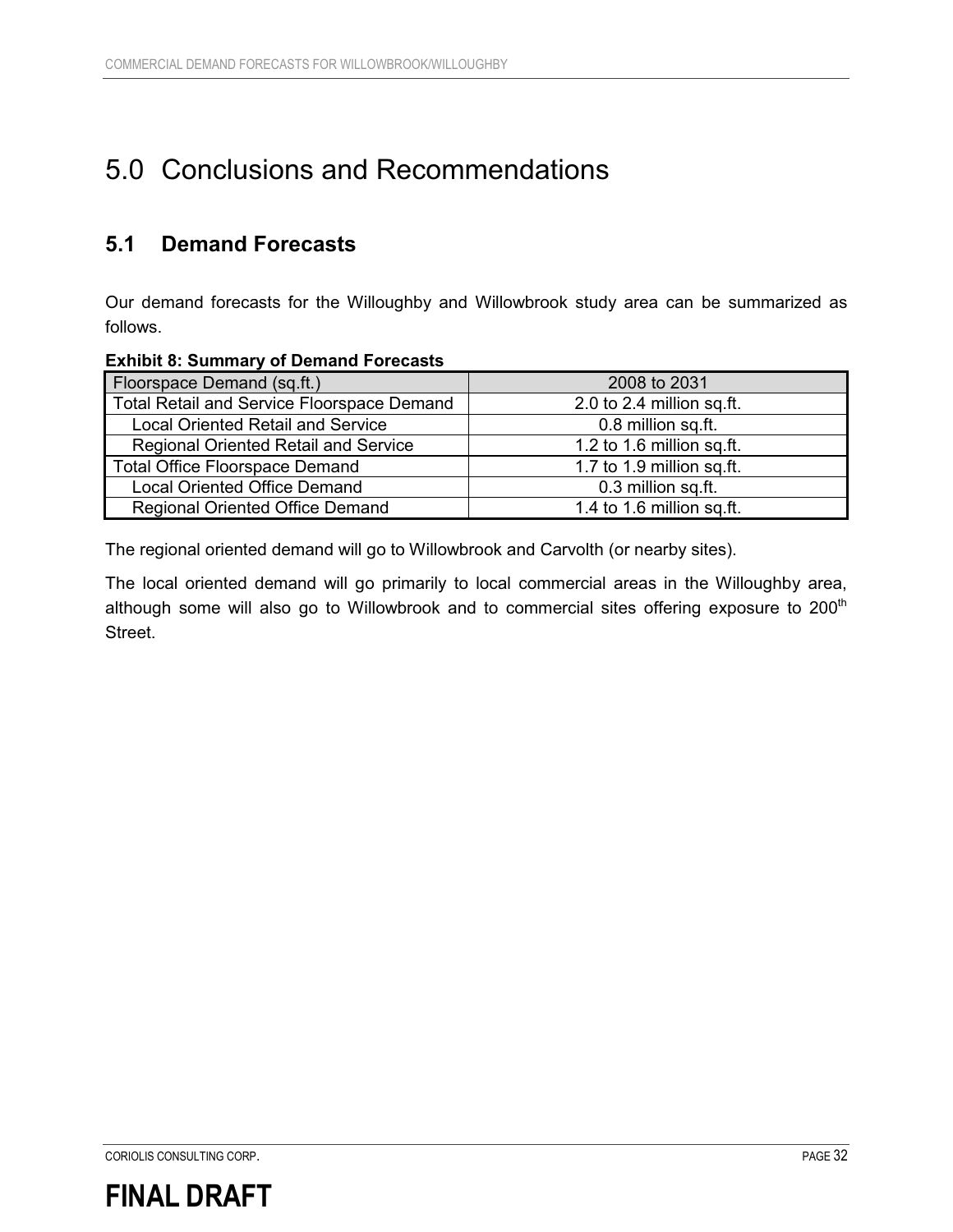## 5.0 Conclusions and Recommendations

### **5.1 Demand Forecasts**

Our demand forecasts for the Willoughby and Willowbrook study area can be summarized as follows.

#### **Exhibit 8: Summary of Demand Forecasts**

| Floorspace Demand (sq.ft.)                        | 2008 to 2031              |
|---------------------------------------------------|---------------------------|
| <b>Total Retail and Service Floorspace Demand</b> | 2.0 to 2.4 million sq.ft. |
| <b>Local Oriented Retail and Service</b>          | 0.8 million sq.ft.        |
| <b>Regional Oriented Retail and Service</b>       | 1.2 to 1.6 million sq.ft. |
| <b>Total Office Floorspace Demand</b>             | 1.7 to 1.9 million sq.ft. |
| <b>Local Oriented Office Demand</b>               | 0.3 million sq.ft.        |
| <b>Regional Oriented Office Demand</b>            | 1.4 to 1.6 million sq.ft. |

The regional oriented demand will go to Willowbrook and Carvolth (or nearby sites).

The local oriented demand will go primarily to local commercial areas in the Willoughby area, although some will also go to Willowbrook and to commercial sites offering exposure to  $200<sup>th</sup>$ Street.

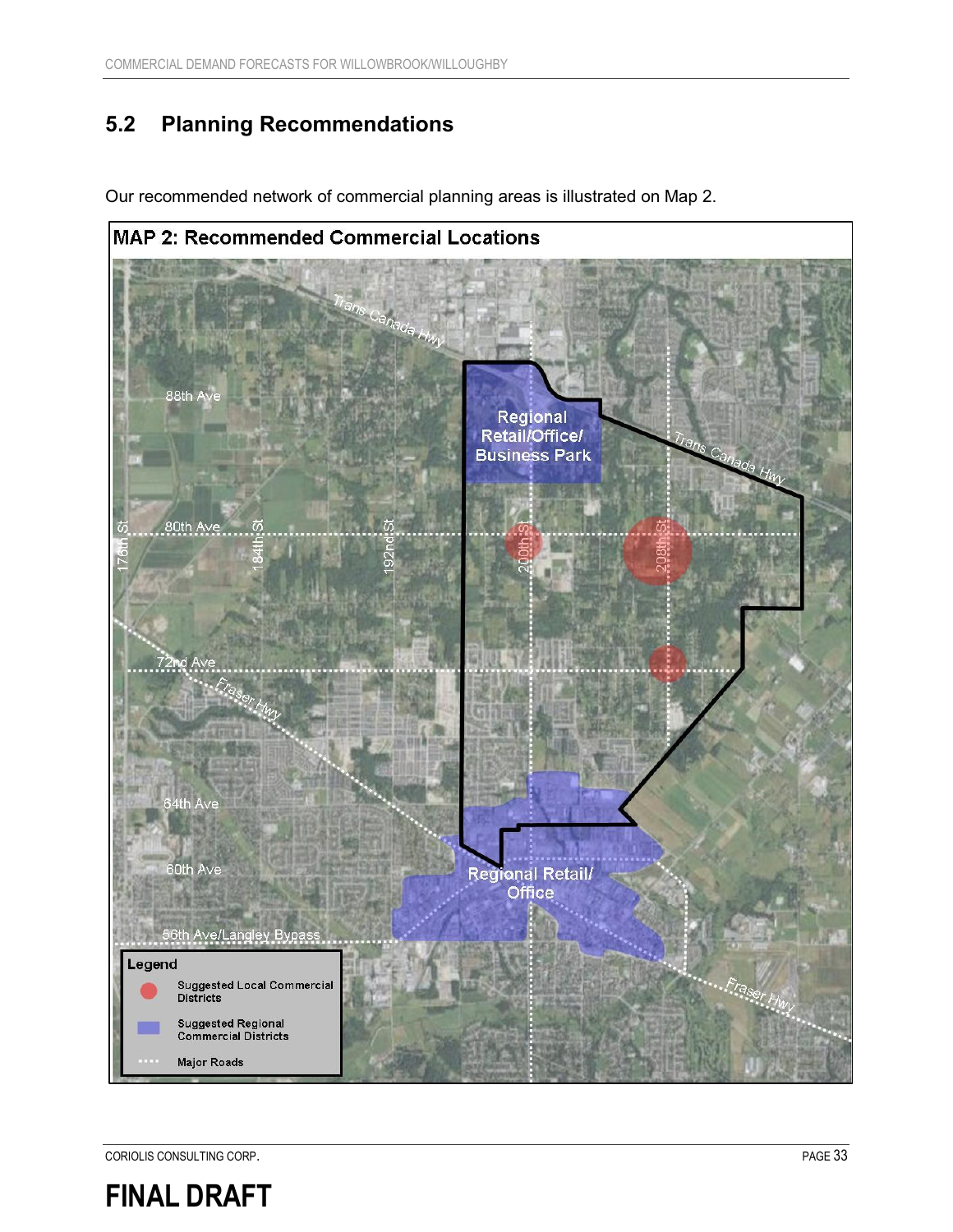### **5.2 Planning Recommendations**



Our recommended network of commercial planning areas is illustrated on Map 2.

CORIOLIS CONSULTING CORP. **PAGE 33** 

## **FINAL DRAFT**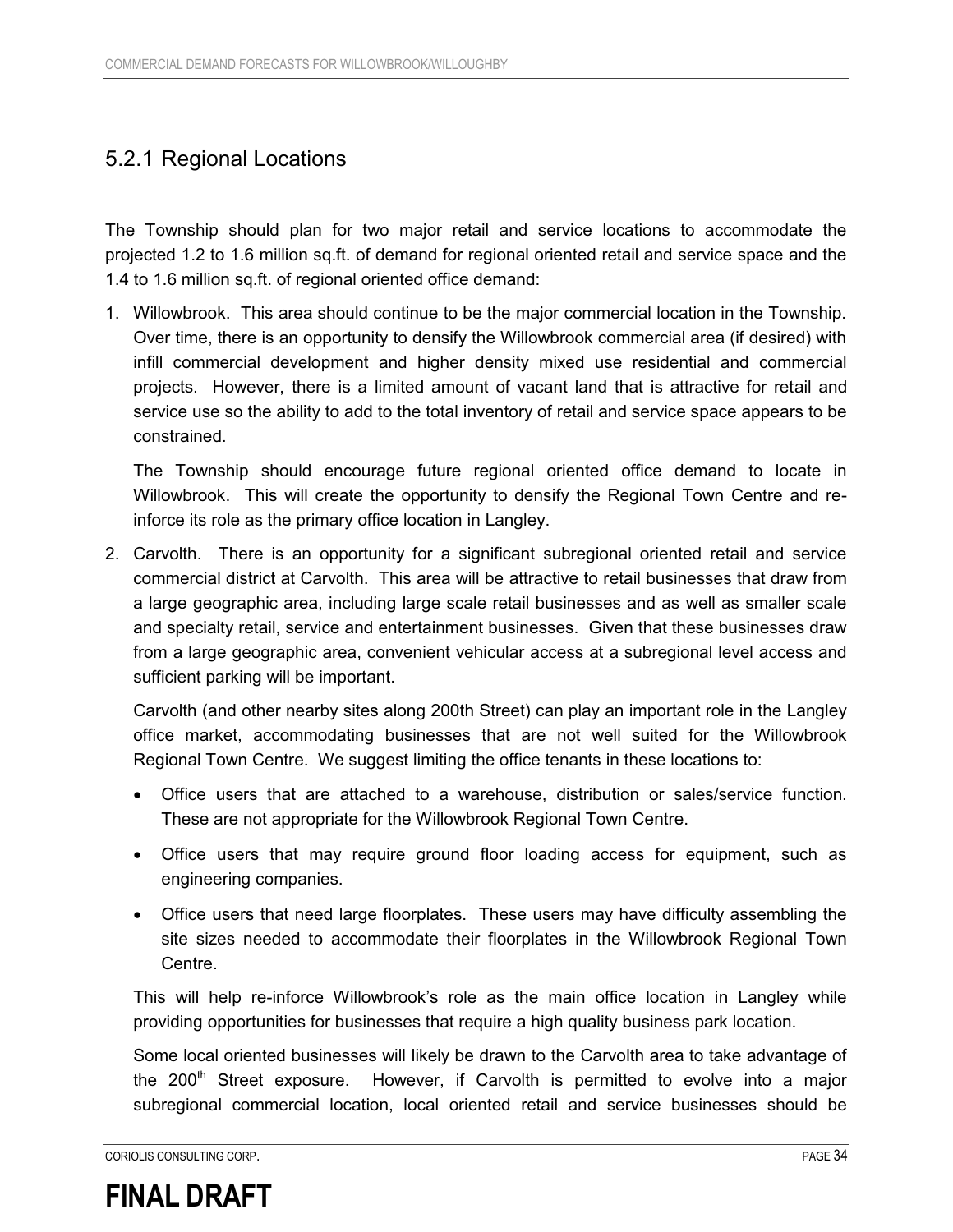### 5.2.1 Regional Locations

The Township should plan for two major retail and service locations to accommodate the projected 1.2 to 1.6 million sq.ft. of demand for regional oriented retail and service space and the 1.4 to 1.6 million sq.ft. of regional oriented office demand:

1. Willowbrook. This area should continue to be the major commercial location in the Township. Over time, there is an opportunity to densify the Willowbrook commercial area (if desired) with infill commercial development and higher density mixed use residential and commercial projects. However, there is a limited amount of vacant land that is attractive for retail and service use so the ability to add to the total inventory of retail and service space appears to be constrained.

The Township should encourage future regional oriented office demand to locate in Willowbrook. This will create the opportunity to densify the Regional Town Centre and reinforce its role as the primary office location in Langley.

2. Carvolth. There is an opportunity for a significant subregional oriented retail and service commercial district at Carvolth. This area will be attractive to retail businesses that draw from a large geographic area, including large scale retail businesses and as well as smaller scale and specialty retail, service and entertainment businesses. Given that these businesses draw from a large geographic area, convenient vehicular access at a subregional level access and sufficient parking will be important.

Carvolth (and other nearby sites along 200th Street) can play an important role in the Langley office market, accommodating businesses that are not well suited for the Willowbrook Regional Town Centre. We suggest limiting the office tenants in these locations to:

- Office users that are attached to a warehouse, distribution or sales/service function. These are not appropriate for the Willowbrook Regional Town Centre.
- Office users that may require ground floor loading access for equipment, such as engineering companies.
- $\bullet$  Office users that need large floorplates. These users may have difficulty assembling the site sizes needed to accommodate their floorplates in the Willowbrook Regional Town Centre.

This will help re-inforce Willowbrook's role as the main office location in Langley while providing opportunities for businesses that require a high quality business park location.

Some local oriented businesses will likely be drawn to the Carvolth area to take advantage of the 200<sup>th</sup> Street exposure. However, if Carvolth is permitted to evolve into a major subregional commercial location, local oriented retail and service businesses should be

CORIOLIS CONSULTING CORP. PAGE 34

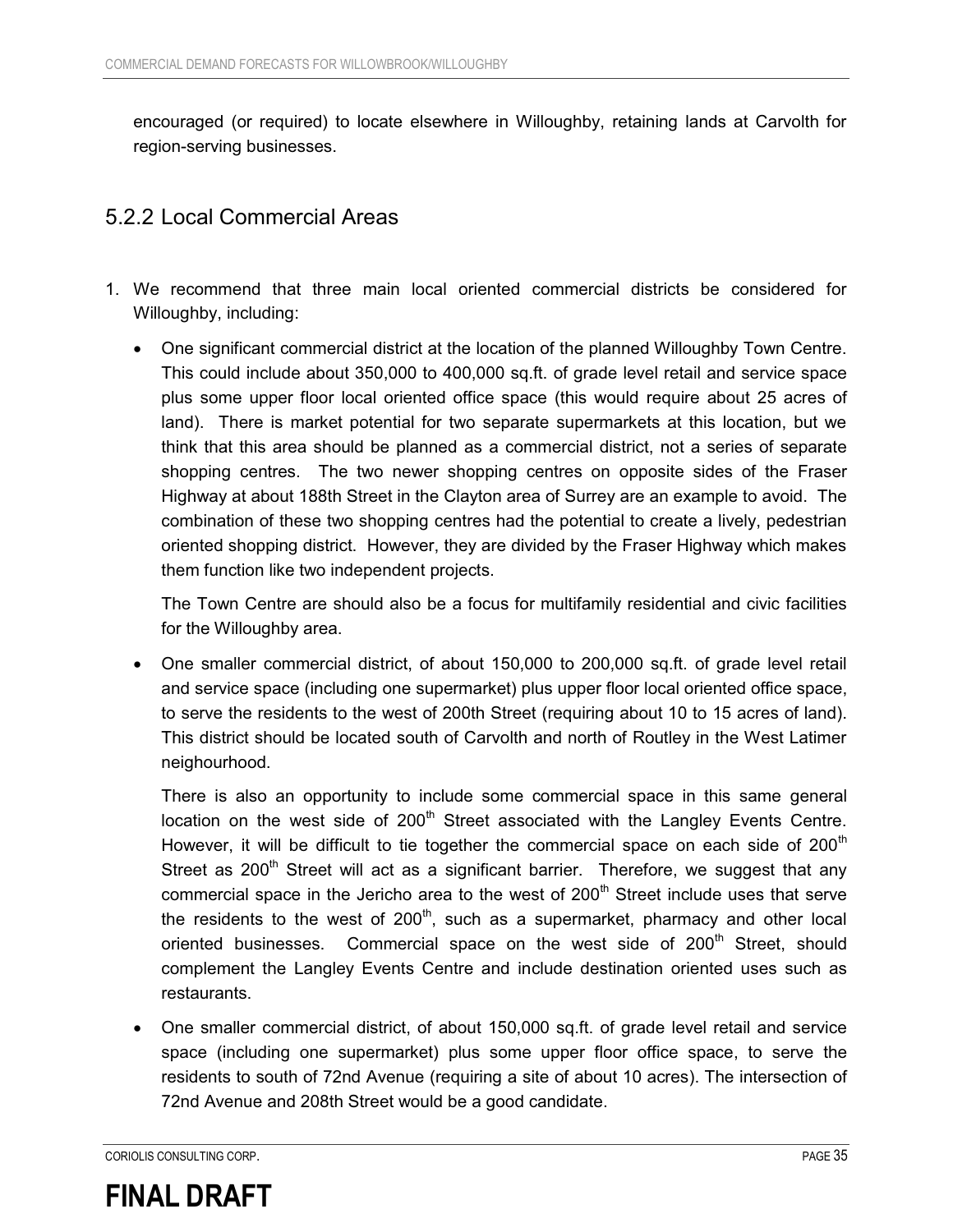encouraged (or required) to locate elsewhere in Willoughby, retaining lands at Carvolth for region-serving businesses.

### 5.2.2 Local Commercial Areas

- 1. We recommend that three main local oriented commercial districts be considered for Willoughby, including:
	- $\bullet$  One significant commercial district at the location of the planned Willoughby Town Centre. This could include about 350,000 to 400,000 sq.ft. of grade level retail and service space plus some upper floor local oriented office space (this would require about 25 acres of land). There is market potential for two separate supermarkets at this location, but we think that this area should be planned as a commercial district, not a series of separate shopping centres. The two newer shopping centres on opposite sides of the Fraser Highway at about 188th Street in the Clayton area of Surrey are an example to avoid. The combination of these two shopping centres had the potential to create a lively, pedestrian oriented shopping district. However, they are divided by the Fraser Highway which makes them function like two independent projects.

The Town Centre are should also be a focus for multifamily residential and civic facilities for the Willoughby area.

 $\bullet$  One smaller commercial district, of about 150,000 to 200,000 sq.ft. of grade level retail and service space (including one supermarket) plus upper floor local oriented office space, to serve the residents to the west of 200th Street (requiring about 10 to 15 acres of land). This district should be located south of Carvolth and north of Routley in the West Latimer neighourhood.

There is also an opportunity to include some commercial space in this same general location on the west side of  $200<sup>th</sup>$  Street associated with the Langley Events Centre. However, it will be difficult to tie together the commercial space on each side of  $200<sup>th</sup>$ Street as  $200<sup>th</sup>$  Street will act as a significant barrier. Therefore, we suggest that any commercial space in the Jericho area to the west of 200<sup>th</sup> Street include uses that serve the residents to the west of  $200<sup>th</sup>$ , such as a supermarket, pharmacy and other local oriented businesses. Commercial space on the west side of  $200<sup>th</sup>$  Street, should complement the Langley Events Centre and include destination oriented uses such as restaurants.

 $\bullet$  One smaller commercial district, of about 150,000 sq.ft. of grade level retail and service space (including one supermarket) plus some upper floor office space, to serve the residents to south of 72nd Avenue (requiring a site of about 10 acres). The intersection of 72nd Avenue and 208th Street would be a good candidate.

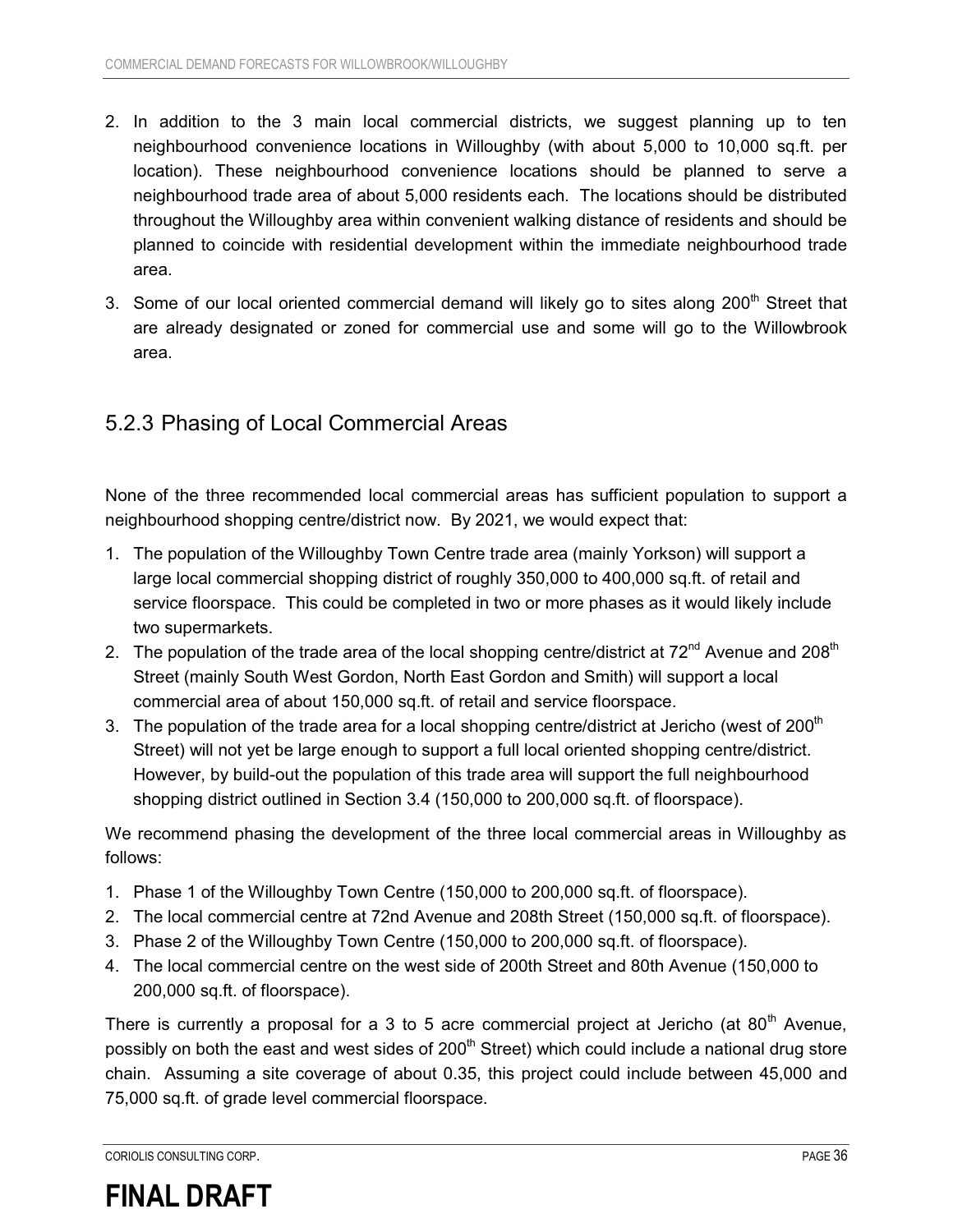- 2. In addition to the 3 main local commercial districts, we suggest planning up to ten neighbourhood convenience locations in Willoughby (with about 5,000 to 10,000 sq.ft. per location). These neighbourhood convenience locations should be planned to serve a neighbourhood trade area of about 5,000 residents each. The locations should be distributed throughout the Willoughby area within convenient walking distance of residents and should be planned to coincide with residential development within the immediate neighbourhood trade area.
- 3. Some of our local oriented commercial demand will likely go to sites along 200<sup>th</sup> Street that are already designated or zoned for commercial use and some will go to the Willowbrook area.

#### 5.2.3 Phasing of Local Commercial Areas

None of the three recommended local commercial areas has sufficient population to support a neighbourhood shopping centre/district now. By 2021, we would expect that:

- 1. The population of the Willoughby Town Centre trade area (mainly Yorkson) will support a large local commercial shopping district of roughly 350,000 to 400,000 sq.ft. of retail and service floorspace. This could be completed in two or more phases as it would likely include two supermarkets.
- 2. The population of the trade area of the local shopping centre/district at  $72^{nd}$  Avenue and  $208^{th}$ Street (mainly South West Gordon, North East Gordon and Smith) will support a local commercial area of about 150,000 sq.ft. of retail and service floorspace.
- 3. The population of the trade area for a local shopping centre/district at Jericho (west of 200<sup>th</sup>) Street) will not yet be large enough to support a full local oriented shopping centre/district. However, by build-out the population of this trade area will support the full neighbourhood shopping district outlined in Section 3.4 (150,000 to 200,000 sq.ft. of floorspace).

We recommend phasing the development of the three local commercial areas in Willoughby as follows:

- 1. Phase 1 of the Willoughby Town Centre (150,000 to 200,000 sq.ft. of floorspace).
- 2. The local commercial centre at 72nd Avenue and 208th Street (150,000 sq.ft. of floorspace).
- 3. Phase 2 of the Willoughby Town Centre (150,000 to 200,000 sq.ft. of floorspace).
- 4. The local commercial centre on the west side of 200th Street and 80th Avenue (150,000 to 200,000 sq.ft. of floorspace).

There is currently a proposal for a 3 to 5 acre commercial project at Jericho (at  $80<sup>th</sup>$  Avenue, possibly on both the east and west sides of  $200<sup>th</sup>$  Street) which could include a national drug store chain. Assuming a site coverage of about 0.35, this project could include between 45,000 and 75,000 sq.ft. of grade level commercial floorspace.

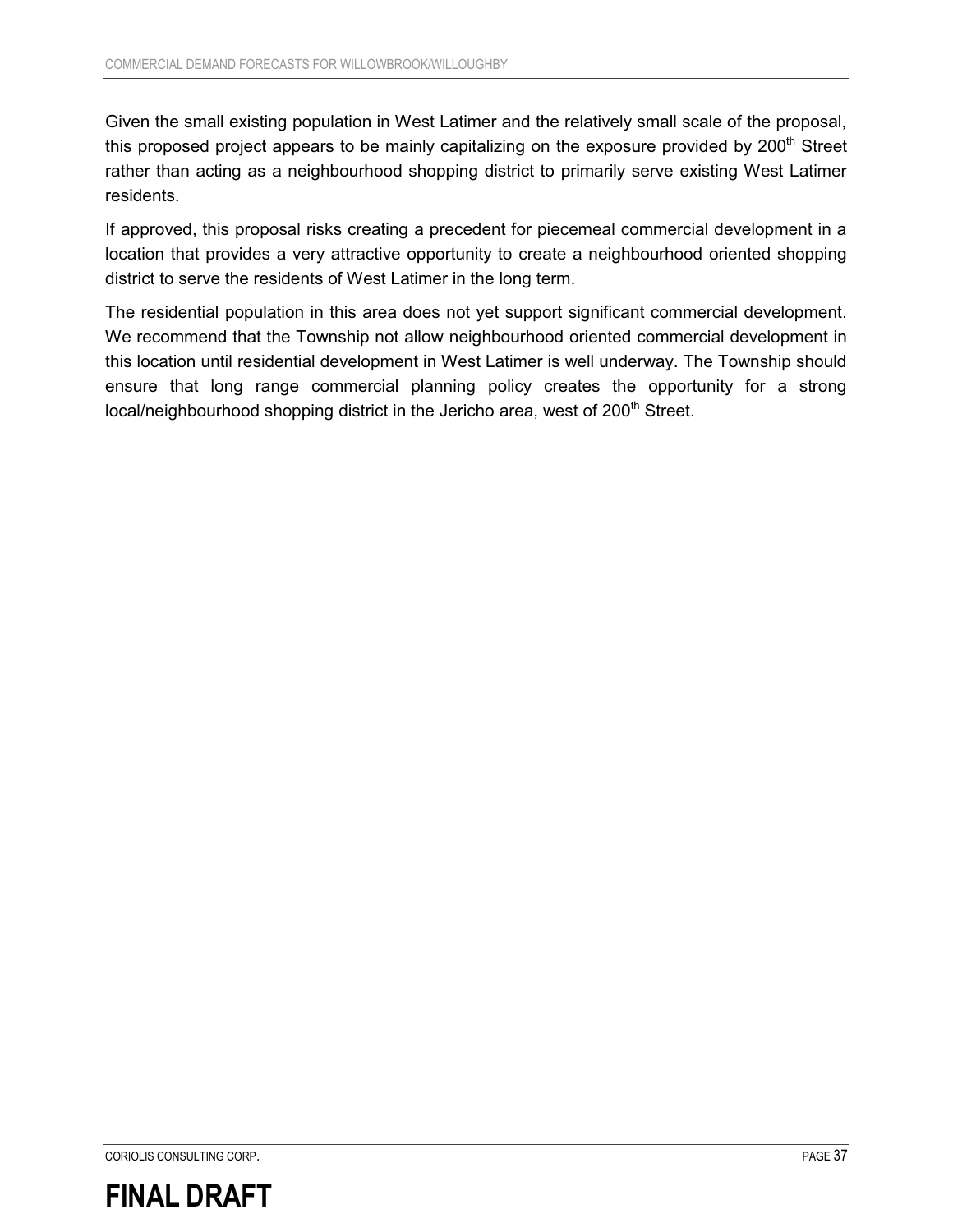Given the small existing population in West Latimer and the relatively small scale of the proposal, this proposed project appears to be mainly capitalizing on the exposure provided by  $200<sup>th</sup>$  Street rather than acting as a neighbourhood shopping district to primarily serve existing West Latimer residents.

If approved, this proposal risks creating a precedent for piecemeal commercial development in a location that provides a very attractive opportunity to create a neighbourhood oriented shopping district to serve the residents of West Latimer in the long term.

The residential population in this area does not yet support significant commercial development. We recommend that the Township not allow neighbourhood oriented commercial development in this location until residential development in West Latimer is well underway. The Township should ensure that long range commercial planning policy creates the opportunity for a strong local/neighbourhood shopping district in the Jericho area, west of 200<sup>th</sup> Street.

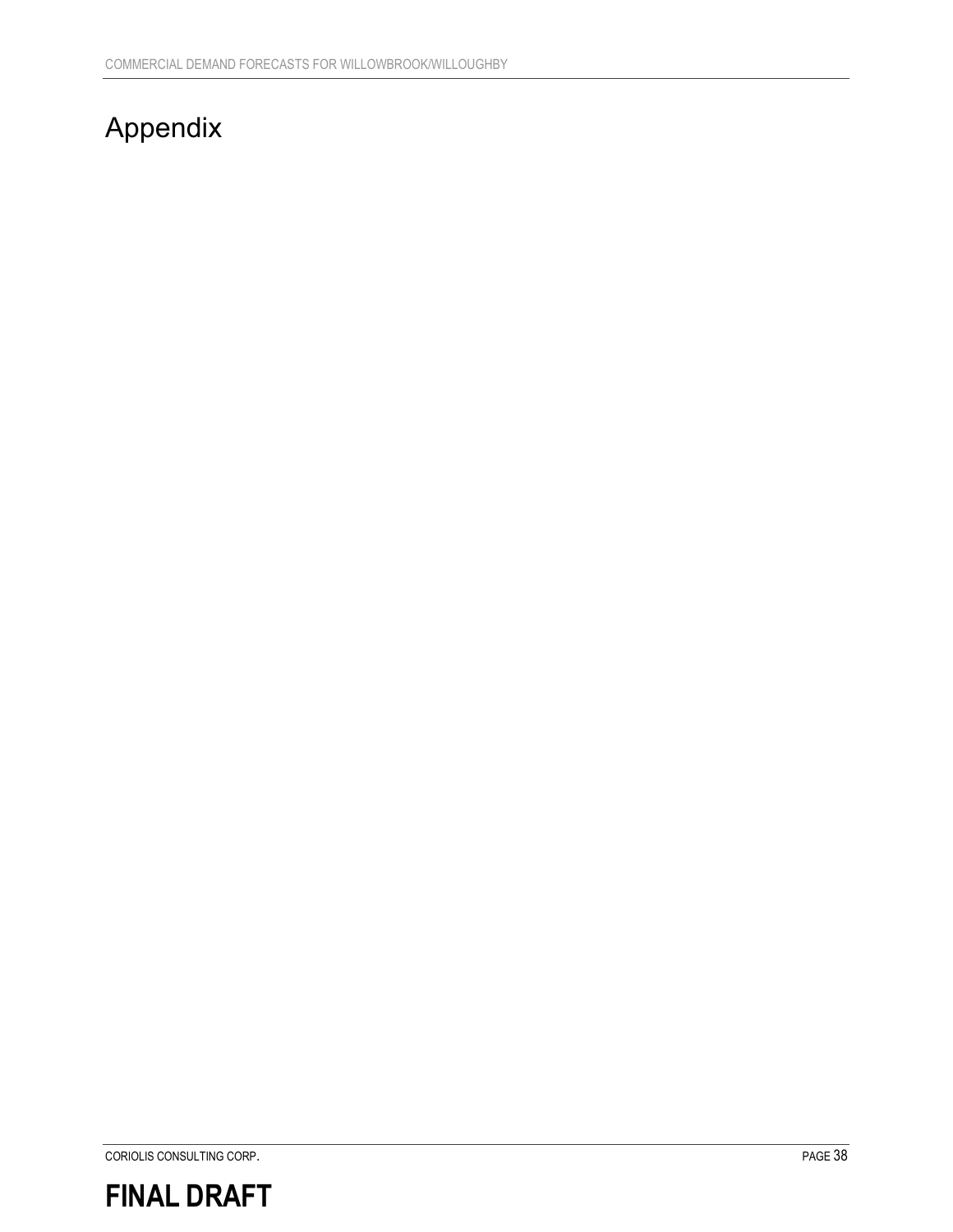## Appendix

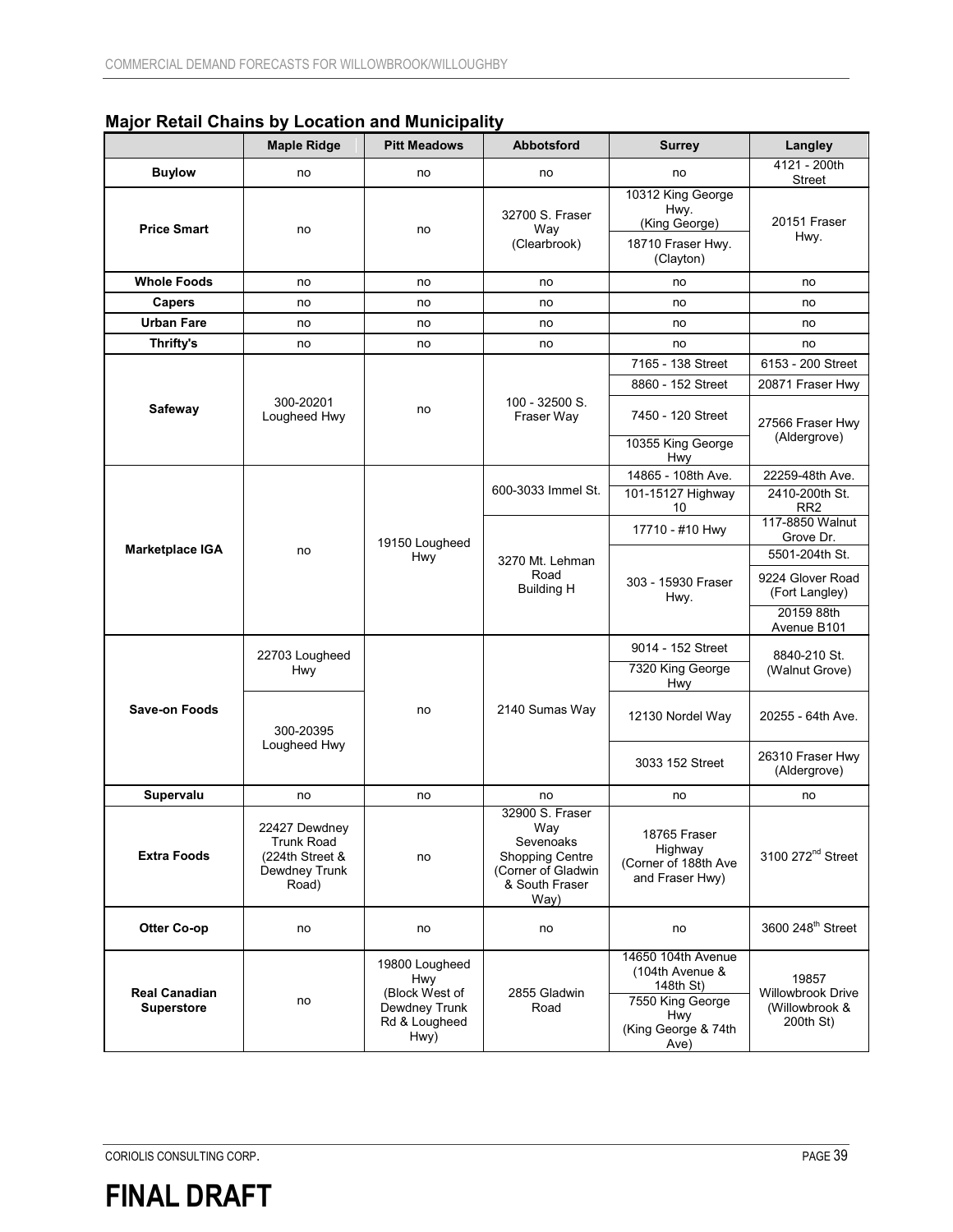|  | <b>Major Retail Chains by Location and Municipality</b> |  |
|--|---------------------------------------------------------|--|
|--|---------------------------------------------------------|--|

|                                           | <b>Maple Ridge</b>                                                              | <b>Pitt Meadows</b>                                                                      | <b>Abbotsford</b>                                                                                             | <b>Surrey</b>                                                                                                       | Langley                                                            |
|-------------------------------------------|---------------------------------------------------------------------------------|------------------------------------------------------------------------------------------|---------------------------------------------------------------------------------------------------------------|---------------------------------------------------------------------------------------------------------------------|--------------------------------------------------------------------|
| <b>Buylow</b>                             | no                                                                              | no                                                                                       | no                                                                                                            | no                                                                                                                  | 4121 - 200th                                                       |
| <b>Price Smart</b>                        | no                                                                              | no                                                                                       | 32700 S. Fraser<br>Way<br>(Clearbrook)                                                                        | 10312 King George<br>Hwy.<br>(King George)<br>18710 Fraser Hwy.<br>(Clayton)                                        | Street<br>20151 Fraser<br>Hwy.                                     |
| <b>Whole Foods</b>                        | no                                                                              | no                                                                                       | no                                                                                                            | no                                                                                                                  | no                                                                 |
| <b>Capers</b>                             | no                                                                              | no                                                                                       | no                                                                                                            | no                                                                                                                  | no                                                                 |
| <b>Urban Fare</b>                         | no                                                                              | no                                                                                       | no                                                                                                            | no                                                                                                                  | no                                                                 |
| Thrifty's                                 | no                                                                              | no                                                                                       | no                                                                                                            | no                                                                                                                  | no                                                                 |
|                                           |                                                                                 |                                                                                          |                                                                                                               | 7165 - 138 Street                                                                                                   | 6153 - 200 Street                                                  |
|                                           |                                                                                 |                                                                                          |                                                                                                               | 8860 - 152 Street                                                                                                   | 20871 Fraser Hwy                                                   |
| Safeway                                   | 300-20201<br>Lougheed Hwy                                                       | no                                                                                       | 100 - 32500 S.<br>Fraser Way                                                                                  | 7450 - 120 Street<br>10355 King George<br>Hwy                                                                       | 27566 Fraser Hwy<br>(Aldergrove)                                   |
|                                           |                                                                                 |                                                                                          |                                                                                                               | 14865 - 108th Ave.                                                                                                  | 22259-48th Ave.                                                    |
|                                           |                                                                                 |                                                                                          | 600-3033 Immel St.                                                                                            | 101-15127 Highway<br>10                                                                                             | 2410-200th St.<br>RR <sub>2</sub>                                  |
|                                           |                                                                                 | 19150 Lougheed                                                                           | 3270 Mt. Lehman<br>Road<br><b>Building H</b>                                                                  | 17710 - #10 Hwy                                                                                                     | 117-8850 Walnut<br>Grove Dr.                                       |
| Marketplace IGA                           | no                                                                              | <b>Hwy</b>                                                                               |                                                                                                               | 303 - 15930 Fraser<br>Hwy.                                                                                          | 5501-204th St.<br>9224 Glover Road<br>(Fort Langley)<br>20159 88th |
|                                           |                                                                                 | no                                                                                       | 2140 Sumas Way                                                                                                | 9014 - 152 Street                                                                                                   | Avenue B101<br>8840-210 St.<br>(Walnut Grove)                      |
|                                           | 22703 Lougheed<br>Hwy<br>300-20395<br>Lougheed Hwy                              |                                                                                          |                                                                                                               | 7320 King George<br>Hwy                                                                                             |                                                                    |
| <b>Save-on Foods</b>                      |                                                                                 |                                                                                          |                                                                                                               | 12130 Nordel Way                                                                                                    | 20255 - 64th Ave.                                                  |
|                                           |                                                                                 |                                                                                          |                                                                                                               | 3033 152 Street                                                                                                     | 26310 Fraser Hwy<br>(Aldergrove)                                   |
| Supervalu                                 | no                                                                              | no                                                                                       | no                                                                                                            | no                                                                                                                  | no                                                                 |
| <b>Extra Foods</b>                        | 22427 Dewdney<br><b>Trunk Road</b><br>(224th Street &<br>Dewdney Trunk<br>Road) | no                                                                                       | 32900 S. Fraser<br>Way<br>Sevenoaks<br><b>Shopping Centre</b><br>(Corner of Gladwin<br>& South Fraser<br>Way) | 18765 Fraser<br>Highway<br>(Corner of 188th Ave<br>and Fraser Hwy)                                                  | 3100 272 <sup>nd</sup> Street                                      |
| <b>Otter Co-op</b>                        | no                                                                              | no                                                                                       | no                                                                                                            | no                                                                                                                  | 3600 248 <sup>th</sup> Street                                      |
| <b>Real Canadian</b><br><b>Superstore</b> | no                                                                              | 19800 Lougheed<br><b>Hwy</b><br>(Block West of<br>Dewdney Trunk<br>Rd & Lougheed<br>Hwy) | 2855 Gladwin<br>Road                                                                                          | 14650 104th Avenue<br>(104th Avenue &<br>148th St)<br>7550 King George<br><b>Hwy</b><br>(King George & 74th<br>Ave) | 19857<br><b>Willowbrook Drive</b><br>(Willowbrook &<br>200th St)   |

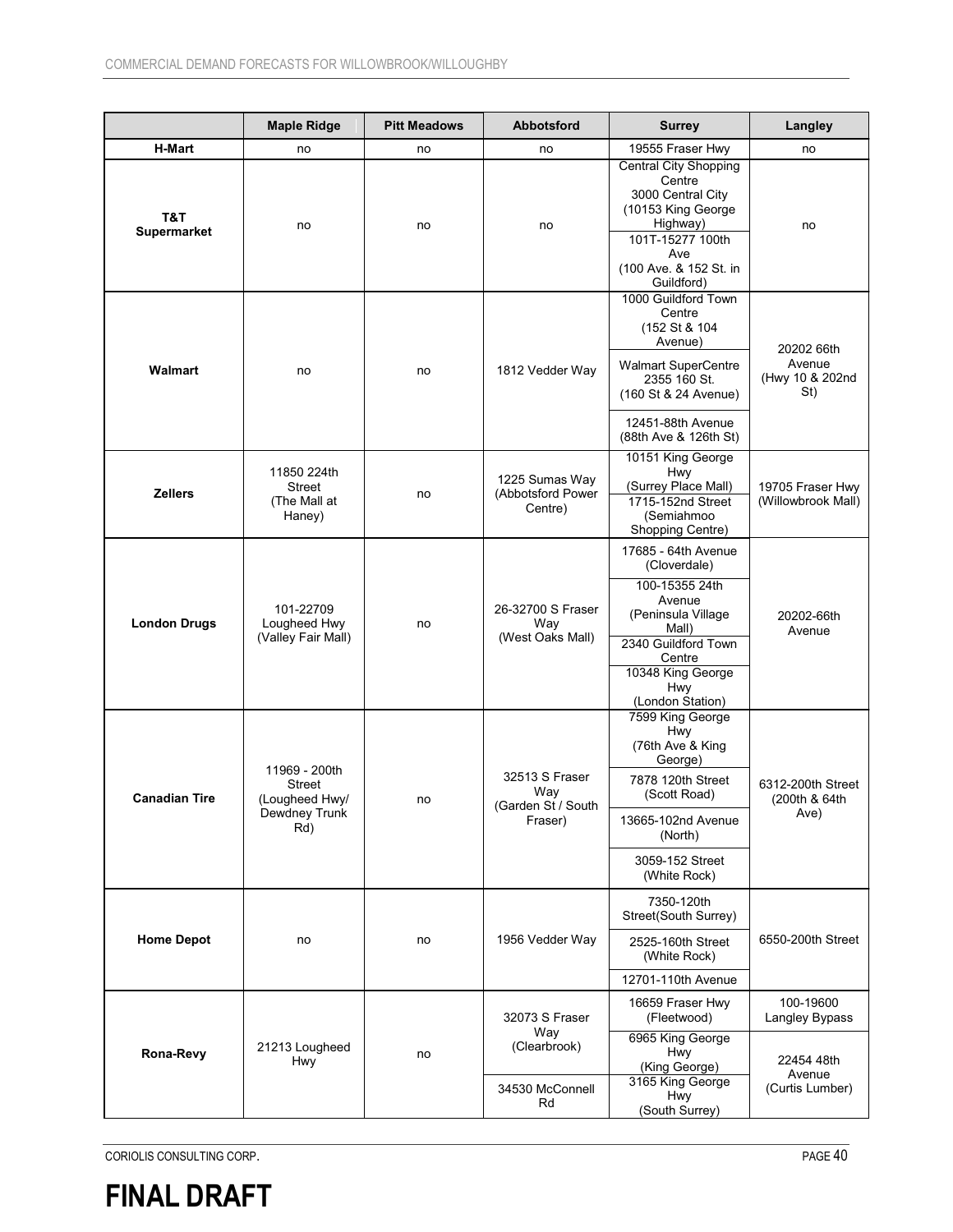|                           | <b>Maple Ridge</b>                                                       | <b>Pitt Meadows</b> | Abbotsford                                             | <b>Surrey</b>                                                                                                                                                                          | Langley                                        |
|---------------------------|--------------------------------------------------------------------------|---------------------|--------------------------------------------------------|----------------------------------------------------------------------------------------------------------------------------------------------------------------------------------------|------------------------------------------------|
| <b>H-Mart</b>             | no                                                                       | no                  | no                                                     | 19555 Fraser Hwy                                                                                                                                                                       | no                                             |
| T&T<br><b>Supermarket</b> | no                                                                       | no                  | no                                                     | <b>Central City Shopping</b><br>Centre<br>3000 Central City<br>(10153 King George<br>Highway)<br>101T-15277 100th<br>Ave<br>(100 Ave. & 152 St. in<br>Guildford)                       | no                                             |
| Walmart                   | no                                                                       | no                  | 1812 Vedder Way                                        | 1000 Guildford Town<br>Centre<br>(152 St & 104<br>Avenue)<br><b>Walmart SuperCentre</b><br>2355 160 St.<br>(160 St & 24 Avenue)<br>12451-88th Avenue<br>(88th Ave & 126th St)          | 20202 66th<br>Avenue<br>(Hwy 10 & 202nd<br>St) |
| <b>Zellers</b>            | 11850 224th<br><b>Street</b><br>(The Mall at<br>Haney)                   | no                  | 1225 Sumas Way<br>(Abbotsford Power<br>Centre)         | 10151 King George<br>Hwy<br>(Surrey Place Mall)<br>1715-152nd Street<br>(Semiahmoo<br>Shopping Centre)                                                                                 | 19705 Fraser Hwy<br>(Willowbrook Mall)         |
| <b>London Drugs</b>       | 101-22709<br>Lougheed Hwy<br>(Valley Fair Mall)                          | no                  | 26-32700 S Fraser<br>Way<br>(West Oaks Mall)           | 17685 - 64th Avenue<br>(Cloverdale)<br>100-15355 24th<br>Avenue<br>(Peninsula Village<br>Mall)<br>2340 Guildford Town<br>Centre<br>10348 King George<br><b>Hwy</b><br>(London Station) | 20202-66th<br>Avenue                           |
| <b>Canadian Tire</b>      | 11969 - 200th<br><b>Street</b><br>(Lougheed Hwy/<br>Dewdney Trunk<br>Rd) | no                  | 32513 S Fraser<br>Way<br>(Garden St / South<br>Fraser) | 7599 King George<br>Hwy<br>(76th Ave & King<br>George)<br>7878 120th Street<br>(Scott Road)<br>13665-102nd Avenue<br>(North)<br>3059-152 Street<br>(White Rock)                        | 6312-200th Street<br>(200th & 64th<br>Ave)     |
| <b>Home Depot</b>         | no                                                                       | no                  | 1956 Vedder Way                                        | 7350-120th<br>Street(South Surrey)<br>2525-160th Street<br>(White Rock)<br>12701-110th Avenue                                                                                          | 6550-200th Street                              |
|                           |                                                                          |                     | 32073 S Fraser                                         | 16659 Fraser Hwy<br>(Fleetwood)                                                                                                                                                        | 100-19600<br>Langley Bypass                    |
| Rona-Revy                 | 21213 Lougheed<br><b>Hwy</b>                                             | no                  | Way<br>(Clearbrook)<br>34530 McConnell<br>Rd           | 6965 King George<br><b>Hwy</b><br>(King George)<br>3165 King George<br>Hwy<br>(South Surrey)                                                                                           | 22454 48th<br>Avenue<br>(Curtis Lumber)        |

CORIOLIS CONSULTING CORP. **PAGE 40** 

**FINAL DRAFT**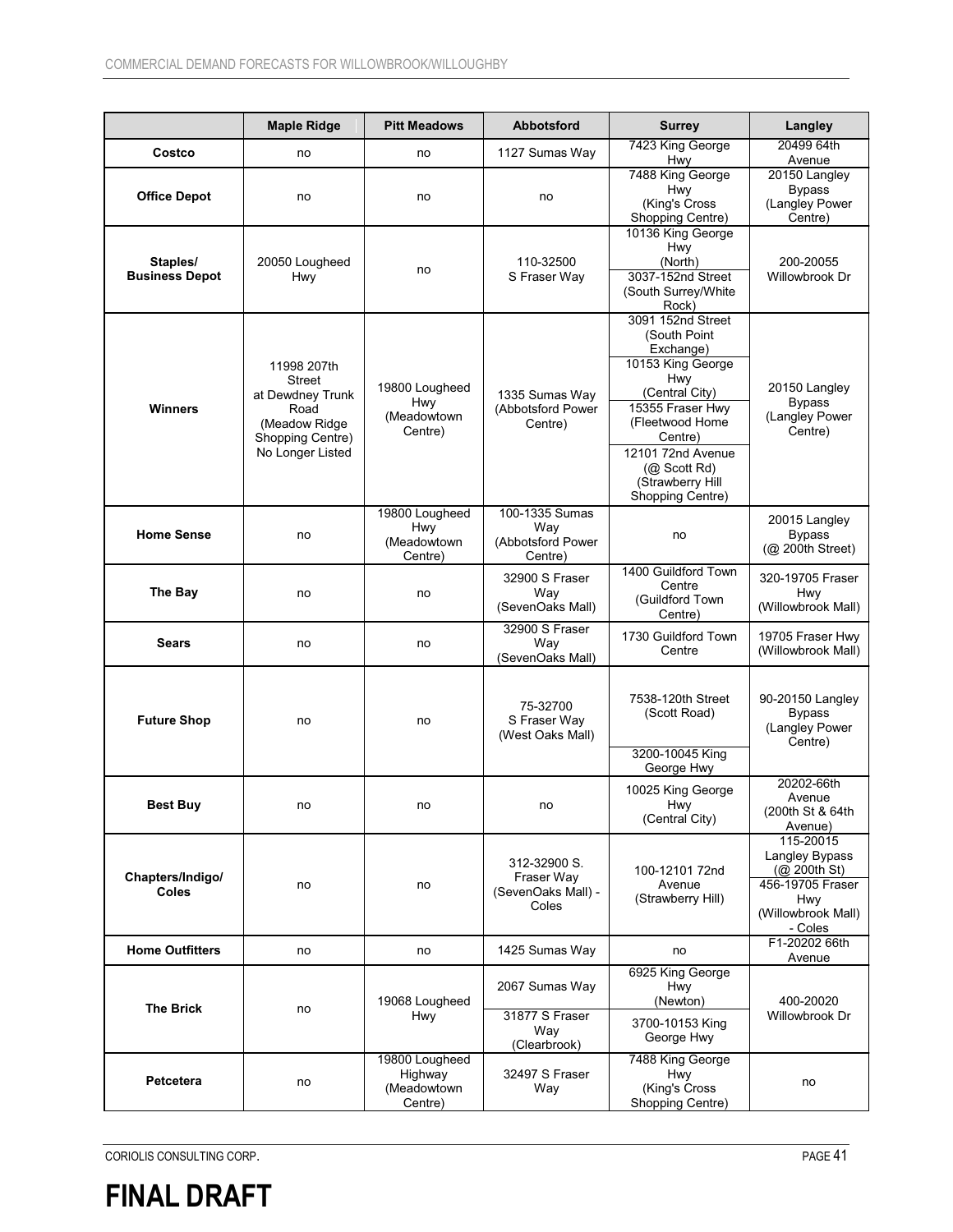|                                   | <b>Maple Ridge</b>                                                                                         | <b>Pitt Meadows</b>                                 | <b>Abbotsford</b>                                         | <b>Surrey</b>                                                                                                                                                                                                                  | Langley                                                                                                       |
|-----------------------------------|------------------------------------------------------------------------------------------------------------|-----------------------------------------------------|-----------------------------------------------------------|--------------------------------------------------------------------------------------------------------------------------------------------------------------------------------------------------------------------------------|---------------------------------------------------------------------------------------------------------------|
| Costco                            | no                                                                                                         | no                                                  | 1127 Sumas Way                                            | 7423 King George<br>Hwy                                                                                                                                                                                                        | 20499 64th<br>Avenue                                                                                          |
| <b>Office Depot</b>               | no                                                                                                         | no                                                  | no                                                        | 7488 King George<br><b>Hwy</b><br>(King's Cross<br>Shopping Centre)                                                                                                                                                            | 20150 Langley<br><b>Bypass</b><br>(Langley Power<br>Centre)                                                   |
| Staples/<br><b>Business Depot</b> | 20050 Lougheed<br><b>Hwy</b>                                                                               | no                                                  | 110-32500<br>S Fraser Way                                 | 10136 King George<br>Hwy<br>(North)<br>3037-152nd Street<br>(South Surrey/White<br>Rock)                                                                                                                                       | 200-20055<br>Willowbrook Dr                                                                                   |
| <b>Winners</b>                    | 11998 207th<br>Street<br>at Dewdney Trunk<br>Road<br>(Meadow Ridge<br>Shopping Centre)<br>No Longer Listed | 19800 Lougheed<br>Hwy<br>(Meadowtown<br>Centre)     | 1335 Sumas Way<br>(Abbotsford Power<br>Centre)            | 3091 152nd Street<br>(South Point<br>Exchange)<br>10153 King George<br>Hwy<br>(Central City)<br>15355 Fraser Hwy<br>(Fleetwood Home<br>Centre)<br>12101 72nd Avenue<br>$(Q)$ Scott Rd)<br>(Strawberry Hill<br>Shopping Centre) | 20150 Langley<br><b>Bypass</b><br>(Langley Power<br>Centre)                                                   |
| <b>Home Sense</b>                 | no                                                                                                         | 19800 Lougheed<br>Hwy<br>(Meadowtown<br>Centre)     | 100-1335 Sumas<br>Way<br>(Abbotsford Power<br>Centre)     | no                                                                                                                                                                                                                             | 20015 Langley<br><b>Bypass</b><br>(@ 200th Street)                                                            |
| The Bay                           | no                                                                                                         | no                                                  | 32900 S Fraser<br>Way<br>(SevenOaks Mall)                 | 1400 Guildford Town<br>Centre<br>(Guildford Town<br>Centre)                                                                                                                                                                    | 320-19705 Fraser<br>Hwy<br>(Willowbrook Mall)                                                                 |
| Sears                             | no                                                                                                         | no                                                  | 32900 S Fraser<br>Way<br>(SevenOaks Mall)                 | 1730 Guildford Town<br>Centre                                                                                                                                                                                                  | 19705 Fraser Hwy<br>(Willowbrook Mall)                                                                        |
| <b>Future Shop</b>                | no                                                                                                         | no                                                  | 75-32700<br>S Fraser Way<br>(West Oaks Mall)              | 7538-120th Street<br>(Scott Road)<br>3200-10045 King<br>George Hwy                                                                                                                                                             | 90-20150 Langley<br><b>Bypass</b><br>(Langley Power<br>Centre)                                                |
| <b>Best Buy</b>                   | no                                                                                                         | no                                                  | no                                                        | 10025 King George<br>Hwy<br>(Central City)                                                                                                                                                                                     | 20202-66th<br>Avenue<br>(200th St & 64th<br>Avenue)                                                           |
| Chapters/Indigo/<br><b>Coles</b>  | no                                                                                                         | no                                                  | 312-32900 S.<br>Fraser Way<br>(SevenOaks Mall) -<br>Coles | 100-12101 72nd<br>Avenue<br>(Strawberry Hill)                                                                                                                                                                                  | 115-20015<br>Langley Bypass<br>(Q200th St)<br>456-19705 Fraser<br><b>Hwy</b><br>(Willowbrook Mall)<br>- Coles |
| <b>Home Outfitters</b>            | no                                                                                                         | no                                                  | 1425 Sumas Way                                            | no                                                                                                                                                                                                                             | F1-20202 66th<br>Avenue                                                                                       |
| <b>The Brick</b>                  | no                                                                                                         | 19068 Lougheed<br><b>Hwy</b>                        | 2067 Sumas Way<br>31877 S Fraser<br>Way<br>(Clearbrook)   | 6925 King George<br><b>Hwy</b><br>(Newton)<br>3700-10153 King<br>George Hwy                                                                                                                                                    | 400-20020<br>Willowbrook Dr                                                                                   |
| Petcetera                         | no                                                                                                         | 19800 Lougheed<br>Highway<br>(Meadowtown<br>Centre) | 32497 S Fraser<br>Way                                     | 7488 King George<br>Hwy<br>(King's Cross<br>Shopping Centre)                                                                                                                                                                   | no                                                                                                            |

CORIOLIS CONSULTING CORP. PAGE 41

## **FINAL DRAFT**